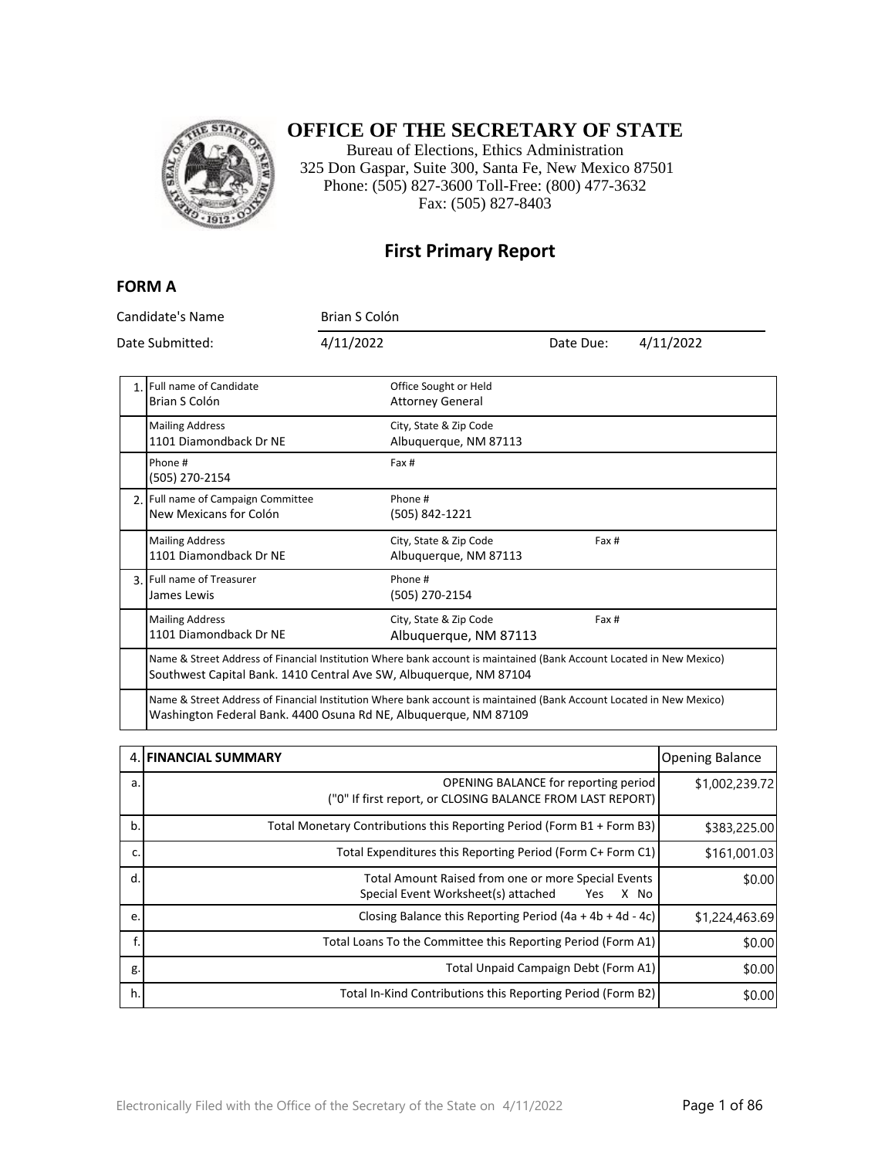

## **OFFICE OF THE SECRETARY OF STATE**

Bureau of Elections, Ethics Administration 325 Don Gaspar, Suite 300, Santa Fe, New Mexico 87501 Phone: (505) 827-3600 Toll-Free: (800) 477-3632 Fax: (505) 827-8403

### **First Primary Report**

#### **FORM A**

| Candidate's Name<br>Date Submitted:                                                                                                                                                      |                                                                                                                                                                                            | Brian S Colón |                                                  |           |           |
|------------------------------------------------------------------------------------------------------------------------------------------------------------------------------------------|--------------------------------------------------------------------------------------------------------------------------------------------------------------------------------------------|---------------|--------------------------------------------------|-----------|-----------|
|                                                                                                                                                                                          |                                                                                                                                                                                            | 4/11/2022     |                                                  | Date Due: | 4/11/2022 |
| 1.1                                                                                                                                                                                      | Full name of Candidate<br>Brian S Colón                                                                                                                                                    |               | Office Sought or Held<br><b>Attorney General</b> |           |           |
|                                                                                                                                                                                          | <b>Mailing Address</b><br>1101 Diamondback Dr NE                                                                                                                                           |               | City, State & Zip Code<br>Albuquerque, NM 87113  |           |           |
|                                                                                                                                                                                          | Phone #<br>(505) 270-2154                                                                                                                                                                  |               | Fax #                                            |           |           |
|                                                                                                                                                                                          | 2. Full name of Campaign Committee<br>New Mexicans for Colón                                                                                                                               |               | Phone #<br>(505) 842-1221                        |           |           |
|                                                                                                                                                                                          | <b>Mailing Address</b><br>1101 Diamondback Dr NE                                                                                                                                           |               | City, State & Zip Code<br>Albuquerque, NM 87113  | Fax #     |           |
|                                                                                                                                                                                          | 3. Full name of Treasurer<br>James Lewis                                                                                                                                                   |               | Phone #<br>(505) 270-2154                        |           |           |
|                                                                                                                                                                                          | <b>Mailing Address</b><br>1101 Diamondback Dr NE                                                                                                                                           |               | City, State & Zip Code<br>Albuquerque, NM 87113  | Fax #     |           |
|                                                                                                                                                                                          | Name & Street Address of Financial Institution Where bank account is maintained (Bank Account Located in New Mexico)<br>Southwest Capital Bank. 1410 Central Ave SW, Albuquerque, NM 87104 |               |                                                  |           |           |
| Name & Street Address of Financial Institution Where bank account is maintained (Bank Account Located in New Mexico)<br>Washington Federal Bank. 4400 Osuna Rd NE, Albuquerque, NM 87109 |                                                                                                                                                                                            |               |                                                  |           |           |

|    | 4. FINANCIAL SUMMARY                                                                                      | <b>Opening Balance</b> |
|----|-----------------------------------------------------------------------------------------------------------|------------------------|
| a. | <b>OPENING BALANCE for reporting period</b><br>("0" If first report, or CLOSING BALANCE FROM LAST REPORT) | \$1,002,239.72         |
| b. | Total Monetary Contributions this Reporting Period (Form B1 + Form B3)                                    | \$383,225.00           |
| c. | Total Expenditures this Reporting Period (Form C+ Form C1)                                                | \$161,001.03           |
| d. | Total Amount Raised from one or more Special Events<br>Special Event Worksheet(s) attached<br>X No<br>Yes | \$0.00                 |
| e. | Closing Balance this Reporting Period $(4a + 4b + 4d - 4c)$                                               | \$1,224,463.69         |
| f. | Total Loans To the Committee this Reporting Period (Form A1)                                              | \$0.00                 |
| g. | Total Unpaid Campaign Debt (Form A1)                                                                      | \$0.00                 |
| h. | Total In-Kind Contributions this Reporting Period (Form B2)                                               | \$0.00                 |

 $\overline{\phantom{a}}$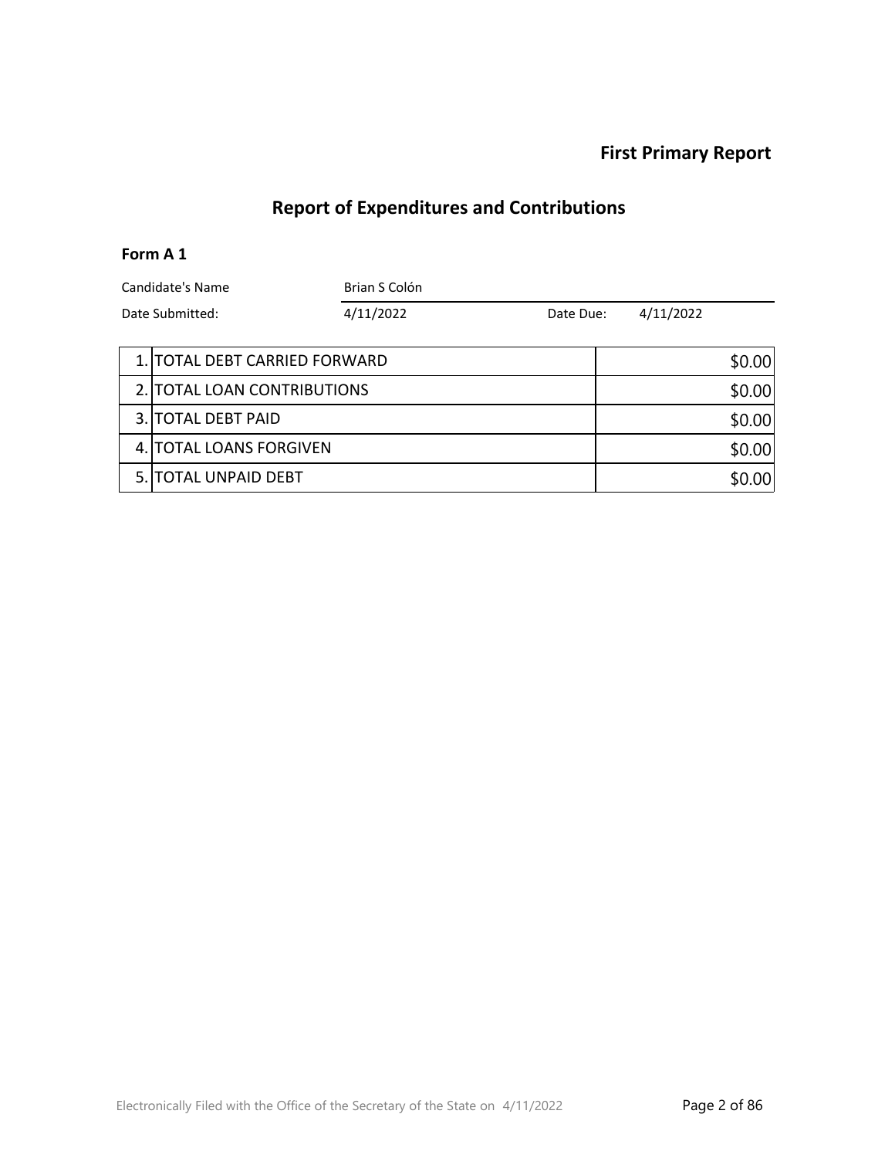### **First Primary Report**

## **Report of Expenditures and Contributions**

#### **Form A 1**

| Candidate's Name |                               | Brian S Colón |           |  |           |        |
|------------------|-------------------------------|---------------|-----------|--|-----------|--------|
| Date Submitted:  |                               | 4/11/2022     | Date Due: |  | 4/11/2022 |        |
|                  |                               |               |           |  |           |        |
|                  | 1. TOTAL DEBT CARRIED FORWARD |               |           |  |           | \$0.00 |
|                  | 2. TOTAL LOAN CONTRIBUTIONS   |               |           |  |           | \$0.00 |
|                  | 3. TOTAL DEBT PAID            |               |           |  |           | \$0.00 |
|                  | 4. TOTAL LOANS FORGIVEN       |               |           |  | \$0.00    |        |
|                  | 5. TOTAL UNPAID DEBT          |               |           |  |           | \$0.00 |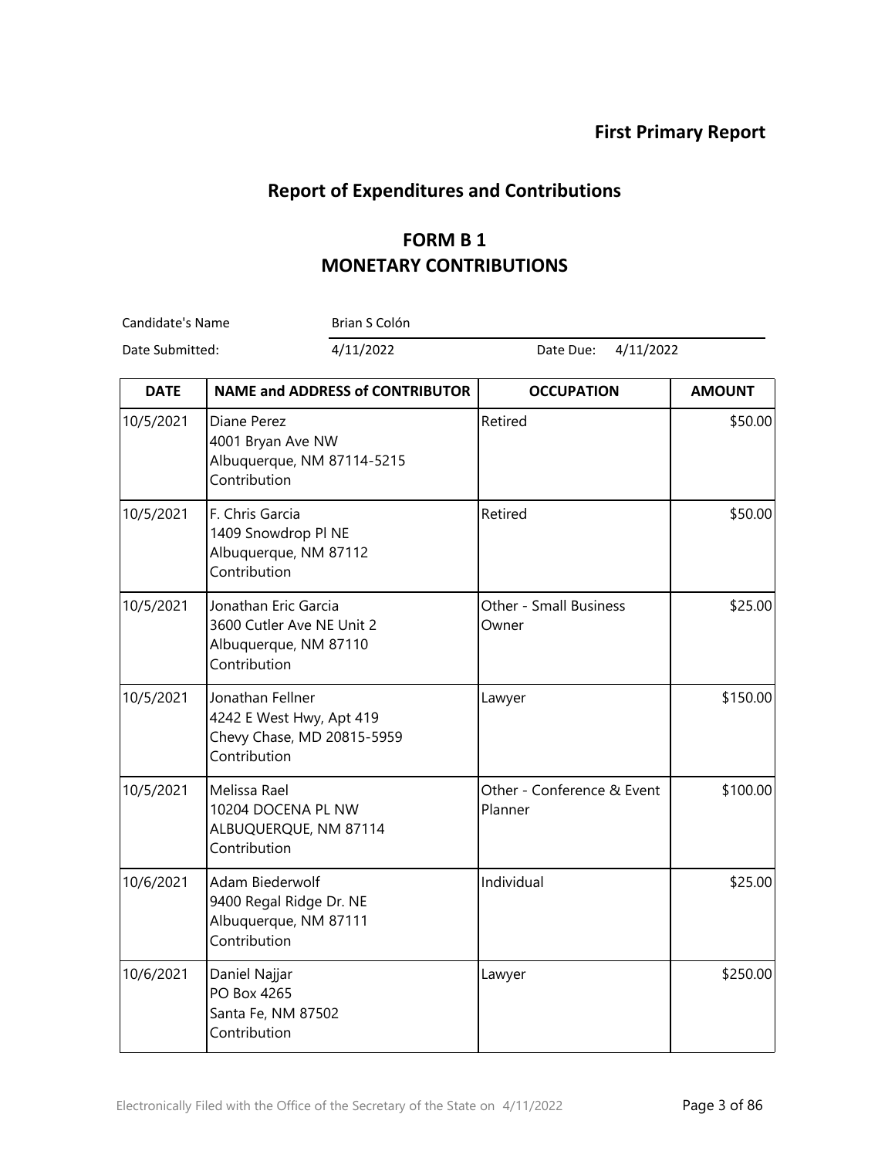## **Report of Expenditures and Contributions**

# **FORM B 1 MONETARY CONTRIBUTIONS**

Candidate's Name Brian S Colón

Date Submitted: 4/11/2022 Date Due: 4/11/2022

| <b>DATE</b> | <b>NAME and ADDRESS of CONTRIBUTOR</b>                                                     | <b>OCCUPATION</b>                     | <b>AMOUNT</b> |
|-------------|--------------------------------------------------------------------------------------------|---------------------------------------|---------------|
| 10/5/2021   | Diane Perez<br>4001 Bryan Ave NW<br>Albuquerque, NM 87114-5215<br>Contribution             | Retired                               | \$50.00       |
| 10/5/2021   | F. Chris Garcia<br>1409 Snowdrop PI NE<br>Albuquerque, NM 87112<br>Contribution            | Retired                               | \$50.00       |
| 10/5/2021   | Jonathan Eric Garcia<br>3600 Cutler Ave NE Unit 2<br>Albuquerque, NM 87110<br>Contribution | Other - Small Business<br>Owner       | \$25.00       |
| 10/5/2021   | Jonathan Fellner<br>4242 E West Hwy, Apt 419<br>Chevy Chase, MD 20815-5959<br>Contribution | Lawyer                                | \$150.00      |
| 10/5/2021   | Melissa Rael<br>10204 DOCENA PL NW<br>ALBUQUERQUE, NM 87114<br>Contribution                | Other - Conference & Event<br>Planner | \$100.00      |
| 10/6/2021   | Adam Biederwolf<br>9400 Regal Ridge Dr. NE<br>Albuquerque, NM 87111<br>Contribution        | Individual                            | \$25.00       |
| 10/6/2021   | Daniel Najjar<br>PO Box 4265<br>Santa Fe, NM 87502<br>Contribution                         | Lawyer                                | \$250.00      |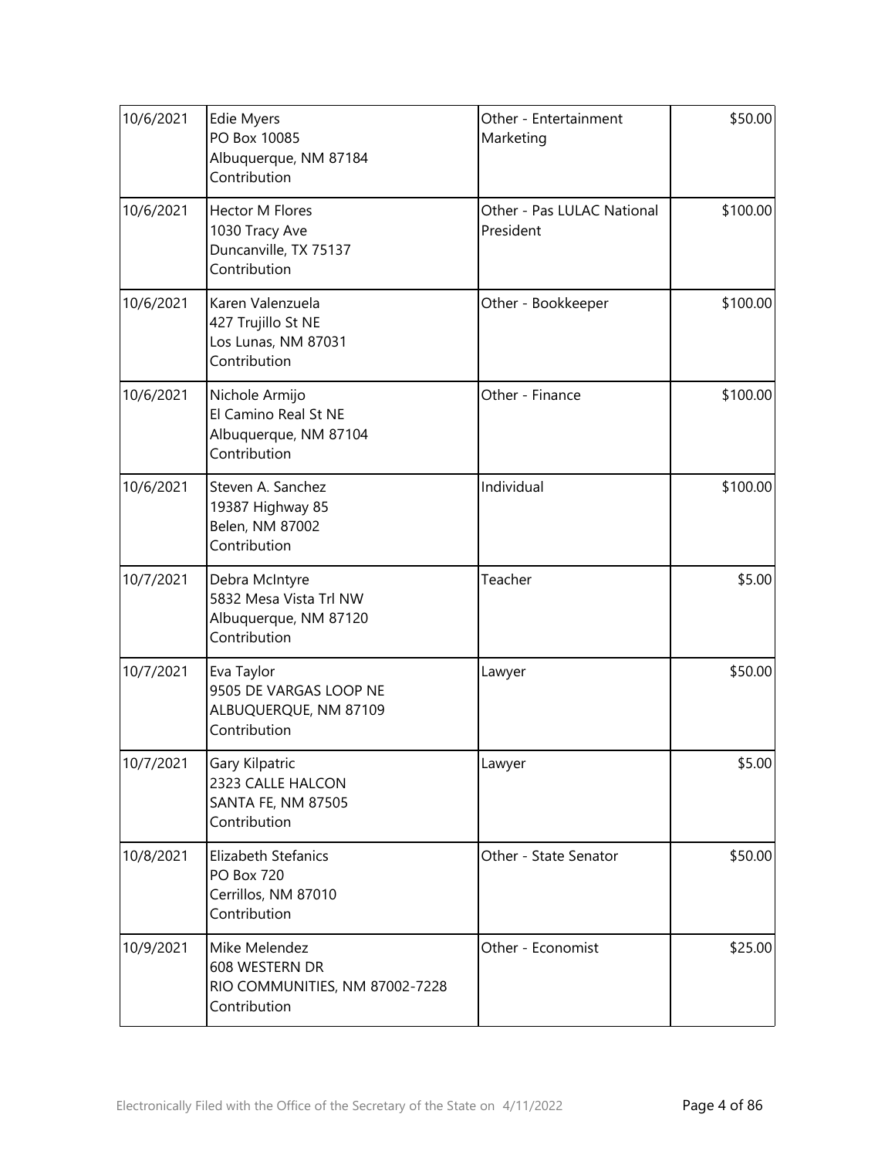| 10/6/2021 | <b>Edie Myers</b><br>PO Box 10085<br>Albuquerque, NM 87184<br>Contribution        | Other - Entertainment<br>Marketing      | \$50.00  |
|-----------|-----------------------------------------------------------------------------------|-----------------------------------------|----------|
| 10/6/2021 | <b>Hector M Flores</b><br>1030 Tracy Ave<br>Duncanville, TX 75137<br>Contribution | Other - Pas LULAC National<br>President | \$100.00 |
| 10/6/2021 | Karen Valenzuela<br>427 Trujillo St NE<br>Los Lunas, NM 87031<br>Contribution     | Other - Bookkeeper                      | \$100.00 |
| 10/6/2021 | Nichole Armijo<br>El Camino Real St NE<br>Albuquerque, NM 87104<br>Contribution   | Other - Finance                         | \$100.00 |
| 10/6/2021 | Steven A. Sanchez<br>19387 Highway 85<br>Belen, NM 87002<br>Contribution          | Individual                              | \$100.00 |
| 10/7/2021 | Debra McIntyre<br>5832 Mesa Vista Trl NW<br>Albuquerque, NM 87120<br>Contribution | Teacher                                 | \$5.00   |
| 10/7/2021 | Eva Taylor<br>9505 DE VARGAS LOOP NE<br>ALBUQUERQUE, NM 87109<br>Contribution     | Lawyer                                  | \$50.00  |
| 10/7/2021 | Gary Kilpatric<br>2323 CALLE HALCON<br><b>SANTA FE, NM 87505</b><br>Contribution  | Lawyer                                  | \$5.00   |
| 10/8/2021 | Elizabeth Stefanics<br><b>PO Box 720</b><br>Cerrillos, NM 87010<br>Contribution   | Other - State Senator                   | \$50.00  |
| 10/9/2021 | Mike Melendez<br>608 WESTERN DR<br>RIO COMMUNITIES, NM 87002-7228<br>Contribution | Other - Economist                       | \$25.00  |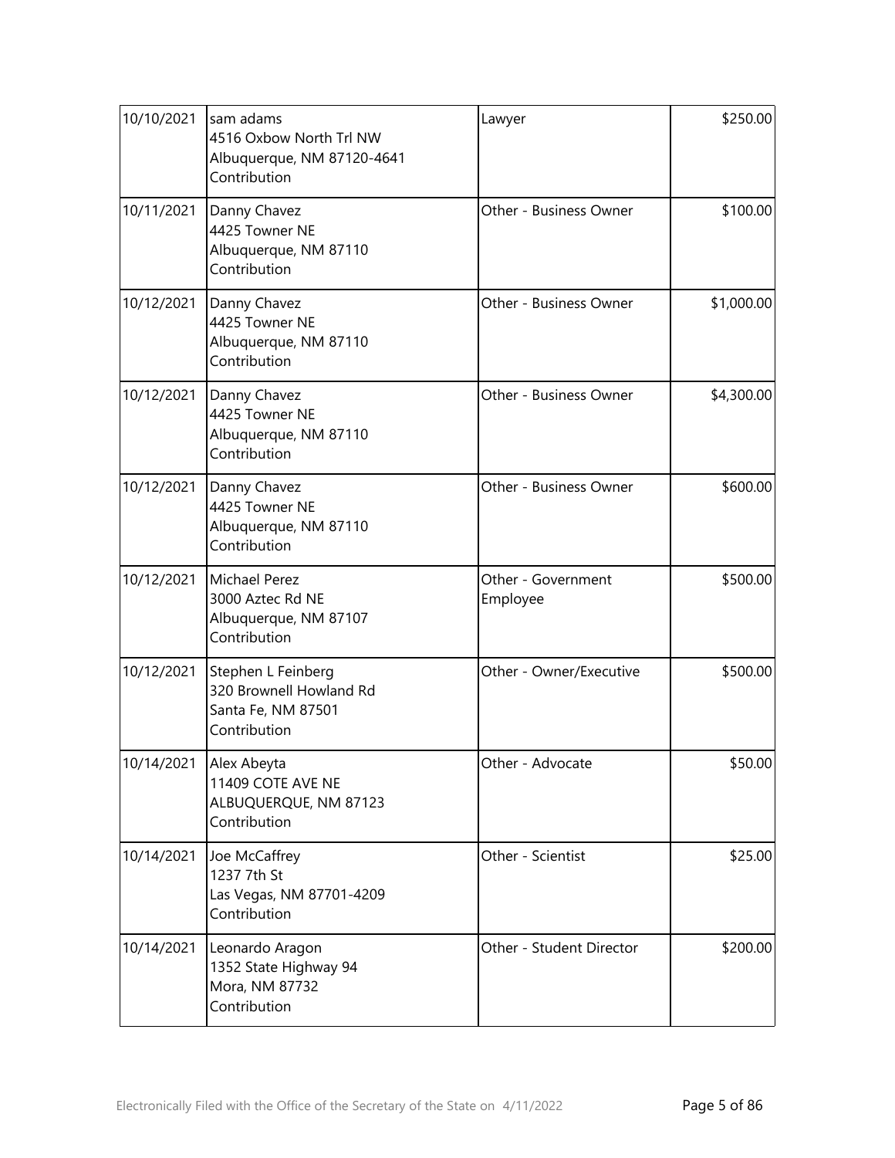| 10/10/2021 | sam adams<br>4516 Oxbow North Trl NW<br>Albuquerque, NM 87120-4641<br>Contribution   | Lawyer                         | \$250.00   |
|------------|--------------------------------------------------------------------------------------|--------------------------------|------------|
| 10/11/2021 | Danny Chavez<br>4425 Towner NE<br>Albuquerque, NM 87110<br>Contribution              | Other - Business Owner         | \$100.00   |
| 10/12/2021 | Danny Chavez<br>4425 Towner NE<br>Albuquerque, NM 87110<br>Contribution              | Other - Business Owner         | \$1,000.00 |
| 10/12/2021 | Danny Chavez<br>4425 Towner NE<br>Albuquerque, NM 87110<br>Contribution              | Other - Business Owner         | \$4,300.00 |
| 10/12/2021 | Danny Chavez<br>4425 Towner NE<br>Albuquerque, NM 87110<br>Contribution              | Other - Business Owner         | \$600.00   |
| 10/12/2021 | Michael Perez<br>3000 Aztec Rd NE<br>Albuquerque, NM 87107<br>Contribution           | Other - Government<br>Employee | \$500.00   |
| 10/12/2021 | Stephen L Feinberg<br>320 Brownell Howland Rd<br>Santa Fe, NM 87501<br>Contribution  | Other - Owner/Executive        | \$500.00   |
|            | 10/14/2021 Alex Abeyta<br>11409 COTE AVE NE<br>ALBUQUERQUE, NM 87123<br>Contribution | Other - Advocate               | \$50.00    |
| 10/14/2021 | Joe McCaffrey<br>1237 7th St<br>Las Vegas, NM 87701-4209<br>Contribution             | Other - Scientist              | \$25.00    |
| 10/14/2021 | Leonardo Aragon<br>1352 State Highway 94<br>Mora, NM 87732<br>Contribution           | Other - Student Director       | \$200.00   |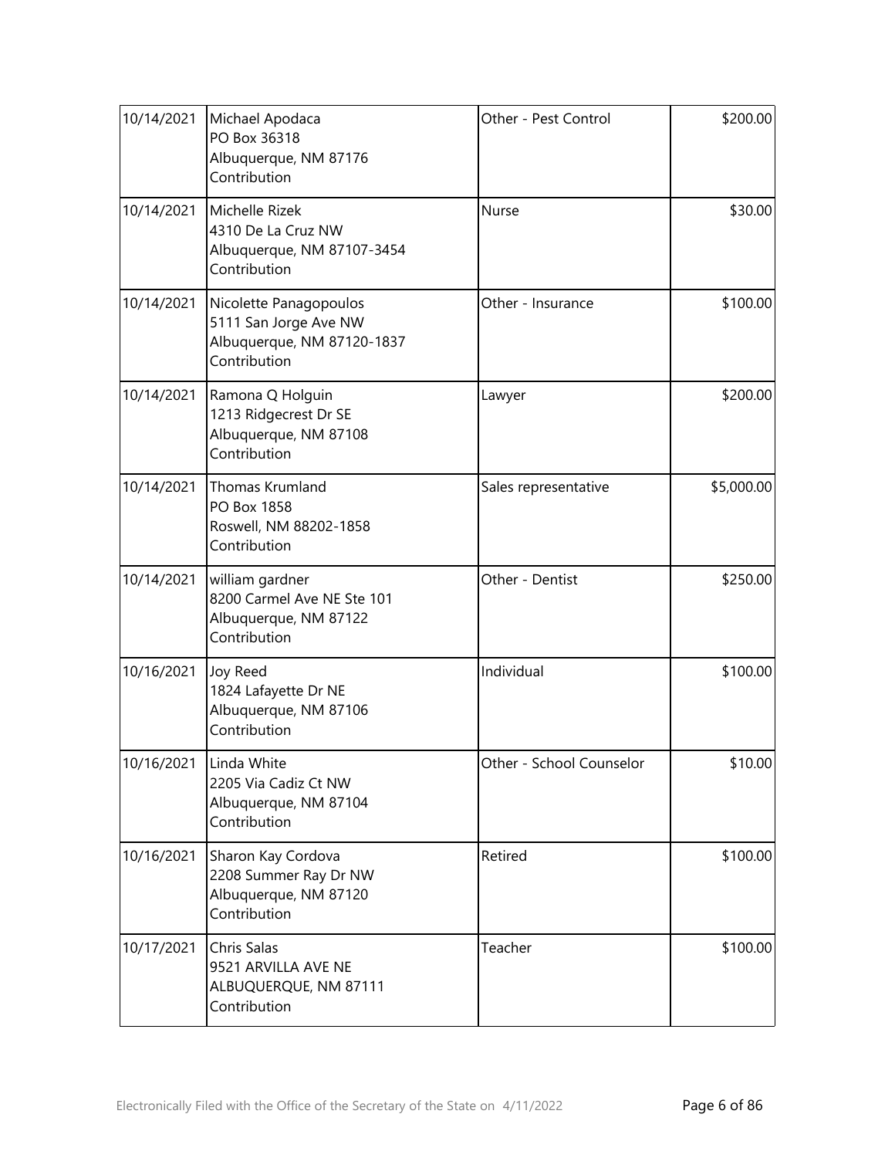| 10/14/2021 | Michael Apodaca<br>PO Box 36318<br>Albuquerque, NM 87176<br>Contribution                      | Other - Pest Control     | \$200.00   |
|------------|-----------------------------------------------------------------------------------------------|--------------------------|------------|
| 10/14/2021 | Michelle Rizek<br>4310 De La Cruz NW<br>Albuquerque, NM 87107-3454<br>Contribution            | Nurse                    | \$30.00    |
| 10/14/2021 | Nicolette Panagopoulos<br>5111 San Jorge Ave NW<br>Albuquerque, NM 87120-1837<br>Contribution | Other - Insurance        | \$100.00   |
| 10/14/2021 | Ramona Q Holguin<br>1213 Ridgecrest Dr SE<br>Albuquerque, NM 87108<br>Contribution            | Lawyer                   | \$200.00   |
| 10/14/2021 | Thomas Krumland<br>PO Box 1858<br>Roswell, NM 88202-1858<br>Contribution                      | Sales representative     | \$5,000.00 |
| 10/14/2021 | william gardner<br>8200 Carmel Ave NE Ste 101<br>Albuquerque, NM 87122<br>Contribution        | Other - Dentist          | \$250.00   |
| 10/16/2021 | Joy Reed<br>1824 Lafayette Dr NE<br>Albuquerque, NM 87106<br>Contribution                     | Individual               | \$100.00   |
| 10/16/2021 | Linda White<br>2205 Via Cadiz Ct NW<br>Albuquerque, NM 87104<br>Contribution                  | Other - School Counselor | \$10.00    |
| 10/16/2021 | Sharon Kay Cordova<br>2208 Summer Ray Dr NW<br>Albuquerque, NM 87120<br>Contribution          | Retired                  | \$100.00   |
| 10/17/2021 | Chris Salas<br>9521 ARVILLA AVE NE<br>ALBUQUERQUE, NM 87111<br>Contribution                   | Teacher                  | \$100.00   |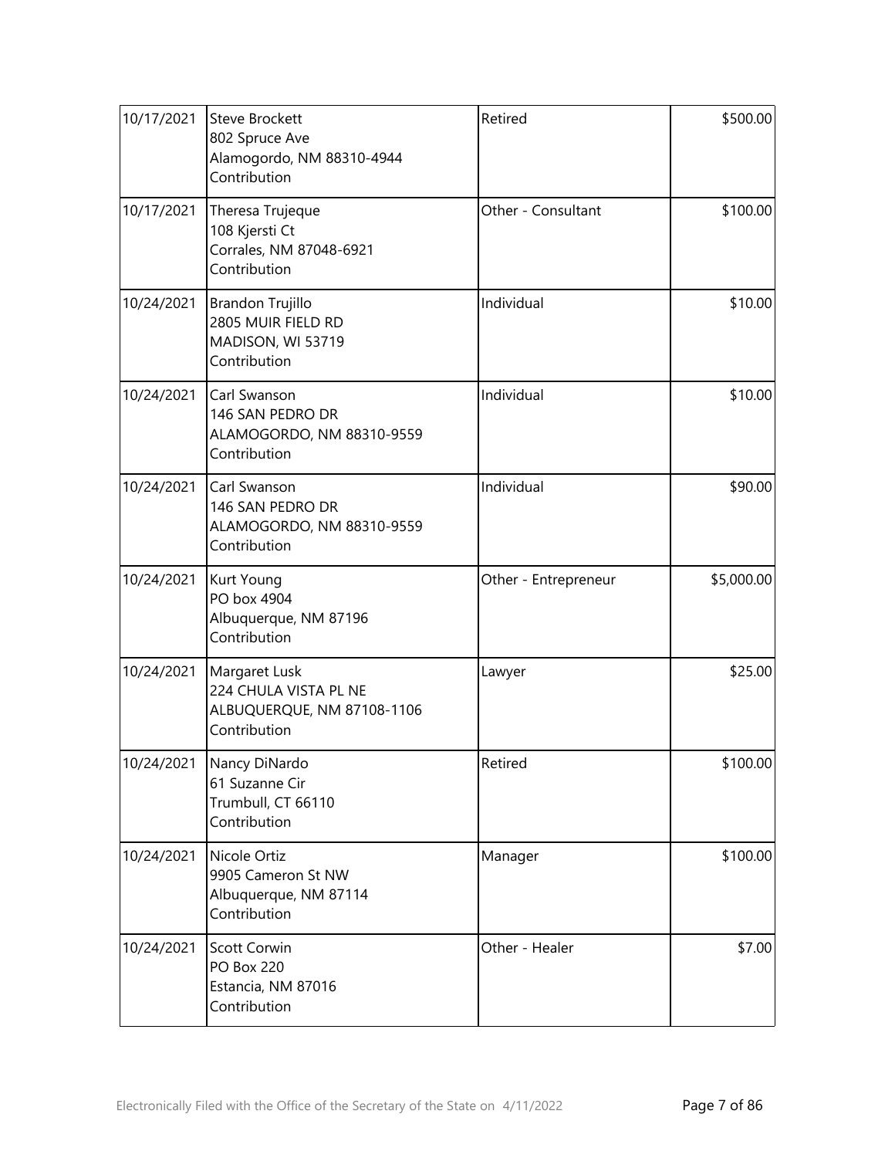| 10/17/2021 | <b>Steve Brockett</b><br>802 Spruce Ave<br>Alamogordo, NM 88310-4944<br>Contribution | Retired              | \$500.00   |
|------------|--------------------------------------------------------------------------------------|----------------------|------------|
| 10/17/2021 | Theresa Trujeque<br>108 Kjersti Ct<br>Corrales, NM 87048-6921<br>Contribution        | Other - Consultant   | \$100.00   |
| 10/24/2021 | Brandon Trujillo<br>2805 MUIR FIELD RD<br>MADISON, WI 53719<br>Contribution          | Individual           | \$10.00    |
| 10/24/2021 | Carl Swanson<br>146 SAN PEDRO DR<br>ALAMOGORDO, NM 88310-9559<br>Contribution        | Individual           | \$10.00    |
| 10/24/2021 | Carl Swanson<br>146 SAN PEDRO DR<br>ALAMOGORDO, NM 88310-9559<br>Contribution        | Individual           | \$90.00    |
| 10/24/2021 | Kurt Young<br>PO box 4904<br>Albuquerque, NM 87196<br>Contribution                   | Other - Entrepreneur | \$5,000.00 |
| 10/24/2021 | Margaret Lusk<br>224 CHULA VISTA PL NE<br>ALBUQUERQUE, NM 87108-1106<br>Contribution | Lawyer               | \$25.00    |
|            | 10/24/2021 Nancy DiNardo<br>61 Suzanne Cir<br>Trumbull, CT 66110<br>Contribution     | Retired              | \$100.00   |
| 10/24/2021 | Nicole Ortiz<br>9905 Cameron St NW<br>Albuquerque, NM 87114<br>Contribution          | Manager              | \$100.00   |
| 10/24/2021 | Scott Corwin<br><b>PO Box 220</b><br>Estancia, NM 87016<br>Contribution              | Other - Healer       | \$7.00     |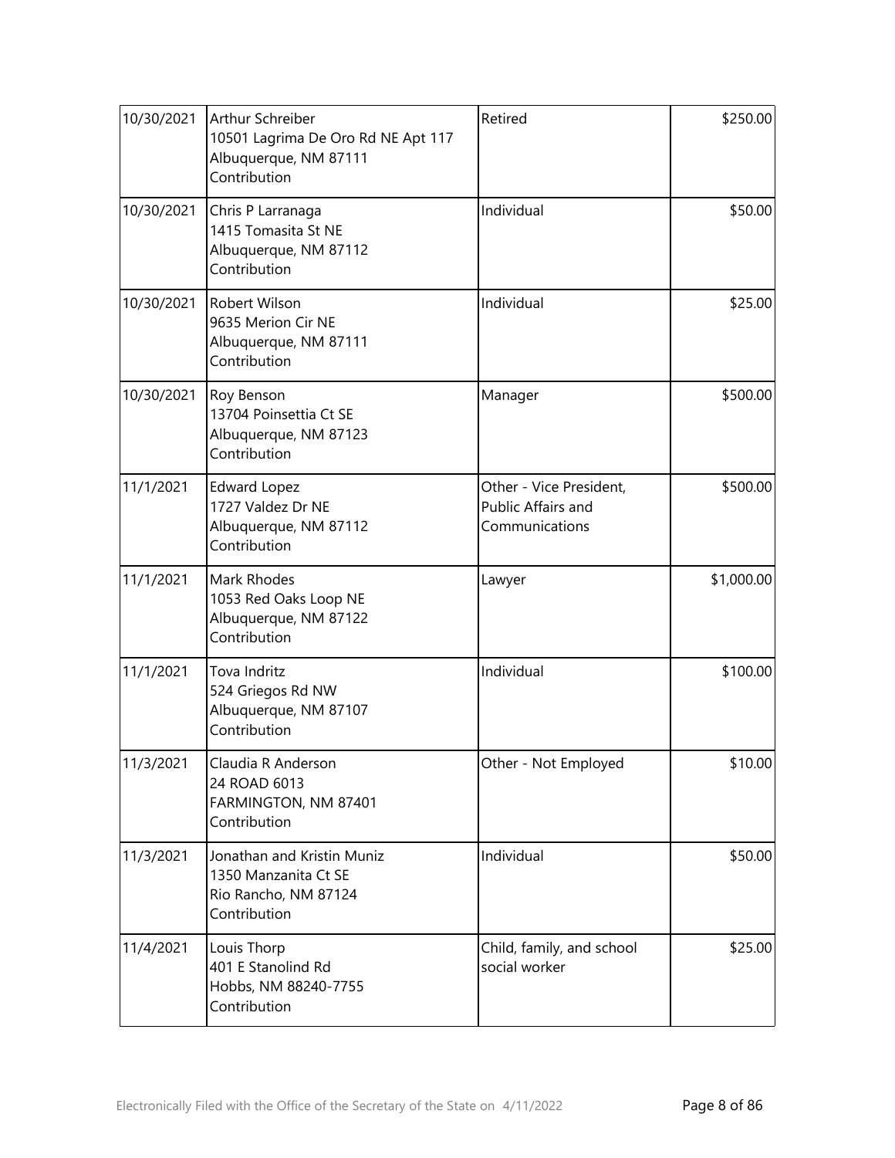| 10/30/2021 | Arthur Schreiber<br>10501 Lagrima De Oro Rd NE Apt 117<br>Albuquerque, NM 87111<br>Contribution | Retired                                                         | \$250.00   |
|------------|-------------------------------------------------------------------------------------------------|-----------------------------------------------------------------|------------|
| 10/30/2021 | Chris P Larranaga<br>1415 Tomasita St NE<br>Albuquerque, NM 87112<br>Contribution               | Individual                                                      | \$50.00    |
| 10/30/2021 | Robert Wilson<br>9635 Merion Cir NE<br>Albuquerque, NM 87111<br>Contribution                    | Individual                                                      | \$25.00    |
| 10/30/2021 | Roy Benson<br>13704 Poinsettia Ct SE<br>Albuquerque, NM 87123<br>Contribution                   | Manager                                                         | \$500.00   |
| 11/1/2021  | <b>Edward Lopez</b><br>1727 Valdez Dr NE<br>Albuquerque, NM 87112<br>Contribution               | Other - Vice President,<br>Public Affairs and<br>Communications | \$500.00   |
| 11/1/2021  | Mark Rhodes<br>1053 Red Oaks Loop NE<br>Albuquerque, NM 87122<br>Contribution                   | Lawyer                                                          | \$1,000.00 |
| 11/1/2021  | Tova Indritz<br>524 Griegos Rd NW<br>Albuquerque, NM 87107<br>Contribution                      | Individual                                                      | \$100.00   |
| 11/3/2021  | Claudia R Anderson<br>24 ROAD 6013<br>FARMINGTON, NM 87401<br>Contribution                      | Other - Not Employed                                            | \$10.00    |
| 11/3/2021  | Jonathan and Kristin Muniz<br>1350 Manzanita Ct SE<br>Rio Rancho, NM 87124<br>Contribution      | Individual                                                      | \$50.00    |
| 11/4/2021  | Louis Thorp<br>401 E Stanolind Rd<br>Hobbs, NM 88240-7755<br>Contribution                       | Child, family, and school<br>social worker                      | \$25.00    |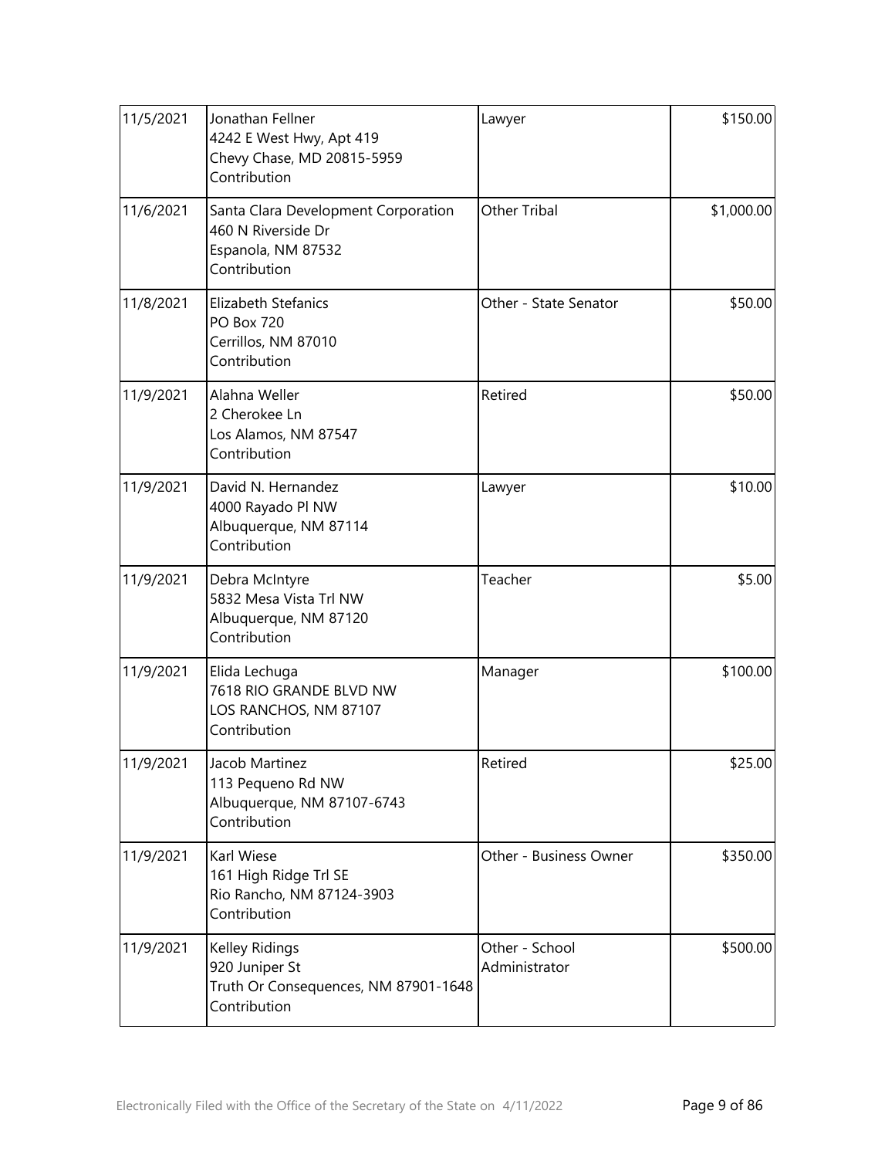| 11/5/2021 | Jonathan Fellner<br>4242 E West Hwy, Apt 419<br>Chevy Chase, MD 20815-5959<br>Contribution      | Lawyer                          | \$150.00   |
|-----------|-------------------------------------------------------------------------------------------------|---------------------------------|------------|
| 11/6/2021 | Santa Clara Development Corporation<br>460 N Riverside Dr<br>Espanola, NM 87532<br>Contribution | <b>Other Tribal</b>             | \$1,000.00 |
| 11/8/2021 | Elizabeth Stefanics<br><b>PO Box 720</b><br>Cerrillos, NM 87010<br>Contribution                 | Other - State Senator           | \$50.00    |
| 11/9/2021 | Alahna Weller<br>2 Cherokee Ln<br>Los Alamos, NM 87547<br>Contribution                          | Retired                         | \$50.00    |
| 11/9/2021 | David N. Hernandez<br>4000 Rayado Pl NW<br>Albuquerque, NM 87114<br>Contribution                | Lawyer                          | \$10.00    |
| 11/9/2021 | Debra McIntyre<br>5832 Mesa Vista Trl NW<br>Albuquerque, NM 87120<br>Contribution               | Teacher                         | \$5.00     |
| 11/9/2021 | Elida Lechuga<br>7618 RIO GRANDE BLVD NW<br>LOS RANCHOS, NM 87107<br>Contribution               | Manager                         | \$100.00   |
| 11/9/2021 | Jacob Martinez<br>113 Pequeno Rd NW<br>Albuquerque, NM 87107-6743<br>Contribution               | Retired                         | \$25.00    |
| 11/9/2021 | Karl Wiese<br>161 High Ridge Trl SE<br>Rio Rancho, NM 87124-3903<br>Contribution                | Other - Business Owner          | \$350.00   |
| 11/9/2021 | Kelley Ridings<br>920 Juniper St<br>Truth Or Consequences, NM 87901-1648<br>Contribution        | Other - School<br>Administrator | \$500.00   |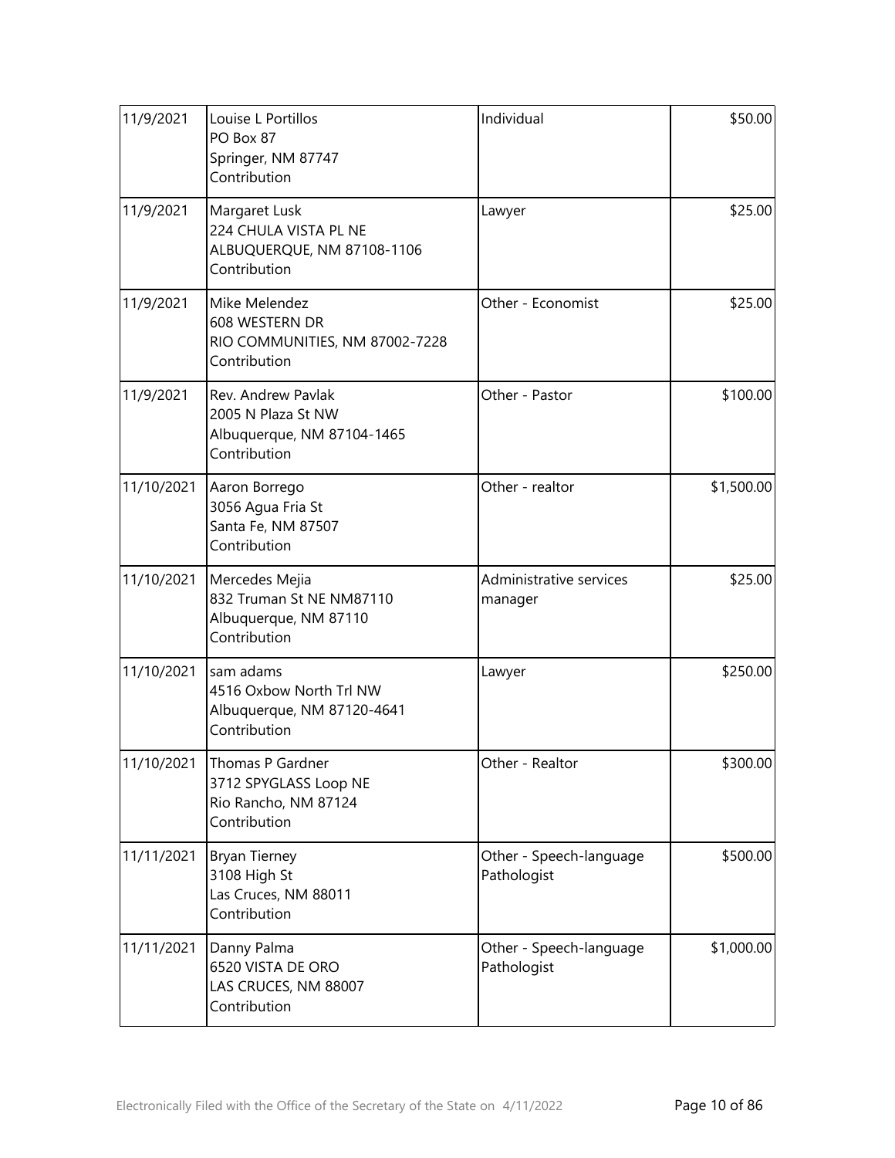| 11/9/2021  | Louise L Portillos<br>PO Box 87<br>Springer, NM 87747<br>Contribution                  | Individual                             | \$50.00    |
|------------|----------------------------------------------------------------------------------------|----------------------------------------|------------|
| 11/9/2021  | Margaret Lusk<br>224 CHULA VISTA PL NE<br>ALBUQUERQUE, NM 87108-1106<br>Contribution   | Lawyer                                 | \$25.00    |
| 11/9/2021  | Mike Melendez<br>608 WESTERN DR<br>RIO COMMUNITIES, NM 87002-7228<br>Contribution      | Other - Economist                      | \$25.00    |
| 11/9/2021  | Rev. Andrew Pavlak<br>2005 N Plaza St NW<br>Albuquerque, NM 87104-1465<br>Contribution | Other - Pastor                         | \$100.00   |
| 11/10/2021 | Aaron Borrego<br>3056 Agua Fria St<br>Santa Fe, NM 87507<br>Contribution               | Other - realtor                        | \$1,500.00 |
| 11/10/2021 | Mercedes Mejia<br>832 Truman St NE NM87110<br>Albuquerque, NM 87110<br>Contribution    | Administrative services<br>manager     | \$25.00    |
| 11/10/2021 | sam adams<br>4516 Oxbow North Trl NW<br>Albuquerque, NM 87120-4641<br>Contribution     | Lawyer                                 | \$250.00   |
| 11/10/2021 | Thomas P Gardner<br>3712 SPYGLASS Loop NE<br>Rio Rancho, NM 87124<br>Contribution      | Other - Realtor                        | \$300.00   |
| 11/11/2021 | <b>Bryan Tierney</b><br>3108 High St<br>Las Cruces, NM 88011<br>Contribution           | Other - Speech-language<br>Pathologist | \$500.00   |
| 11/11/2021 | Danny Palma<br>6520 VISTA DE ORO<br>LAS CRUCES, NM 88007<br>Contribution               | Other - Speech-language<br>Pathologist | \$1,000.00 |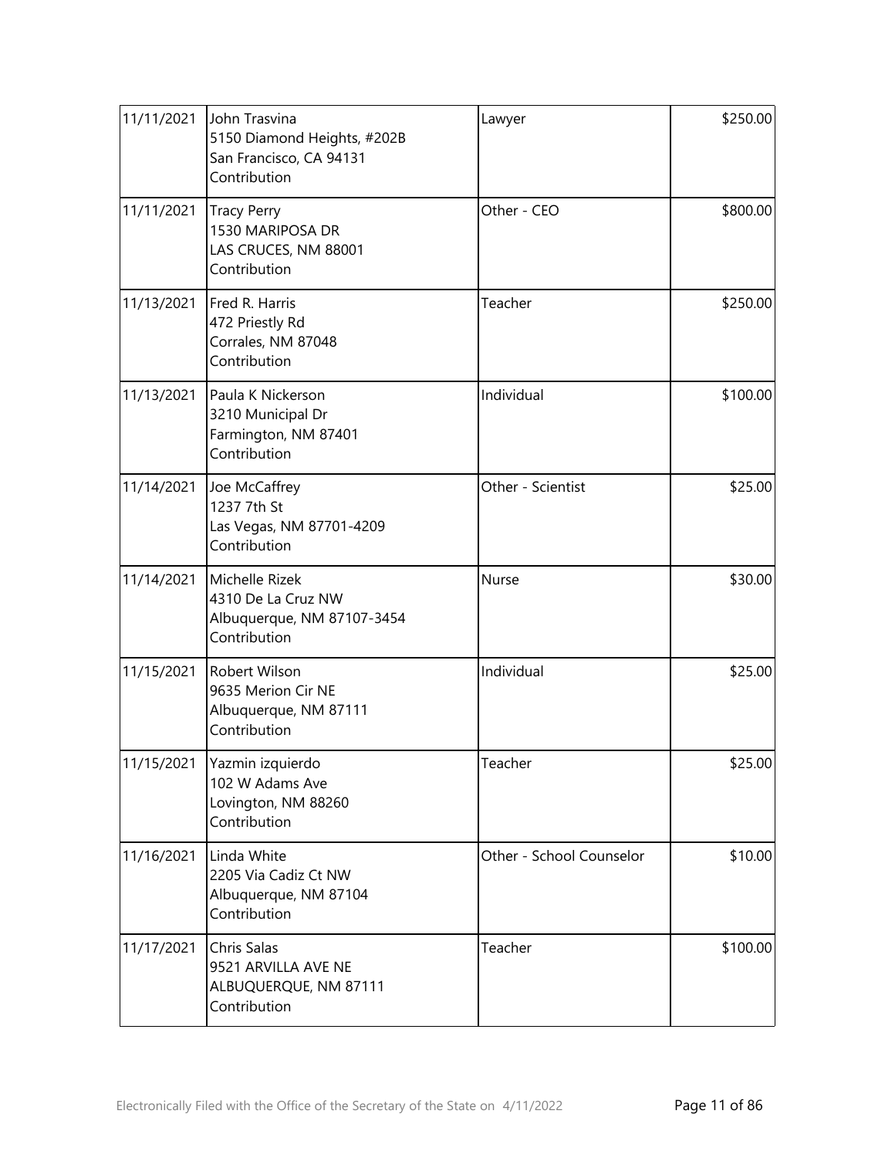| 11/11/2021 | John Trasvina<br>5150 Diamond Heights, #202B<br>San Francisco, CA 94131<br>Contribution | Lawyer                   | \$250.00 |
|------------|-----------------------------------------------------------------------------------------|--------------------------|----------|
| 11/11/2021 | <b>Tracy Perry</b><br>1530 MARIPOSA DR<br>LAS CRUCES, NM 88001<br>Contribution          | Other - CEO              | \$800.00 |
| 11/13/2021 | Fred R. Harris<br>472 Priestly Rd<br>Corrales, NM 87048<br>Contribution                 | Teacher                  | \$250.00 |
| 11/13/2021 | Paula K Nickerson<br>3210 Municipal Dr<br>Farmington, NM 87401<br>Contribution          | Individual               | \$100.00 |
| 11/14/2021 | Joe McCaffrey<br>1237 7th St<br>Las Vegas, NM 87701-4209<br>Contribution                | Other - Scientist        | \$25.00  |
| 11/14/2021 | Michelle Rizek<br>4310 De La Cruz NW<br>Albuquerque, NM 87107-3454<br>Contribution      | Nurse                    | \$30.00  |
| 11/15/2021 | Robert Wilson<br>9635 Merion Cir NE<br>Albuquerque, NM 87111<br>Contribution            | Individual               | \$25.00  |
| 11/15/2021 | Yazmin izquierdo<br>102 W Adams Ave<br>Lovington, NM 88260<br>Contribution              | Teacher                  | \$25.00  |
| 11/16/2021 | Linda White<br>2205 Via Cadiz Ct NW<br>Albuquerque, NM 87104<br>Contribution            | Other - School Counselor | \$10.00  |
| 11/17/2021 | Chris Salas<br>9521 ARVILLA AVE NE<br>ALBUQUERQUE, NM 87111<br>Contribution             | Teacher                  | \$100.00 |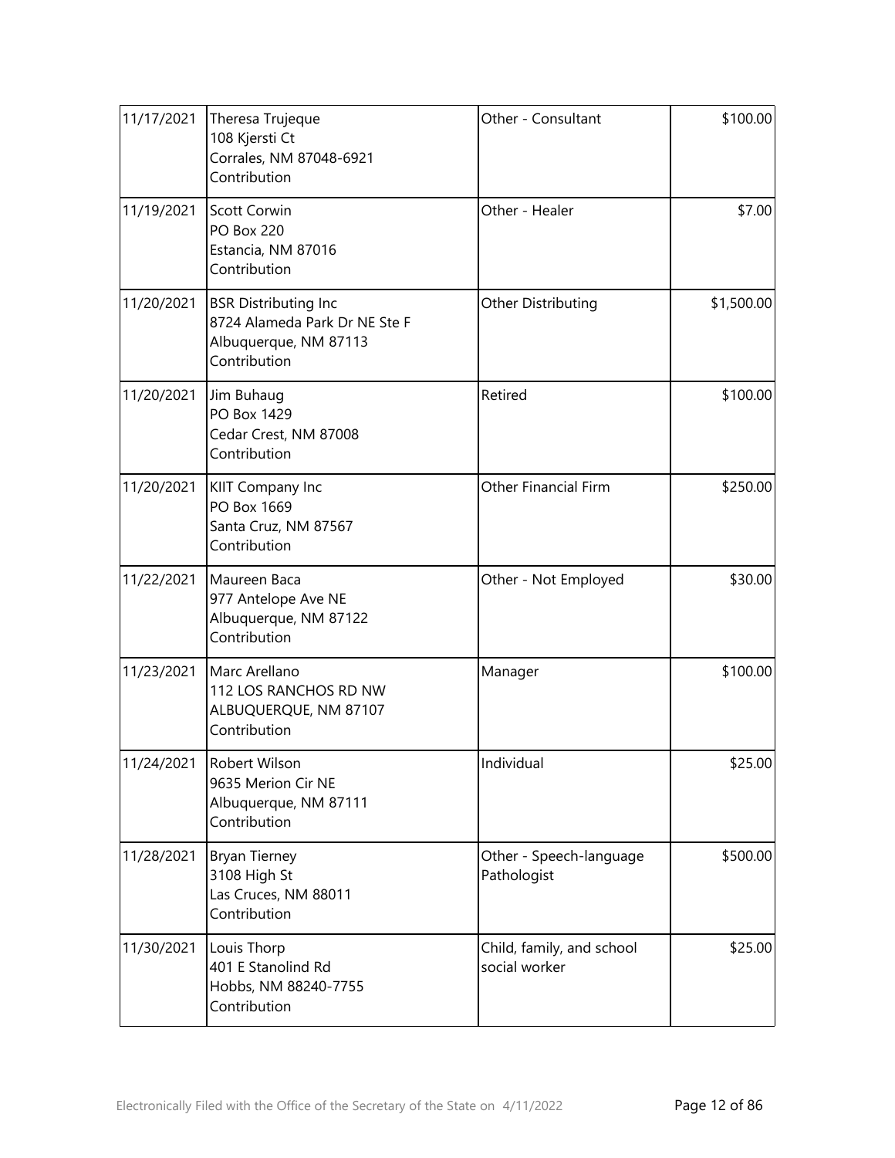| 11/17/2021 | Theresa Trujeque<br>108 Kjersti Ct<br>Corrales, NM 87048-6921<br>Contribution                         | Other - Consultant                         | \$100.00   |
|------------|-------------------------------------------------------------------------------------------------------|--------------------------------------------|------------|
| 11/19/2021 | Scott Corwin<br><b>PO Box 220</b><br>Estancia, NM 87016<br>Contribution                               | Other - Healer                             | \$7.00     |
| 11/20/2021 | <b>BSR Distributing Inc</b><br>8724 Alameda Park Dr NE Ste F<br>Albuquerque, NM 87113<br>Contribution | Other Distributing                         | \$1,500.00 |
| 11/20/2021 | Jim Buhaug<br>PO Box 1429<br>Cedar Crest, NM 87008<br>Contribution                                    | Retired                                    | \$100.00   |
| 11/20/2021 | KIIT Company Inc<br>PO Box 1669<br>Santa Cruz, NM 87567<br>Contribution                               | <b>Other Financial Firm</b>                | \$250.00   |
| 11/22/2021 | Maureen Baca<br>977 Antelope Ave NE<br>Albuquerque, NM 87122<br>Contribution                          | Other - Not Employed                       | \$30.00    |
| 11/23/2021 | Marc Arellano<br>112 LOS RANCHOS RD NW<br>ALBUQUERQUE, NM 87107<br>Contribution                       | Manager                                    | \$100.00   |
| 11/24/2021 | Robert Wilson<br>9635 Merion Cir NE<br>Albuquerque, NM 87111<br>Contribution                          | Individual                                 | \$25.00    |
| 11/28/2021 | <b>Bryan Tierney</b><br>3108 High St<br>Las Cruces, NM 88011<br>Contribution                          | Other - Speech-language<br>Pathologist     | \$500.00   |
| 11/30/2021 | Louis Thorp<br>401 E Stanolind Rd<br>Hobbs, NM 88240-7755<br>Contribution                             | Child, family, and school<br>social worker | \$25.00    |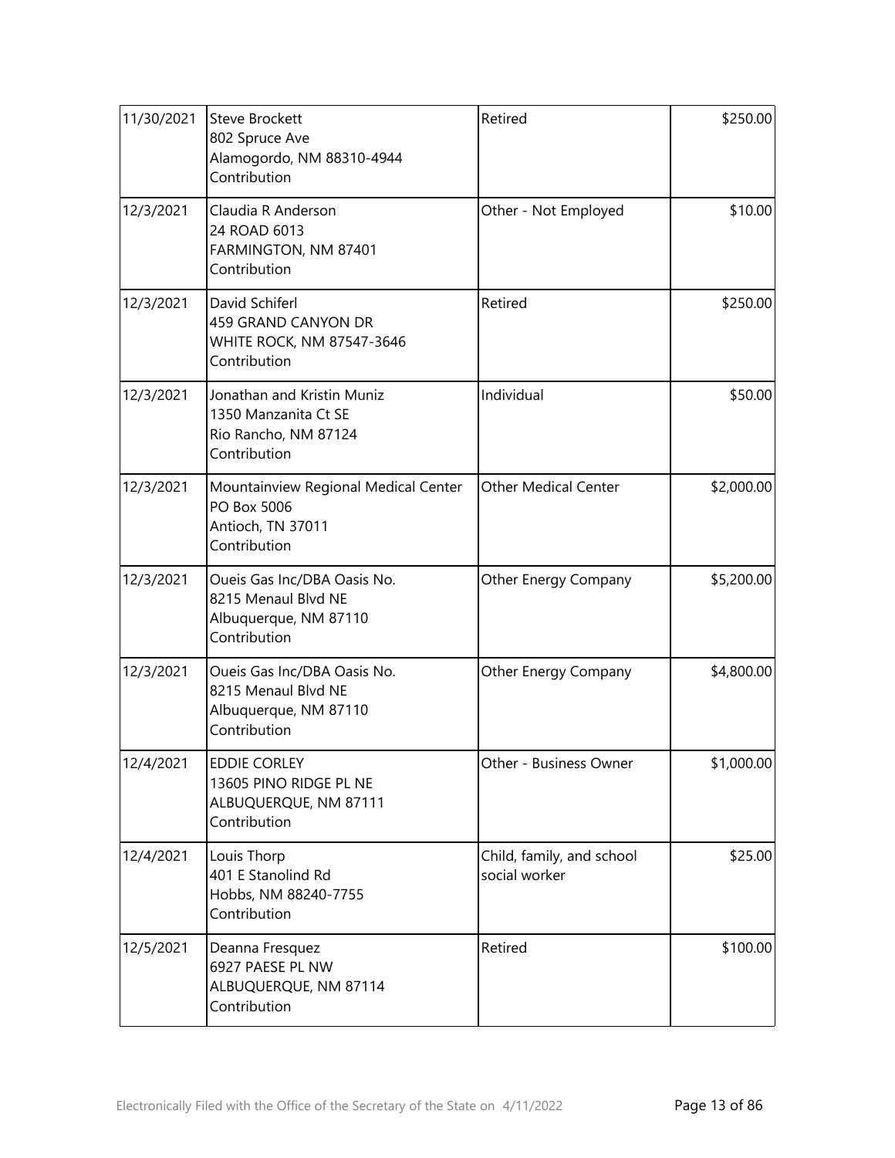| 11/30/2021 | <b>Steve Brockett</b><br>802 Spruce Ave<br>Alamogordo, NM 88310-4944<br>Contribution        | Retired                                    | \$250.00   |
|------------|---------------------------------------------------------------------------------------------|--------------------------------------------|------------|
| 12/3/2021  | Claudia R Anderson<br>24 ROAD 6013<br>FARMINGTON, NM 87401<br>Contribution                  | Other - Not Employed                       | \$10.00    |
| 12/3/2021  | David Schiferl<br>459 GRAND CANYON DR<br>WHITE ROCK, NM 87547-3646<br>Contribution          | Retired                                    | \$250.00   |
| 12/3/2021  | Jonathan and Kristin Muniz<br>1350 Manzanita Ct SE<br>Rio Rancho, NM 87124<br>Contribution  | Individual                                 | \$50.00    |
| 12/3/2021  | Mountainview Regional Medical Center<br>PO Box 5006<br>Antioch, TN 37011<br>Contribution    | <b>Other Medical Center</b>                | \$2,000.00 |
| 12/3/2021  | Oueis Gas Inc/DBA Oasis No.<br>8215 Menaul Blvd NE<br>Albuquerque, NM 87110<br>Contribution | Other Energy Company                       | \$5,200.00 |
| 12/3/2021  | Oueis Gas Inc/DBA Oasis No.<br>8215 Menaul Blvd NE<br>Albuquerque, NM 87110<br>Contribution | Other Energy Company                       | \$4,800.00 |
| 12/4/2021  | <b>EDDIE CORLEY</b><br>13605 PINO RIDGE PL NE<br>ALBUQUERQUE, NM 87111<br>Contribution      | Other - Business Owner                     | \$1,000.00 |
| 12/4/2021  | Louis Thorp<br>401 E Stanolind Rd<br>Hobbs, NM 88240-7755<br>Contribution                   | Child, family, and school<br>social worker | \$25.00    |
| 12/5/2021  | Deanna Fresquez<br>6927 PAESE PL NW<br>ALBUQUERQUE, NM 87114<br>Contribution                | Retired                                    | \$100.00   |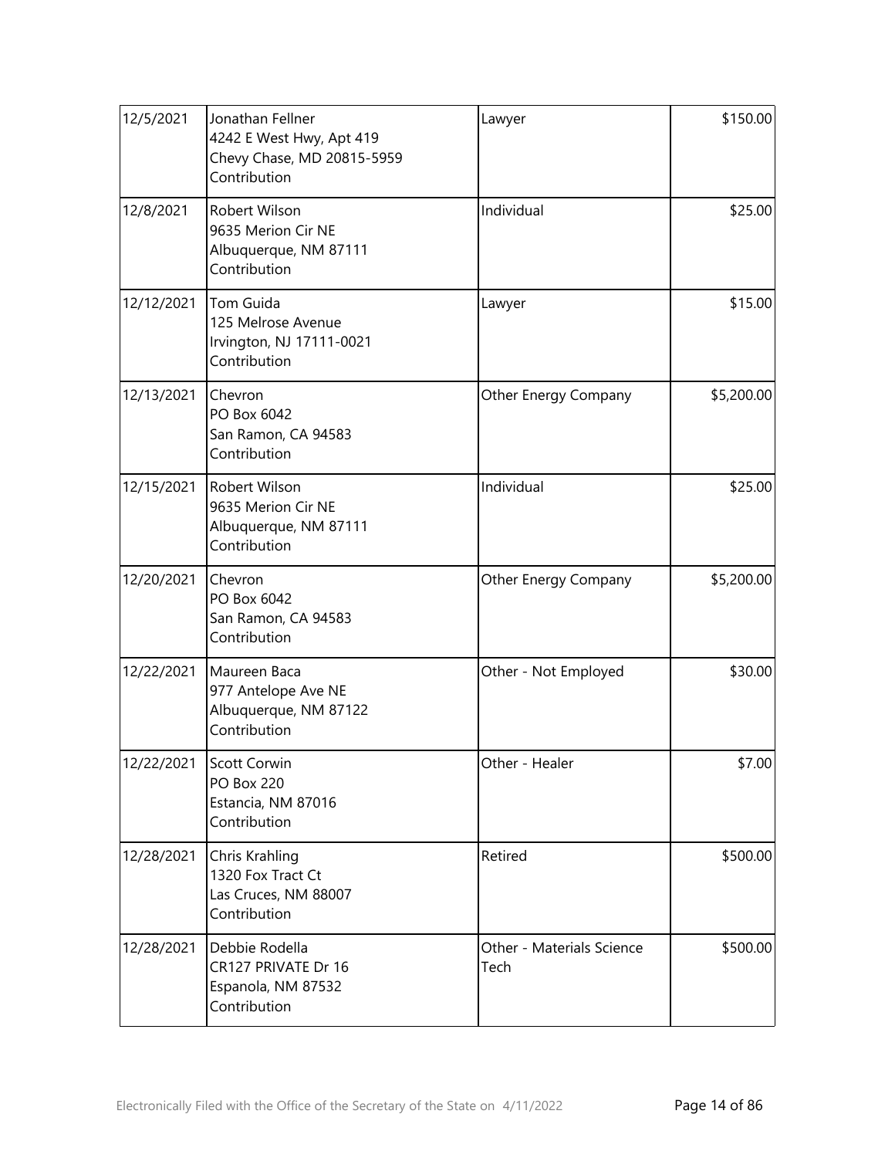| 12/5/2021  | Jonathan Fellner<br>4242 E West Hwy, Apt 419<br>Chevy Chase, MD 20815-5959<br>Contribution | Lawyer                            | \$150.00   |
|------------|--------------------------------------------------------------------------------------------|-----------------------------------|------------|
| 12/8/2021  | Robert Wilson<br>9635 Merion Cir NE<br>Albuquerque, NM 87111<br>Contribution               | Individual                        | \$25.00    |
| 12/12/2021 | Tom Guida<br>125 Melrose Avenue<br>Irvington, NJ 17111-0021<br>Contribution                | Lawyer                            | \$15.00    |
| 12/13/2021 | Chevron<br>PO Box 6042<br>San Ramon, CA 94583<br>Contribution                              | Other Energy Company              | \$5,200.00 |
| 12/15/2021 | <b>Robert Wilson</b><br>9635 Merion Cir NE<br>Albuquerque, NM 87111<br>Contribution        | Individual                        | \$25.00    |
| 12/20/2021 | Chevron<br>PO Box 6042<br>San Ramon, CA 94583<br>Contribution                              | Other Energy Company              | \$5,200.00 |
| 12/22/2021 | Maureen Baca<br>977 Antelope Ave NE<br>Albuquerque, NM 87122<br>Contribution               | Other - Not Employed              | \$30.00    |
| 12/22/2021 | Scott Corwin<br><b>PO Box 220</b><br>Estancia, NM 87016<br>Contribution                    | Other - Healer                    | \$7.00     |
| 12/28/2021 | Chris Krahling<br>1320 Fox Tract Ct<br>Las Cruces, NM 88007<br>Contribution                | Retired                           | \$500.00   |
| 12/28/2021 | Debbie Rodella<br>CR127 PRIVATE Dr 16<br>Espanola, NM 87532<br>Contribution                | Other - Materials Science<br>Tech | \$500.00   |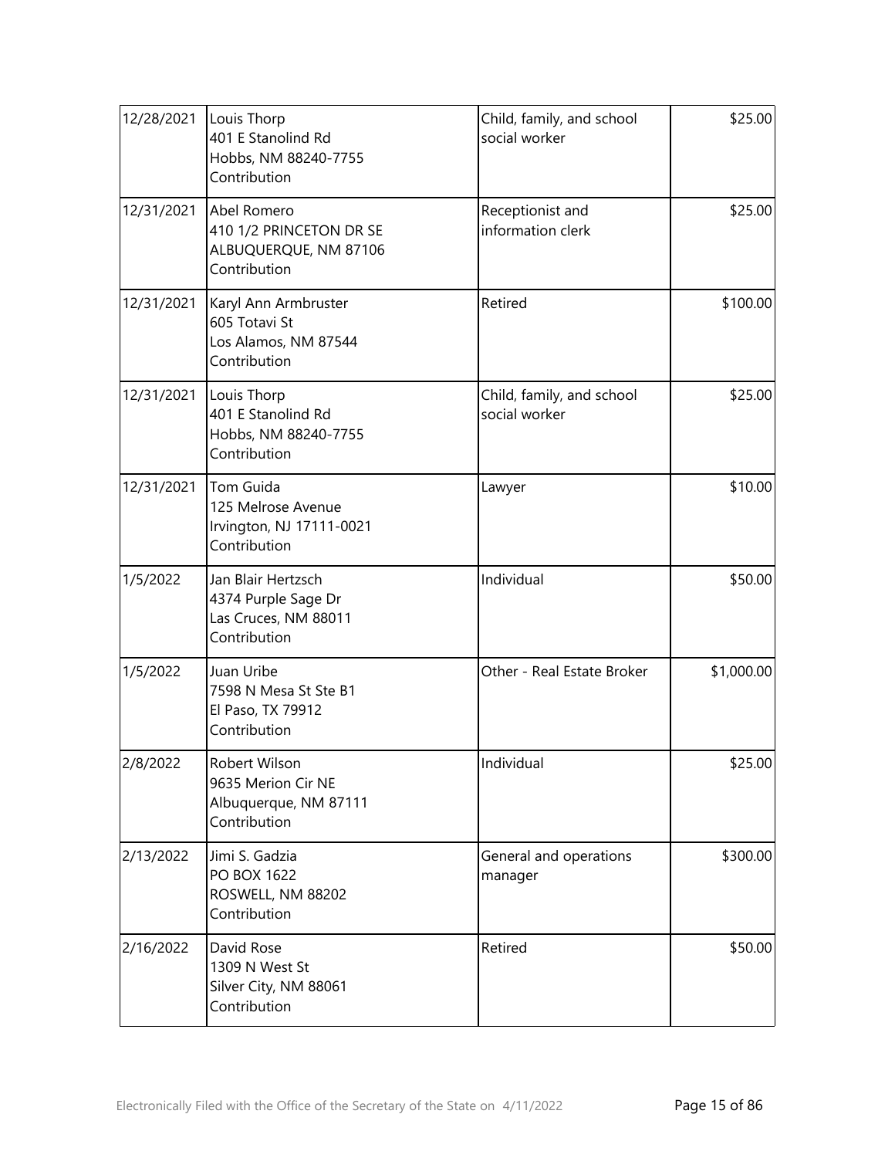| 12/28/2021 | Louis Thorp<br>401 E Stanolind Rd<br>Hobbs, NM 88240-7755<br>Contribution         | Child, family, and school<br>social worker | \$25.00    |
|------------|-----------------------------------------------------------------------------------|--------------------------------------------|------------|
| 12/31/2021 | Abel Romero<br>410 1/2 PRINCETON DR SE<br>ALBUQUERQUE, NM 87106<br>Contribution   | Receptionist and<br>information clerk      | \$25.00    |
| 12/31/2021 | Karyl Ann Armbruster<br>605 Totavi St<br>Los Alamos, NM 87544<br>Contribution     | Retired                                    | \$100.00   |
| 12/31/2021 | Louis Thorp<br>401 E Stanolind Rd<br>Hobbs, NM 88240-7755<br>Contribution         | Child, family, and school<br>social worker | \$25.00    |
| 12/31/2021 | Tom Guida<br>125 Melrose Avenue<br>Irvington, NJ 17111-0021<br>Contribution       | Lawyer                                     | \$10.00    |
| 1/5/2022   | Jan Blair Hertzsch<br>4374 Purple Sage Dr<br>Las Cruces, NM 88011<br>Contribution | Individual                                 | \$50.00    |
| 1/5/2022   | Juan Uribe<br>7598 N Mesa St Ste B1<br>El Paso, TX 79912<br>Contribution          | Other - Real Estate Broker                 | \$1,000.00 |
| 2/8/2022   | Robert Wilson<br>9635 Merion Cir NE<br>Albuquerque, NM 87111<br>Contribution      | Individual                                 | \$25.00    |
| 2/13/2022  | Jimi S. Gadzia<br>PO BOX 1622<br>ROSWELL, NM 88202<br>Contribution                | General and operations<br>manager          | \$300.00   |
| 2/16/2022  | David Rose<br>1309 N West St<br>Silver City, NM 88061<br>Contribution             | Retired                                    | \$50.00    |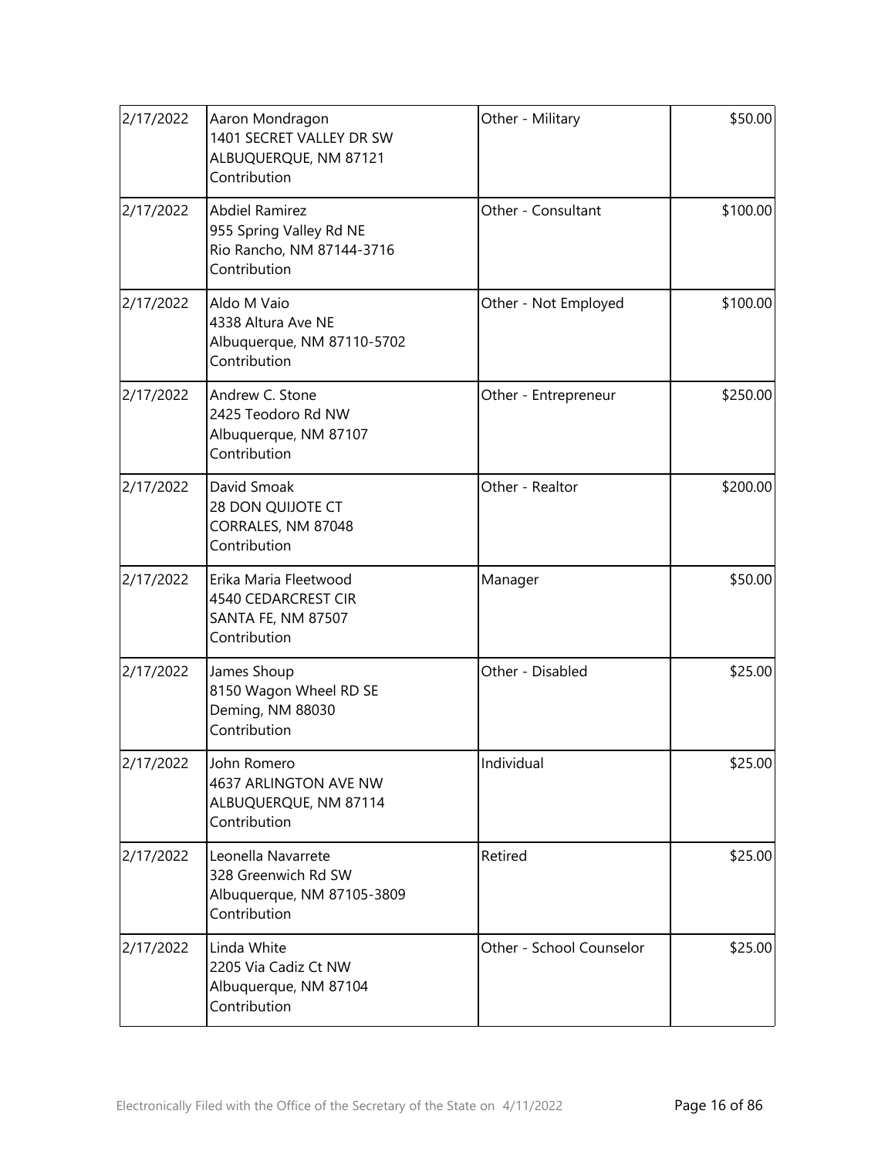| 2/17/2022 | Aaron Mondragon<br>1401 SECRET VALLEY DR SW<br>ALBUQUERQUE, NM 87121<br>Contribution          | Other - Military         | \$50.00  |
|-----------|-----------------------------------------------------------------------------------------------|--------------------------|----------|
| 2/17/2022 | <b>Abdiel Ramirez</b><br>955 Spring Valley Rd NE<br>Rio Rancho, NM 87144-3716<br>Contribution | Other - Consultant       | \$100.00 |
| 2/17/2022 | Aldo M Vaio<br>4338 Altura Ave NE<br>Albuquerque, NM 87110-5702<br>Contribution               | Other - Not Employed     | \$100.00 |
| 2/17/2022 | Andrew C. Stone<br>2425 Teodoro Rd NW<br>Albuquerque, NM 87107<br>Contribution                | Other - Entrepreneur     | \$250.00 |
| 2/17/2022 | David Smoak<br>28 DON QUIJOTE CT<br>CORRALES, NM 87048<br>Contribution                        | Other - Realtor          | \$200.00 |
| 2/17/2022 | Erika Maria Fleetwood<br>4540 CEDARCREST CIR<br>SANTA FE, NM 87507<br>Contribution            | Manager                  | \$50.00  |
| 2/17/2022 | James Shoup<br>8150 Wagon Wheel RD SE<br>Deming, NM 88030<br>Contribution                     | Other - Disabled         | \$25.00  |
| 2/17/2022 | John Romero<br>4637 ARLINGTON AVE NW<br>ALBUQUERQUE, NM 87114<br>Contribution                 | Individual               | \$25.00  |
| 2/17/2022 | Leonella Navarrete<br>328 Greenwich Rd SW<br>Albuquerque, NM 87105-3809<br>Contribution       | Retired                  | \$25.00  |
| 2/17/2022 | Linda White<br>2205 Via Cadiz Ct NW<br>Albuquerque, NM 87104<br>Contribution                  | Other - School Counselor | \$25.00  |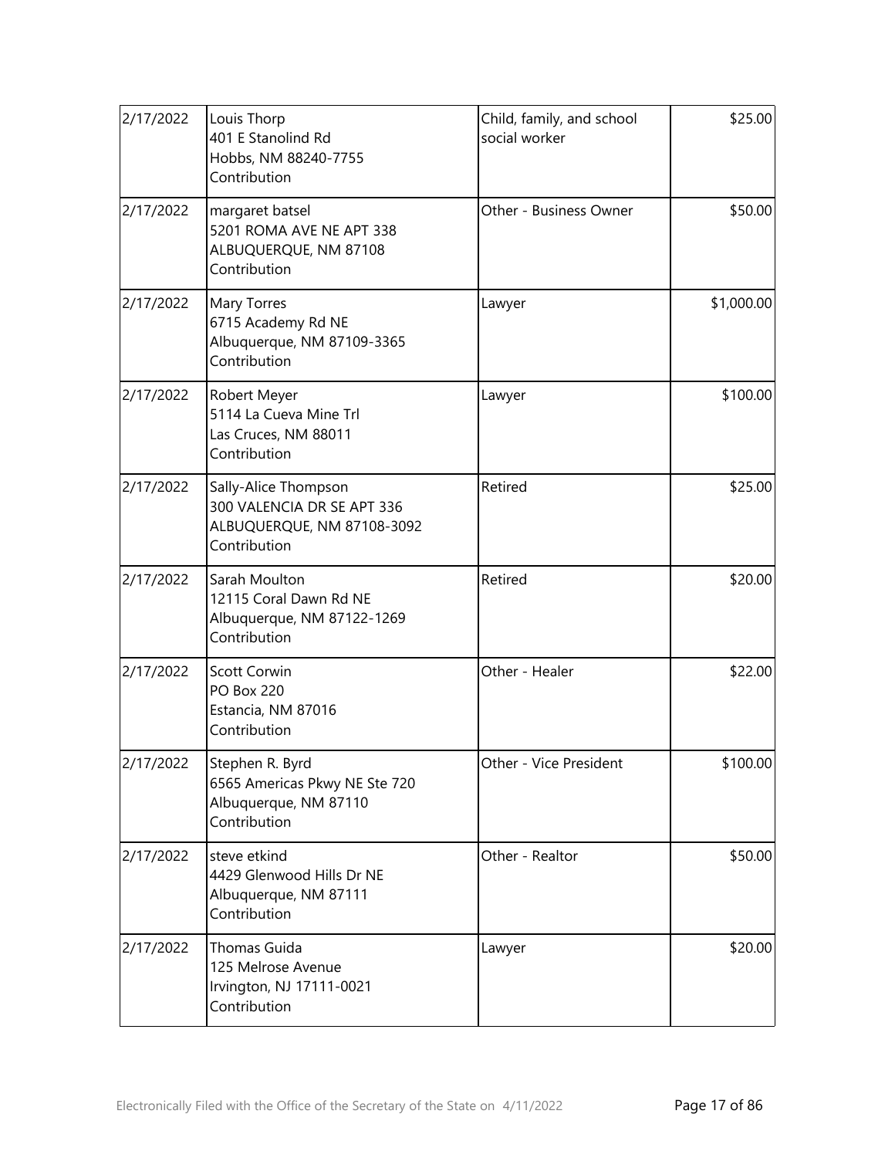| 2/17/2022 | Louis Thorp<br>401 E Stanolind Rd<br>Hobbs, NM 88240-7755<br>Contribution                        | Child, family, and school<br>social worker | \$25.00    |
|-----------|--------------------------------------------------------------------------------------------------|--------------------------------------------|------------|
| 2/17/2022 | margaret batsel<br>5201 ROMA AVE NE APT 338<br>ALBUQUERQUE, NM 87108<br>Contribution             | Other - Business Owner                     | \$50.00    |
| 2/17/2022 | Mary Torres<br>6715 Academy Rd NE<br>Albuquerque, NM 87109-3365<br>Contribution                  | Lawyer                                     | \$1,000.00 |
| 2/17/2022 | Robert Meyer<br>5114 La Cueva Mine Trl<br>Las Cruces, NM 88011<br>Contribution                   | Lawyer                                     | \$100.00   |
| 2/17/2022 | Sally-Alice Thompson<br>300 VALENCIA DR SE APT 336<br>ALBUQUERQUE, NM 87108-3092<br>Contribution | Retired                                    | \$25.00    |
| 2/17/2022 | Sarah Moulton<br>12115 Coral Dawn Rd NE<br>Albuquerque, NM 87122-1269<br>Contribution            | Retired                                    | \$20.00    |
| 2/17/2022 | Scott Corwin<br><b>PO Box 220</b><br>Estancia, NM 87016<br>Contribution                          | Other - Healer                             | \$22.00    |
| 2/17/2022 | Stephen R. Byrd<br>6565 Americas Pkwy NE Ste 720<br>Albuquerque, NM 87110<br>Contribution        | Other - Vice President                     | \$100.00   |
| 2/17/2022 | steve etkind<br>4429 Glenwood Hills Dr NE<br>Albuquerque, NM 87111<br>Contribution               | Other - Realtor                            | \$50.00    |
| 2/17/2022 | Thomas Guida<br>125 Melrose Avenue<br>Irvington, NJ 17111-0021<br>Contribution                   | Lawyer                                     | \$20.00    |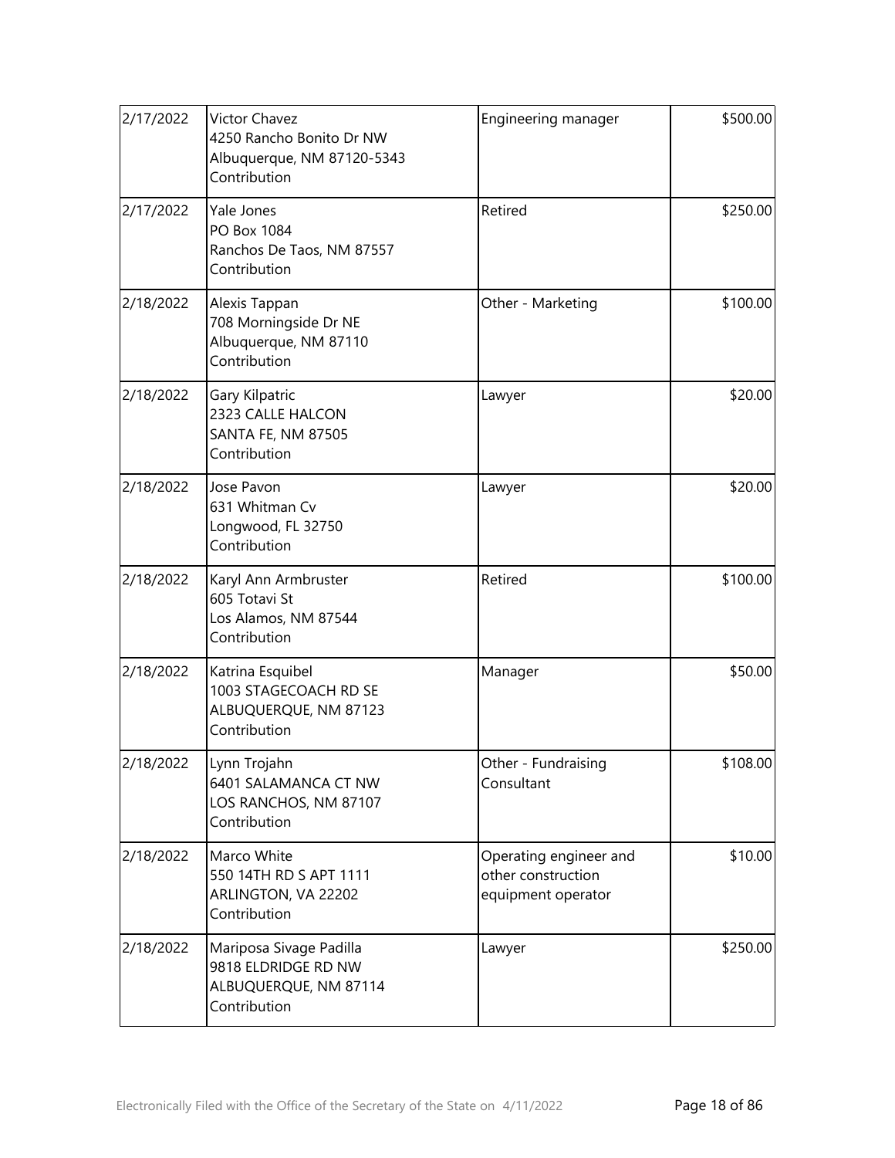| 2/17/2022 | Victor Chavez<br>4250 Rancho Bonito Dr NW<br>Albuquerque, NM 87120-5343<br>Contribution | Engineering manager                                                | \$500.00 |
|-----------|-----------------------------------------------------------------------------------------|--------------------------------------------------------------------|----------|
| 2/17/2022 | Yale Jones<br>PO Box 1084<br>Ranchos De Taos, NM 87557<br>Contribution                  | Retired                                                            | \$250.00 |
| 2/18/2022 | Alexis Tappan<br>708 Morningside Dr NE<br>Albuquerque, NM 87110<br>Contribution         | Other - Marketing                                                  | \$100.00 |
| 2/18/2022 | Gary Kilpatric<br>2323 CALLE HALCON<br>SANTA FE, NM 87505<br>Contribution               | Lawyer                                                             | \$20.00  |
| 2/18/2022 | Jose Pavon<br>631 Whitman Cv<br>Longwood, FL 32750<br>Contribution                      | Lawyer                                                             | \$20.00  |
| 2/18/2022 | Karyl Ann Armbruster<br>605 Totavi St<br>Los Alamos, NM 87544<br>Contribution           | Retired                                                            | \$100.00 |
| 2/18/2022 | Katrina Esquibel<br>1003 STAGECOACH RD SE<br>ALBUQUERQUE, NM 87123<br>Contribution      | Manager                                                            | \$50.00  |
| 2/18/2022 | Lynn Trojahn<br>6401 SALAMANCA CT NW<br>LOS RANCHOS, NM 87107<br>Contribution           | Other - Fundraising<br>Consultant                                  | \$108.00 |
| 2/18/2022 | Marco White<br>550 14TH RD S APT 1111<br>ARLINGTON, VA 22202<br>Contribution            | Operating engineer and<br>other construction<br>equipment operator | \$10.00  |
| 2/18/2022 | Mariposa Sivage Padilla<br>9818 ELDRIDGE RD NW<br>ALBUQUERQUE, NM 87114<br>Contribution | Lawyer                                                             | \$250.00 |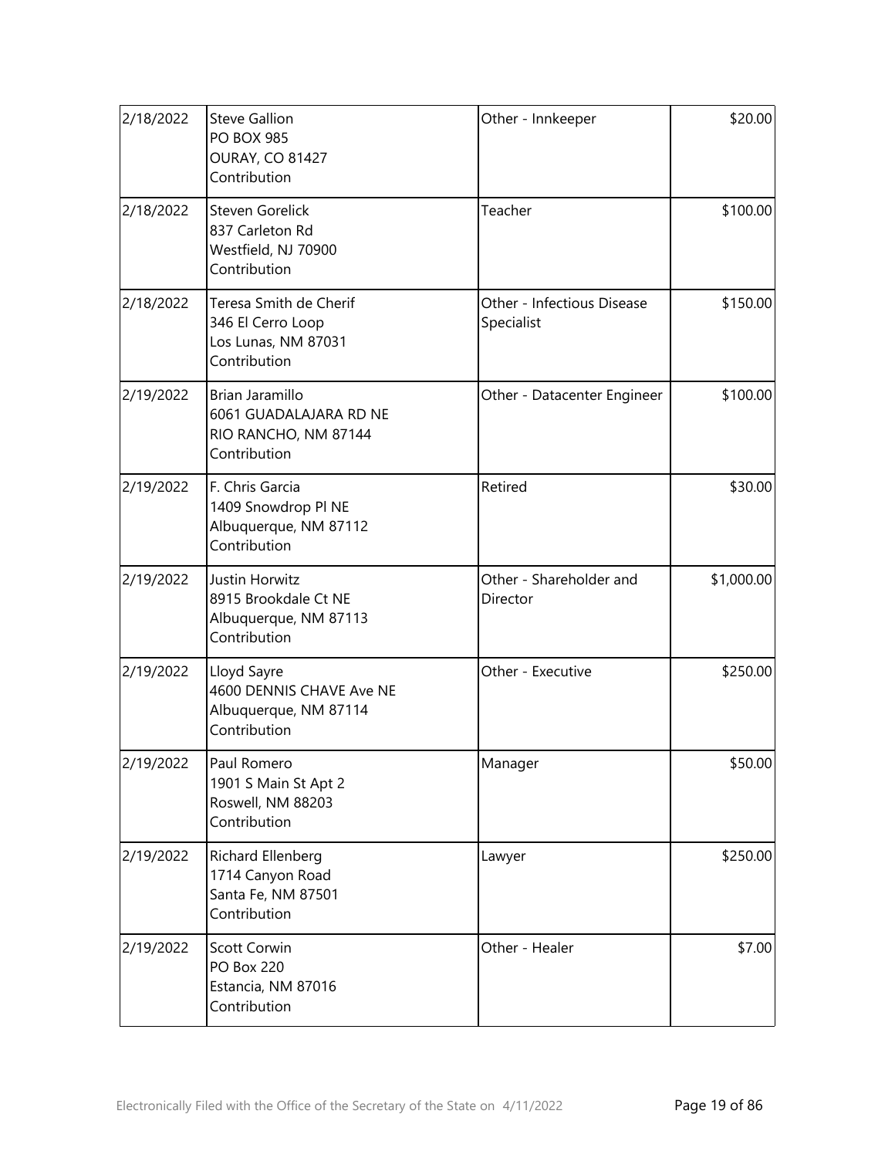| 2/18/2022 | <b>Steve Gallion</b><br><b>PO BOX 985</b><br><b>OURAY, CO 81427</b><br>Contribution | Other - Innkeeper                        | \$20.00    |
|-----------|-------------------------------------------------------------------------------------|------------------------------------------|------------|
| 2/18/2022 | Steven Gorelick<br>837 Carleton Rd<br>Westfield, NJ 70900<br>Contribution           | Teacher                                  | \$100.00   |
| 2/18/2022 | Teresa Smith de Cherif<br>346 El Cerro Loop<br>Los Lunas, NM 87031<br>Contribution  | Other - Infectious Disease<br>Specialist | \$150.00   |
| 2/19/2022 | Brian Jaramillo<br>6061 GUADALAJARA RD NE<br>RIO RANCHO, NM 87144<br>Contribution   | Other - Datacenter Engineer              | \$100.00   |
| 2/19/2022 | F. Chris Garcia<br>1409 Snowdrop PI NE<br>Albuquerque, NM 87112<br>Contribution     | Retired                                  | \$30.00    |
| 2/19/2022 | Justin Horwitz<br>8915 Brookdale Ct NE<br>Albuquerque, NM 87113<br>Contribution     | Other - Shareholder and<br>Director      | \$1,000.00 |
| 2/19/2022 | Lloyd Sayre<br>4600 DENNIS CHAVE Ave NE<br>Albuquerque, NM 87114<br>Contribution    | Other - Executive                        | \$250.00   |
| 2/19/2022 | Paul Romero<br>1901 S Main St Apt 2<br>Roswell, NM 88203<br>Contribution            | Manager                                  | \$50.00    |
| 2/19/2022 | Richard Ellenberg<br>1714 Canyon Road<br>Santa Fe, NM 87501<br>Contribution         | Lawyer                                   | \$250.00   |
| 2/19/2022 | Scott Corwin<br><b>PO Box 220</b><br>Estancia, NM 87016<br>Contribution             | Other - Healer                           | \$7.00     |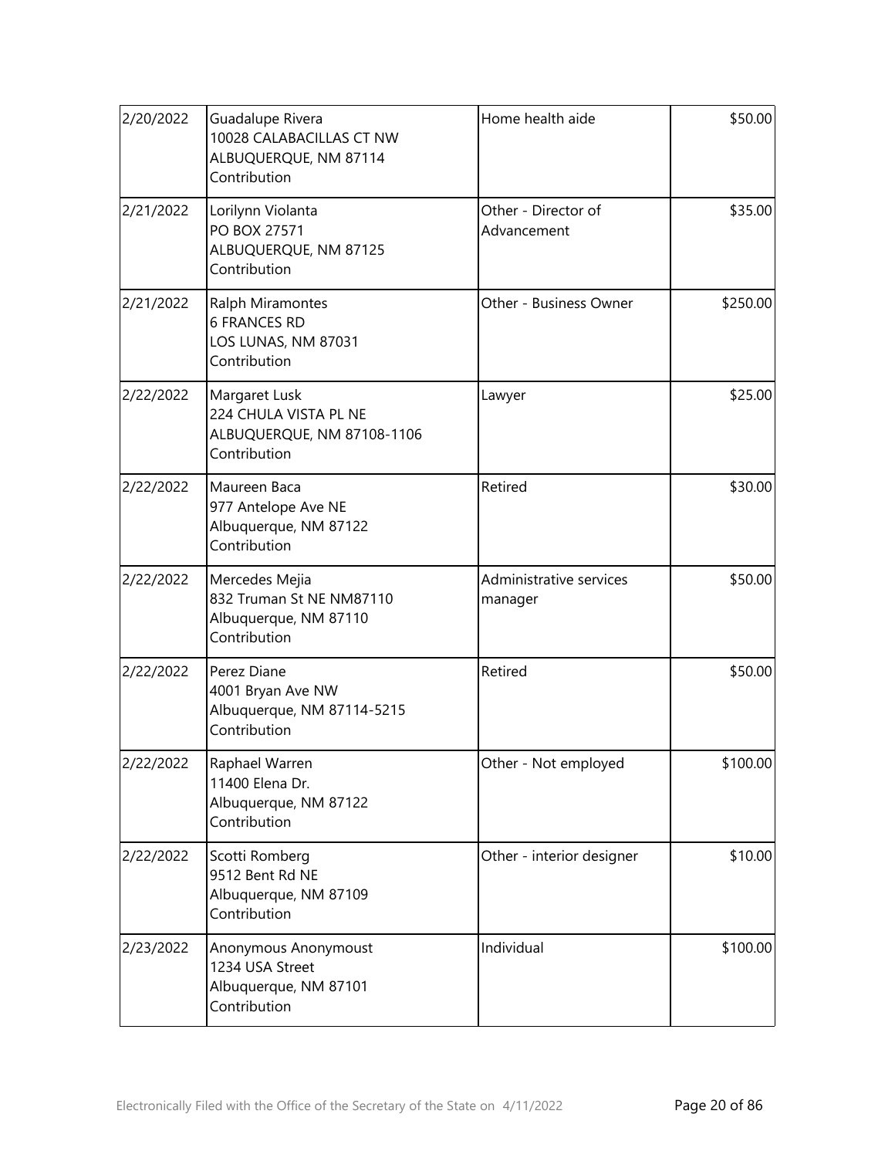| 2/20/2022 | Guadalupe Rivera<br>10028 CALABACILLAS CT NW<br>ALBUQUERQUE, NM 87114<br>Contribution | Home health aide                   | \$50.00  |
|-----------|---------------------------------------------------------------------------------------|------------------------------------|----------|
| 2/21/2022 | Lorilynn Violanta<br>PO BOX 27571<br>ALBUQUERQUE, NM 87125<br>Contribution            | Other - Director of<br>Advancement | \$35.00  |
| 2/21/2022 | Ralph Miramontes<br><b>6 FRANCES RD</b><br>LOS LUNAS, NM 87031<br>Contribution        | Other - Business Owner             | \$250.00 |
| 2/22/2022 | Margaret Lusk<br>224 CHULA VISTA PL NE<br>ALBUQUERQUE, NM 87108-1106<br>Contribution  | Lawyer                             | \$25.00  |
| 2/22/2022 | Maureen Baca<br>977 Antelope Ave NE<br>Albuquerque, NM 87122<br>Contribution          | Retired                            | \$30.00  |
| 2/22/2022 | Mercedes Mejia<br>832 Truman St NE NM87110<br>Albuquerque, NM 87110<br>Contribution   | Administrative services<br>manager | \$50.00  |
| 2/22/2022 | Perez Diane<br>4001 Bryan Ave NW<br>Albuquerque, NM 87114-5215<br>Contribution        | Retired                            | \$50.00  |
| 2/22/2022 | Raphael Warren<br>11400 Elena Dr.<br>Albuquerque, NM 87122<br>Contribution            | Other - Not employed               | \$100.00 |
| 2/22/2022 | Scotti Romberg<br>9512 Bent Rd NE<br>Albuquerque, NM 87109<br>Contribution            | Other - interior designer          | \$10.00  |
| 2/23/2022 | Anonymous Anonymoust<br>1234 USA Street<br>Albuquerque, NM 87101<br>Contribution      | Individual                         | \$100.00 |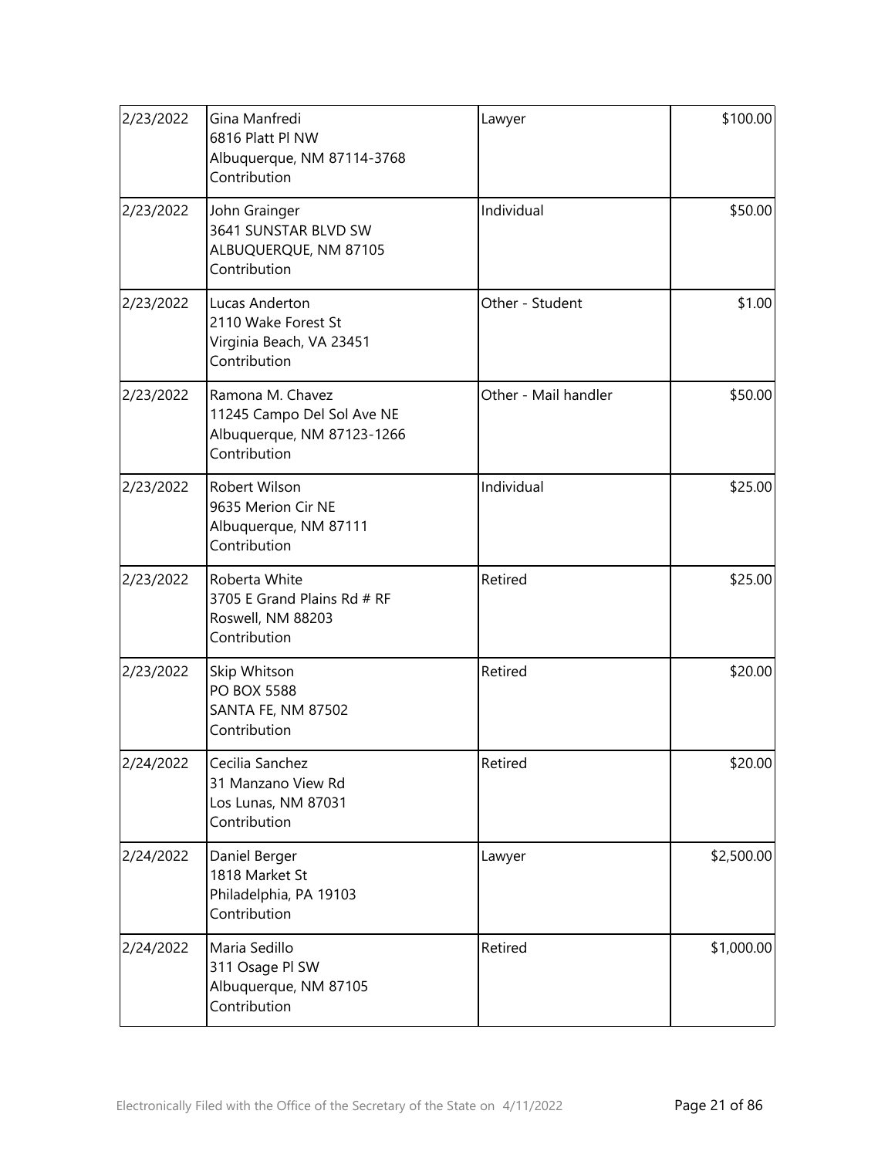| 2/23/2022 | Gina Manfredi<br>6816 Platt Pl NW<br>Albuquerque, NM 87114-3768<br>Contribution              | Lawyer               | \$100.00   |
|-----------|----------------------------------------------------------------------------------------------|----------------------|------------|
| 2/23/2022 | John Grainger<br>3641 SUNSTAR BLVD SW<br>ALBUQUERQUE, NM 87105<br>Contribution               | Individual           | \$50.00    |
| 2/23/2022 | Lucas Anderton<br>2110 Wake Forest St<br>Virginia Beach, VA 23451<br>Contribution            | Other - Student      | \$1.00     |
| 2/23/2022 | Ramona M. Chavez<br>11245 Campo Del Sol Ave NE<br>Albuquerque, NM 87123-1266<br>Contribution | Other - Mail handler | \$50.00    |
| 2/23/2022 | Robert Wilson<br>9635 Merion Cir NE<br>Albuquerque, NM 87111<br>Contribution                 | Individual           | \$25.00    |
| 2/23/2022 | Roberta White<br>3705 E Grand Plains Rd # RF<br>Roswell, NM 88203<br>Contribution            | Retired              | \$25.00    |
| 2/23/2022 | Skip Whitson<br><b>PO BOX 5588</b><br>SANTA FE, NM 87502<br>Contribution                     | Retired              | \$20.00    |
| 2/24/2022 | Cecilia Sanchez<br>31 Manzano View Rd<br>Los Lunas, NM 87031<br>Contribution                 | Retired              | \$20.00    |
| 2/24/2022 | Daniel Berger<br>1818 Market St<br>Philadelphia, PA 19103<br>Contribution                    | Lawyer               | \$2,500.00 |
| 2/24/2022 | Maria Sedillo<br>311 Osage PI SW<br>Albuquerque, NM 87105<br>Contribution                    | Retired              | \$1,000.00 |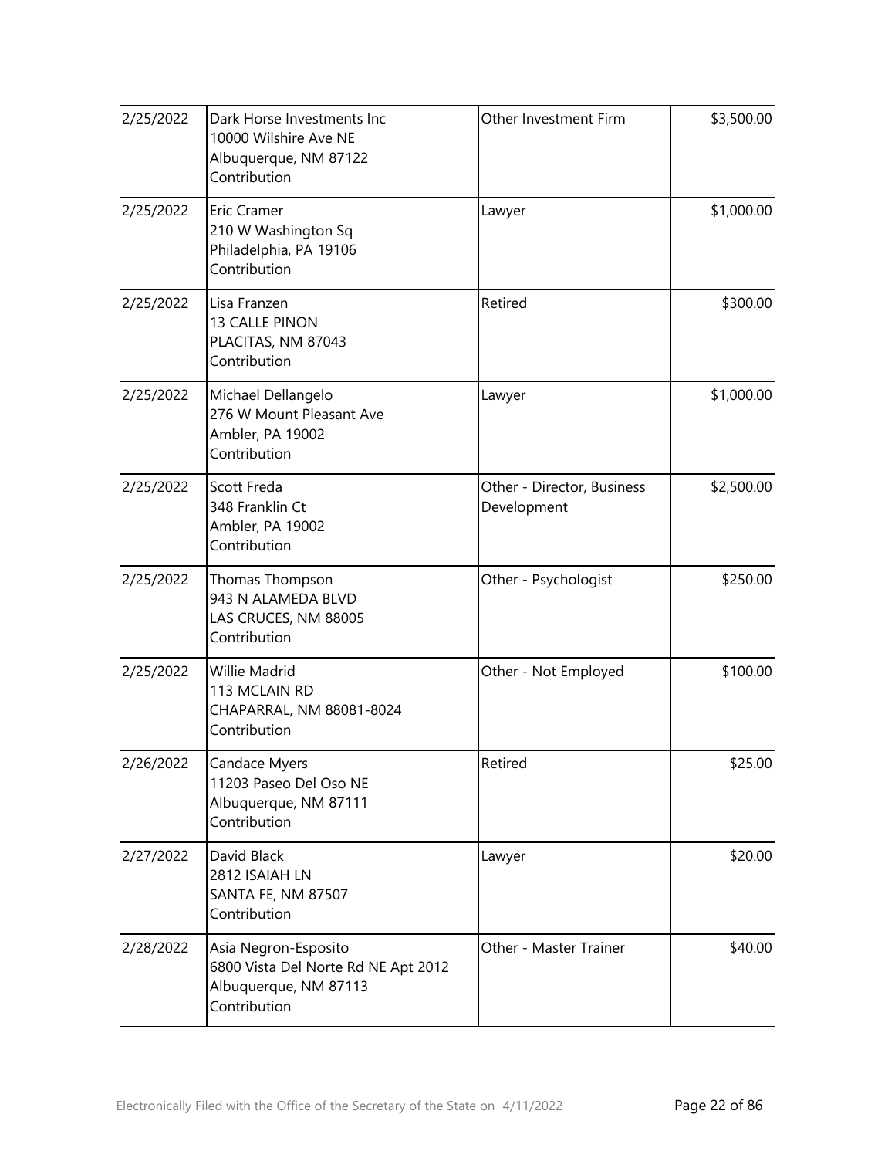| 2/25/2022 | Dark Horse Investments Inc<br>10000 Wilshire Ave NE<br>Albuquerque, NM 87122<br>Contribution         | Other Investment Firm                     | \$3,500.00 |
|-----------|------------------------------------------------------------------------------------------------------|-------------------------------------------|------------|
| 2/25/2022 | Eric Cramer<br>210 W Washington Sq<br>Philadelphia, PA 19106<br>Contribution                         | Lawyer                                    | \$1,000.00 |
| 2/25/2022 | Lisa Franzen<br>13 CALLE PINON<br>PLACITAS, NM 87043<br>Contribution                                 | Retired                                   | \$300.00   |
| 2/25/2022 | Michael Dellangelo<br>276 W Mount Pleasant Ave<br>Ambler, PA 19002<br>Contribution                   | Lawyer                                    | \$1,000.00 |
| 2/25/2022 | Scott Freda<br>348 Franklin Ct<br>Ambler, PA 19002<br>Contribution                                   | Other - Director, Business<br>Development | \$2,500.00 |
| 2/25/2022 | Thomas Thompson<br>943 N ALAMEDA BLVD<br>LAS CRUCES, NM 88005<br>Contribution                        | Other - Psychologist                      | \$250.00   |
| 2/25/2022 | Willie Madrid<br>113 MCLAIN RD<br>CHAPARRAL, NM 88081-8024<br>Contribution                           | Other - Not Employed                      | \$100.00   |
| 2/26/2022 | Candace Myers<br>11203 Paseo Del Oso NE<br>Albuquerque, NM 87111<br>Contribution                     | Retired                                   | \$25.00    |
| 2/27/2022 | David Black<br>2812 ISAIAH LN<br>SANTA FE, NM 87507<br>Contribution                                  | Lawyer                                    | \$20.00    |
| 2/28/2022 | Asia Negron-Esposito<br>6800 Vista Del Norte Rd NE Apt 2012<br>Albuquerque, NM 87113<br>Contribution | Other - Master Trainer                    | \$40.00    |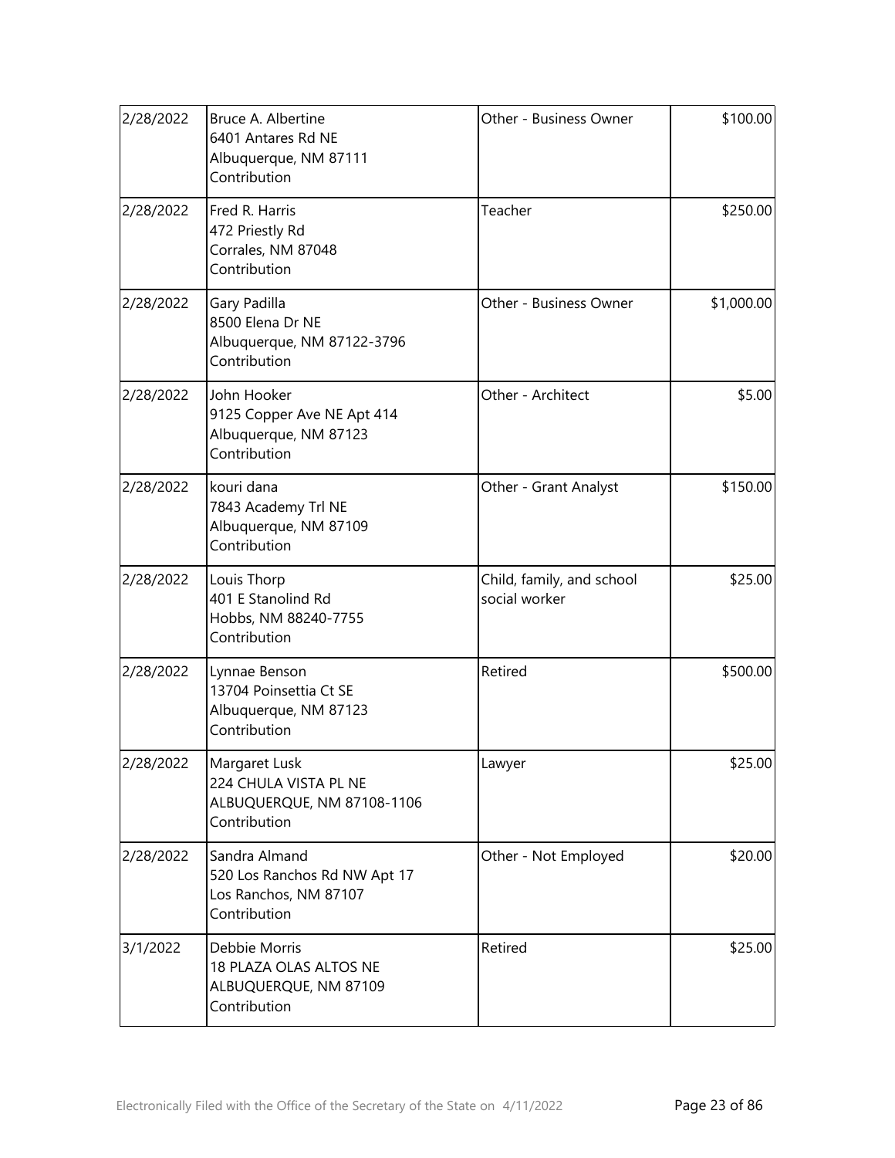| 2/28/2022 | Bruce A. Albertine<br>6401 Antares Rd NE<br>Albuquerque, NM 87111<br>Contribution      | Other - Business Owner                     | \$100.00   |
|-----------|----------------------------------------------------------------------------------------|--------------------------------------------|------------|
| 2/28/2022 | Fred R. Harris<br>472 Priestly Rd<br>Corrales, NM 87048<br>Contribution                | Teacher                                    | \$250.00   |
| 2/28/2022 | Gary Padilla<br>8500 Elena Dr NE<br>Albuquerque, NM 87122-3796<br>Contribution         | Other - Business Owner                     | \$1,000.00 |
| 2/28/2022 | John Hooker<br>9125 Copper Ave NE Apt 414<br>Albuquerque, NM 87123<br>Contribution     | Other - Architect                          | \$5.00     |
| 2/28/2022 | kouri dana<br>7843 Academy Trl NE<br>Albuquerque, NM 87109<br>Contribution             | Other - Grant Analyst                      | \$150.00   |
| 2/28/2022 | Louis Thorp<br>401 E Stanolind Rd<br>Hobbs, NM 88240-7755<br>Contribution              | Child, family, and school<br>social worker | \$25.00    |
| 2/28/2022 | Lynnae Benson<br>13704 Poinsettia Ct SE<br>Albuquerque, NM 87123<br>Contribution       | Retired                                    | \$500.00   |
| 2/28/2022 | Margaret Lusk<br>224 CHULA VISTA PL NE<br>ALBUQUERQUE, NM 87108-1106<br>Contribution   | Lawyer                                     | \$25.00    |
| 2/28/2022 | Sandra Almand<br>520 Los Ranchos Rd NW Apt 17<br>Los Ranchos, NM 87107<br>Contribution | Other - Not Employed                       | \$20.00    |
| 3/1/2022  | Debbie Morris<br>18 PLAZA OLAS ALTOS NE<br>ALBUQUERQUE, NM 87109<br>Contribution       | Retired                                    | \$25.00    |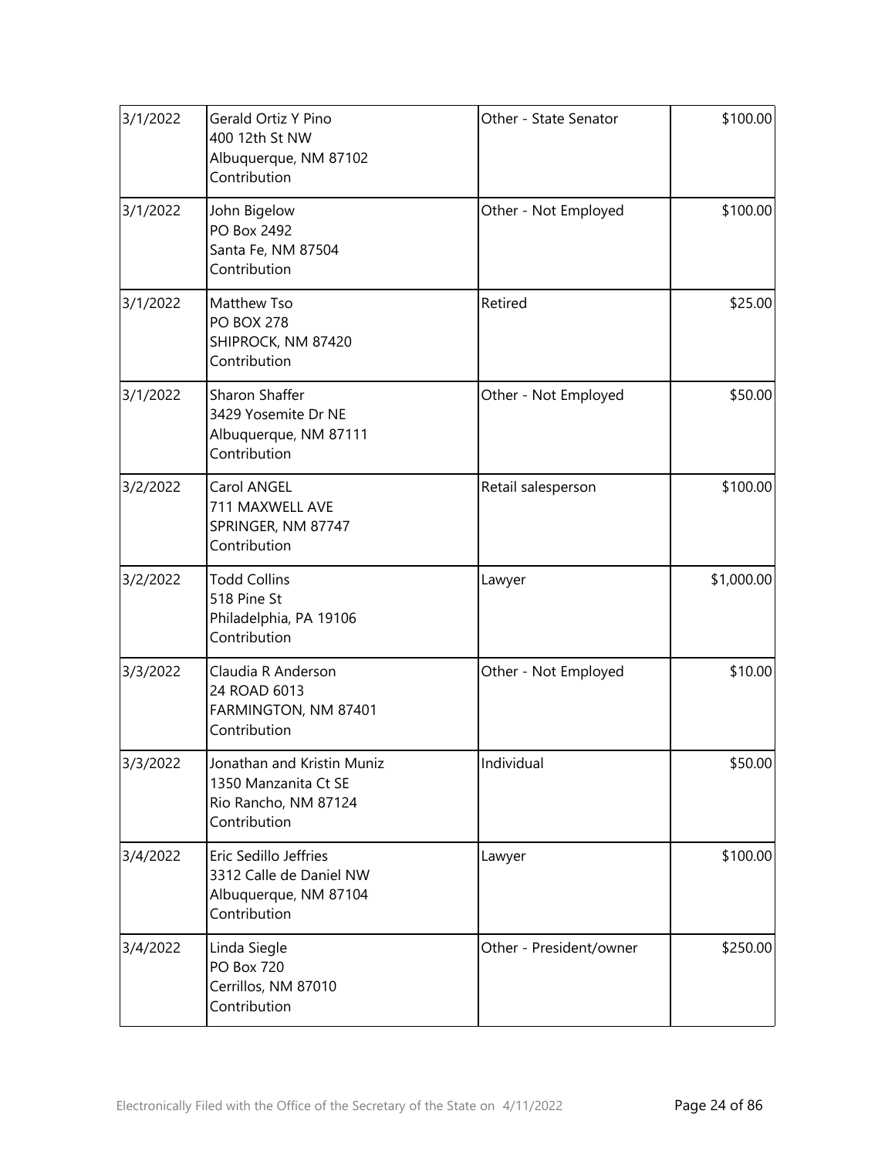| 3/1/2022 | Gerald Ortiz Y Pino<br>400 12th St NW<br>Albuquerque, NM 87102<br>Contribution             | Other - State Senator   | \$100.00   |
|----------|--------------------------------------------------------------------------------------------|-------------------------|------------|
| 3/1/2022 | John Bigelow<br>PO Box 2492<br>Santa Fe, NM 87504<br>Contribution                          | Other - Not Employed    | \$100.00   |
| 3/1/2022 | Matthew Tso<br><b>PO BOX 278</b><br>SHIPROCK, NM 87420<br>Contribution                     | Retired                 | \$25.00    |
| 3/1/2022 | <b>Sharon Shaffer</b><br>3429 Yosemite Dr NE<br>Albuquerque, NM 87111<br>Contribution      | Other - Not Employed    | \$50.00    |
| 3/2/2022 | Carol ANGEL<br>711 MAXWELL AVE<br>SPRINGER, NM 87747<br>Contribution                       | Retail salesperson      | \$100.00   |
| 3/2/2022 | <b>Todd Collins</b><br>518 Pine St<br>Philadelphia, PA 19106<br>Contribution               | Lawyer                  | \$1,000.00 |
| 3/3/2022 | Claudia R Anderson<br>24 ROAD 6013<br>FARMINGTON, NM 87401<br>Contribution                 | Other - Not Employed    | \$10.00    |
| 3/3/2022 | Jonathan and Kristin Muniz<br>1350 Manzanita Ct SE<br>Rio Rancho, NM 87124<br>Contribution | Individual              | \$50.00    |
| 3/4/2022 | Eric Sedillo Jeffries<br>3312 Calle de Daniel NW<br>Albuquerque, NM 87104<br>Contribution  | Lawyer                  | \$100.00   |
| 3/4/2022 | Linda Siegle<br><b>PO Box 720</b><br>Cerrillos, NM 87010<br>Contribution                   | Other - President/owner | \$250.00   |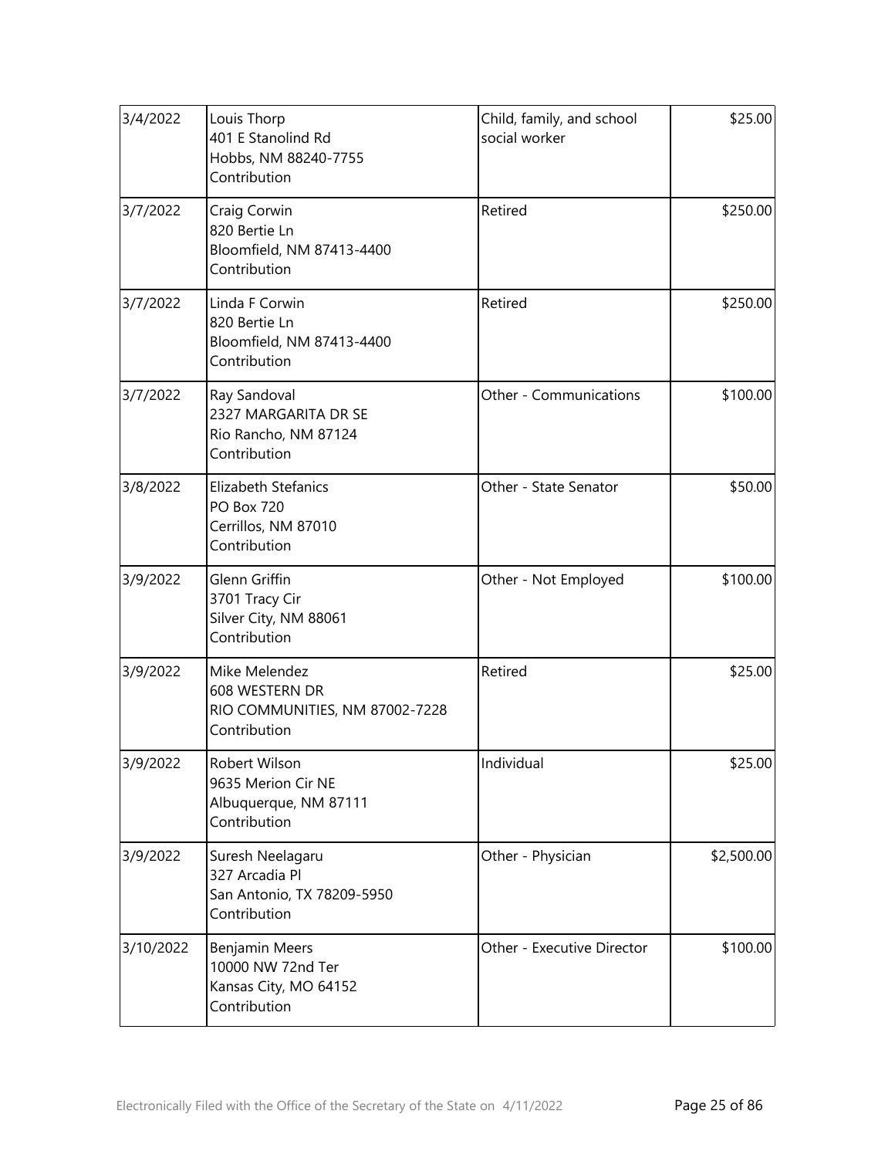| 3/4/2022  | Louis Thorp<br>401 E Stanolind Rd<br>Hobbs, NM 88240-7755<br>Contribution              | Child, family, and school<br>social worker | \$25.00    |
|-----------|----------------------------------------------------------------------------------------|--------------------------------------------|------------|
| 3/7/2022  | Craig Corwin<br>820 Bertie Ln<br>Bloomfield, NM 87413-4400<br>Contribution             | Retired                                    | \$250.00   |
| 3/7/2022  | Linda F Corwin<br>820 Bertie Ln<br>Bloomfield, NM 87413-4400<br>Contribution           | Retired                                    | \$250.00   |
| 3/7/2022  | Ray Sandoval<br>2327 MARGARITA DR SE<br>Rio Rancho, NM 87124<br>Contribution           | Other - Communications                     | \$100.00   |
| 3/8/2022  | <b>Elizabeth Stefanics</b><br><b>PO Box 720</b><br>Cerrillos, NM 87010<br>Contribution | Other - State Senator                      | \$50.00    |
| 3/9/2022  | Glenn Griffin<br>3701 Tracy Cir<br>Silver City, NM 88061<br>Contribution               | Other - Not Employed                       | \$100.00   |
| 3/9/2022  | Mike Melendez<br>608 WESTERN DR<br>RIO COMMUNITIES, NM 87002-7228<br>Contribution      | Retired                                    | \$25.00    |
| 3/9/2022  | Robert Wilson<br>9635 Merion Cir NE<br>Albuquerque, NM 87111<br>Contribution           | Individual                                 | \$25.00    |
| 3/9/2022  | Suresh Neelagaru<br>327 Arcadia Pl<br>San Antonio, TX 78209-5950<br>Contribution       | Other - Physician                          | \$2,500.00 |
| 3/10/2022 | Benjamin Meers<br>10000 NW 72nd Ter<br>Kansas City, MO 64152<br>Contribution           | Other - Executive Director                 | \$100.00   |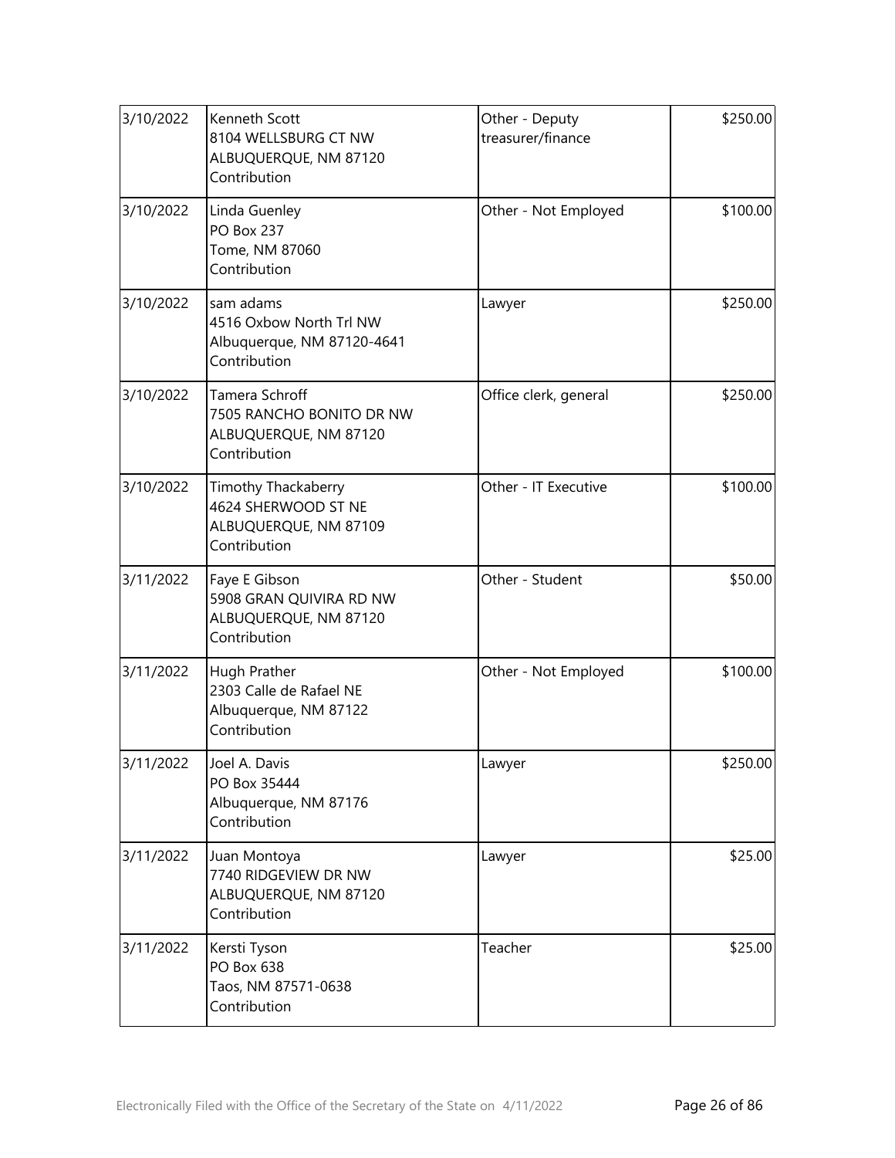| 3/10/2022 | Kenneth Scott<br>8104 WELLSBURG CT NW<br>ALBUQUERQUE, NM 87120<br>Contribution      | Other - Deputy<br>treasurer/finance | \$250.00 |
|-----------|-------------------------------------------------------------------------------------|-------------------------------------|----------|
| 3/10/2022 | Linda Guenley<br><b>PO Box 237</b><br>Tome, NM 87060<br>Contribution                | Other - Not Employed                | \$100.00 |
| 3/10/2022 | sam adams<br>4516 Oxbow North Trl NW<br>Albuquerque, NM 87120-4641<br>Contribution  | Lawyer                              | \$250.00 |
| 3/10/2022 | Tamera Schroff<br>7505 RANCHO BONITO DR NW<br>ALBUQUERQUE, NM 87120<br>Contribution | Office clerk, general               | \$250.00 |
| 3/10/2022 | Timothy Thackaberry<br>4624 SHERWOOD ST NE<br>ALBUQUERQUE, NM 87109<br>Contribution | Other - IT Executive                | \$100.00 |
| 3/11/2022 | Faye E Gibson<br>5908 GRAN QUIVIRA RD NW<br>ALBUQUERQUE, NM 87120<br>Contribution   | Other - Student                     | \$50.00  |
| 3/11/2022 | Hugh Prather<br>2303 Calle de Rafael NE<br>Albuquerque, NM 87122<br>Contribution    | Other - Not Employed                | \$100.00 |
| 3/11/2022 | Joel A. Davis<br>PO Box 35444<br>Albuquerque, NM 87176<br>Contribution              | Lawyer                              | \$250.00 |
| 3/11/2022 | Juan Montoya<br>7740 RIDGEVIEW DR NW<br>ALBUQUERQUE, NM 87120<br>Contribution       | Lawyer                              | \$25.00  |
| 3/11/2022 | Kersti Tyson<br>PO Box 638<br>Taos, NM 87571-0638<br>Contribution                   | Teacher                             | \$25.00  |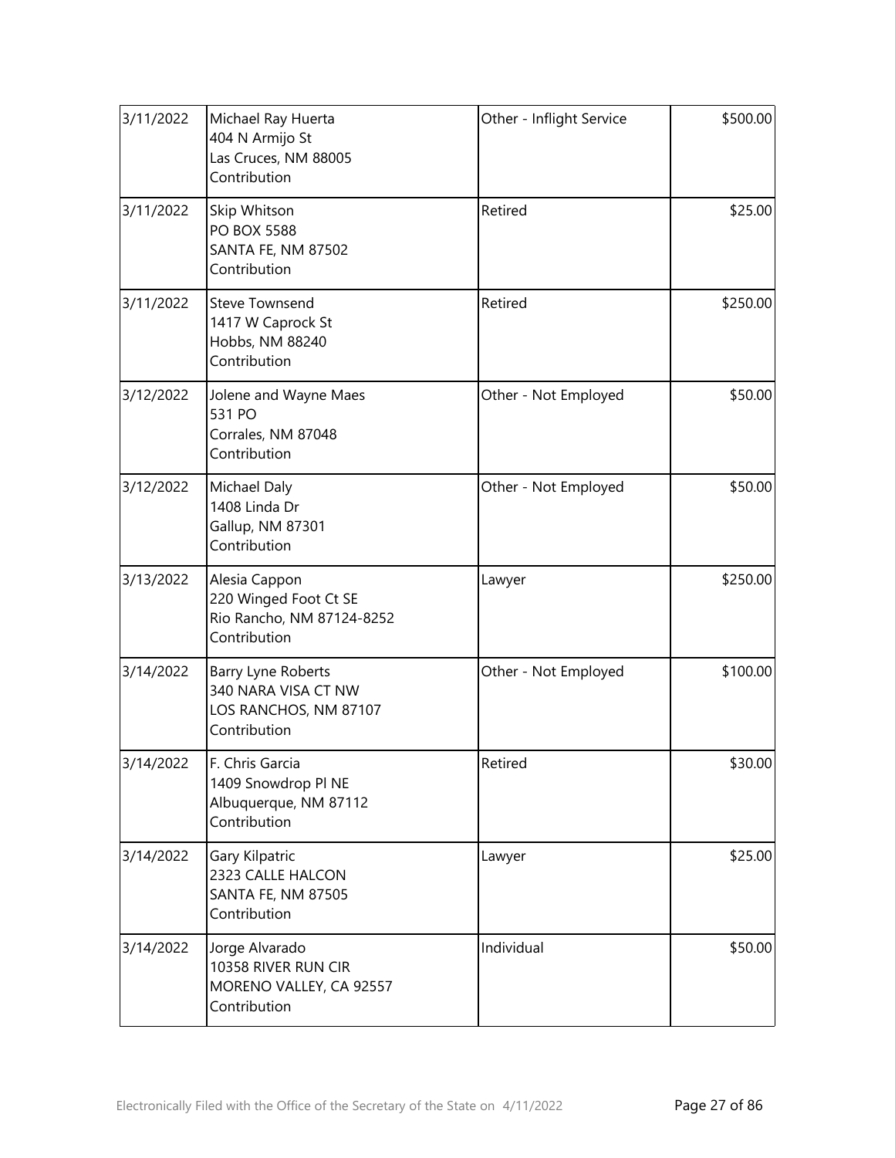| 3/11/2022 | Michael Ray Huerta<br>404 N Armijo St<br>Las Cruces, NM 88005<br>Contribution       | Other - Inflight Service | \$500.00 |
|-----------|-------------------------------------------------------------------------------------|--------------------------|----------|
| 3/11/2022 | Skip Whitson<br><b>PO BOX 5588</b><br>SANTA FE, NM 87502<br>Contribution            | Retired                  | \$25.00  |
| 3/11/2022 | <b>Steve Townsend</b><br>1417 W Caprock St<br>Hobbs, NM 88240<br>Contribution       | Retired                  | \$250.00 |
| 3/12/2022 | Jolene and Wayne Maes<br>531 PO<br>Corrales, NM 87048<br>Contribution               | Other - Not Employed     | \$50.00  |
| 3/12/2022 | Michael Daly<br>1408 Linda Dr<br>Gallup, NM 87301<br>Contribution                   | Other - Not Employed     | \$50.00  |
| 3/13/2022 | Alesia Cappon<br>220 Winged Foot Ct SE<br>Rio Rancho, NM 87124-8252<br>Contribution | Lawyer                   | \$250.00 |
| 3/14/2022 | Barry Lyne Roberts<br>340 NARA VISA CT NW<br>LOS RANCHOS, NM 87107<br>Contribution  | Other - Not Employed     | \$100.00 |
| 3/14/2022 | F. Chris Garcia<br>1409 Snowdrop PI NE<br>Albuquerque, NM 87112<br>Contribution     | Retired                  | \$30.00  |
| 3/14/2022 | Gary Kilpatric<br>2323 CALLE HALCON<br>SANTA FE, NM 87505<br>Contribution           | Lawyer                   | \$25.00  |
| 3/14/2022 | Jorge Alvarado<br>10358 RIVER RUN CIR<br>MORENO VALLEY, CA 92557<br>Contribution    | Individual               | \$50.00  |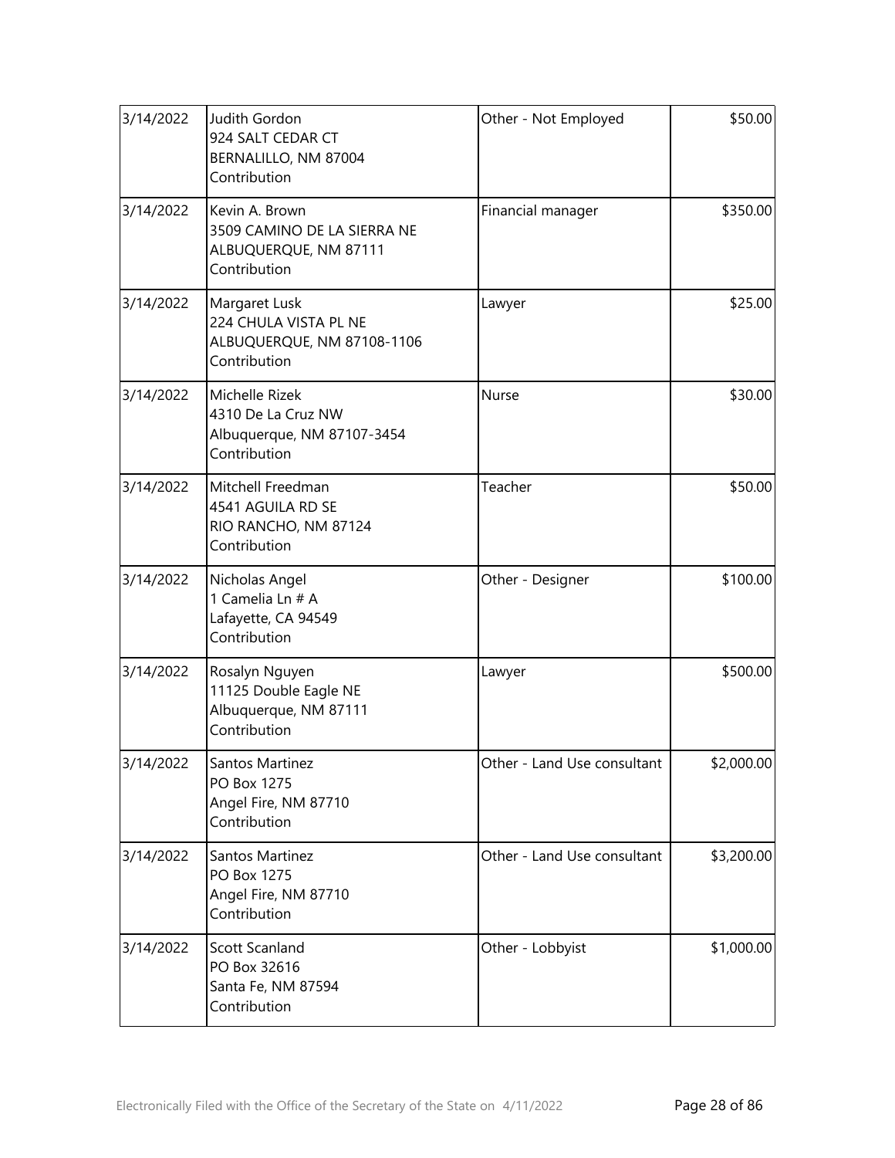| 3/14/2022 | Judith Gordon<br>924 SALT CEDAR CT<br>BERNALILLO, NM 87004<br>Contribution             | Other - Not Employed        | \$50.00    |
|-----------|----------------------------------------------------------------------------------------|-----------------------------|------------|
| 3/14/2022 | Kevin A. Brown<br>3509 CAMINO DE LA SIERRA NE<br>ALBUQUERQUE, NM 87111<br>Contribution | Financial manager           | \$350.00   |
| 3/14/2022 | Margaret Lusk<br>224 CHULA VISTA PL NE<br>ALBUQUERQUE, NM 87108-1106<br>Contribution   | Lawyer                      | \$25.00    |
| 3/14/2022 | Michelle Rizek<br>4310 De La Cruz NW<br>Albuquerque, NM 87107-3454<br>Contribution     | Nurse                       | \$30.00    |
| 3/14/2022 | Mitchell Freedman<br>4541 AGUILA RD SE<br>RIO RANCHO, NM 87124<br>Contribution         | Teacher                     | \$50.00    |
| 3/14/2022 | Nicholas Angel<br>1 Camelia Ln # A<br>Lafayette, CA 94549<br>Contribution              | Other - Designer            | \$100.00   |
| 3/14/2022 | Rosalyn Nguyen<br>11125 Double Eagle NE<br>Albuquerque, NM 87111<br>Contribution       | Lawyer                      | \$500.00   |
| 3/14/2022 | Santos Martinez<br>PO Box 1275<br>Angel Fire, NM 87710<br>Contribution                 | Other - Land Use consultant | \$2,000.00 |
| 3/14/2022 | Santos Martinez<br>PO Box 1275<br>Angel Fire, NM 87710<br>Contribution                 | Other - Land Use consultant | \$3,200.00 |
| 3/14/2022 | Scott Scanland<br>PO Box 32616<br>Santa Fe, NM 87594<br>Contribution                   | Other - Lobbyist            | \$1,000.00 |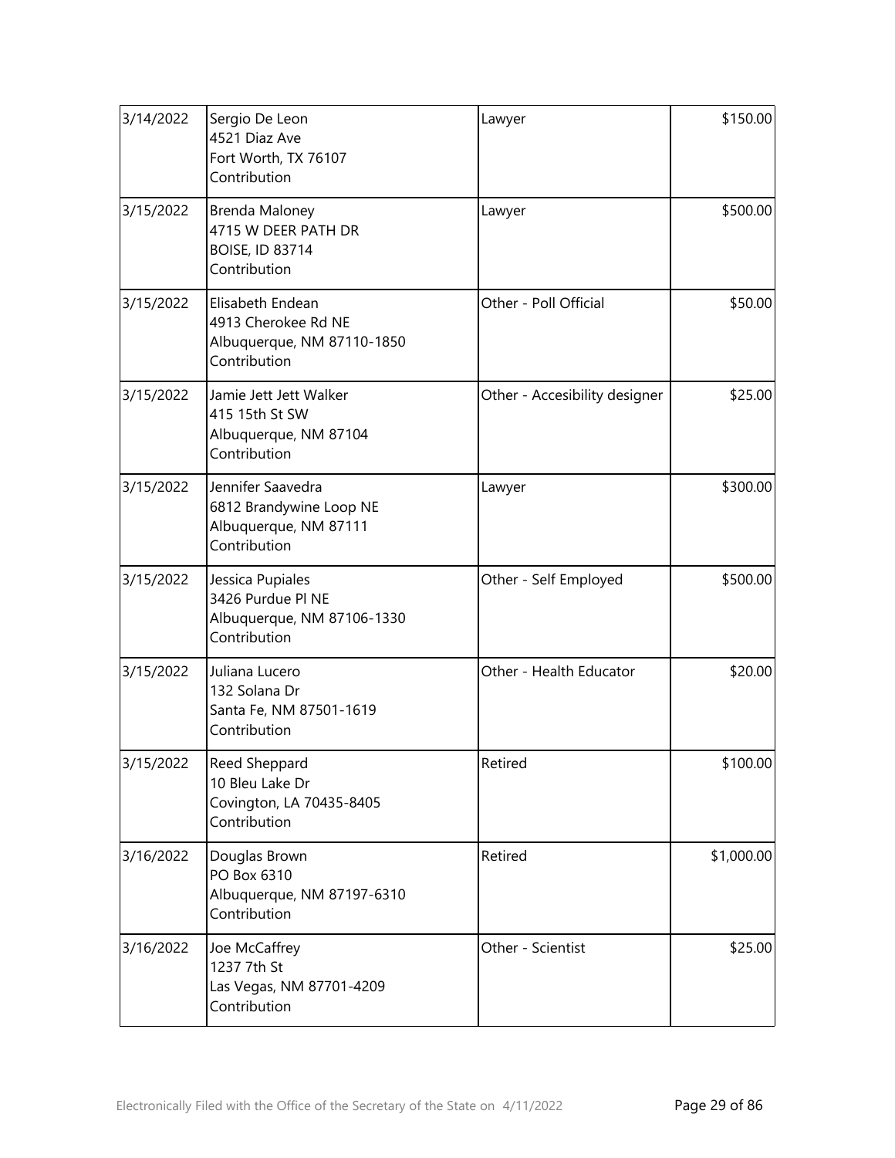| 3/14/2022 | Sergio De Leon<br>4521 Diaz Ave<br>Fort Worth, TX 76107<br>Contribution               | Lawyer                        | \$150.00   |
|-----------|---------------------------------------------------------------------------------------|-------------------------------|------------|
| 3/15/2022 | Brenda Maloney<br>4715 W DEER PATH DR<br><b>BOISE, ID 83714</b><br>Contribution       | Lawyer                        | \$500.00   |
| 3/15/2022 | Elisabeth Endean<br>4913 Cherokee Rd NE<br>Albuquerque, NM 87110-1850<br>Contribution | Other - Poll Official         | \$50.00    |
| 3/15/2022 | Jamie Jett Jett Walker<br>415 15th St SW<br>Albuquerque, NM 87104<br>Contribution     | Other - Accesibility designer | \$25.00    |
| 3/15/2022 | Jennifer Saavedra<br>6812 Brandywine Loop NE<br>Albuquerque, NM 87111<br>Contribution | Lawyer                        | \$300.00   |
| 3/15/2022 | Jessica Pupiales<br>3426 Purdue PI NE<br>Albuquerque, NM 87106-1330<br>Contribution   | Other - Self Employed         | \$500.00   |
| 3/15/2022 | Juliana Lucero<br>132 Solana Dr<br>Santa Fe, NM 87501-1619<br>Contribution            | Other - Health Educator       | \$20.00    |
| 3/15/2022 | Reed Sheppard<br>10 Bleu Lake Dr<br>Covington, LA 70435-8405<br>Contribution          | Retired                       | \$100.00   |
| 3/16/2022 | Douglas Brown<br>PO Box 6310<br>Albuquerque, NM 87197-6310<br>Contribution            | Retired                       | \$1,000.00 |
| 3/16/2022 | Joe McCaffrey<br>1237 7th St<br>Las Vegas, NM 87701-4209<br>Contribution              | Other - Scientist             | \$25.00    |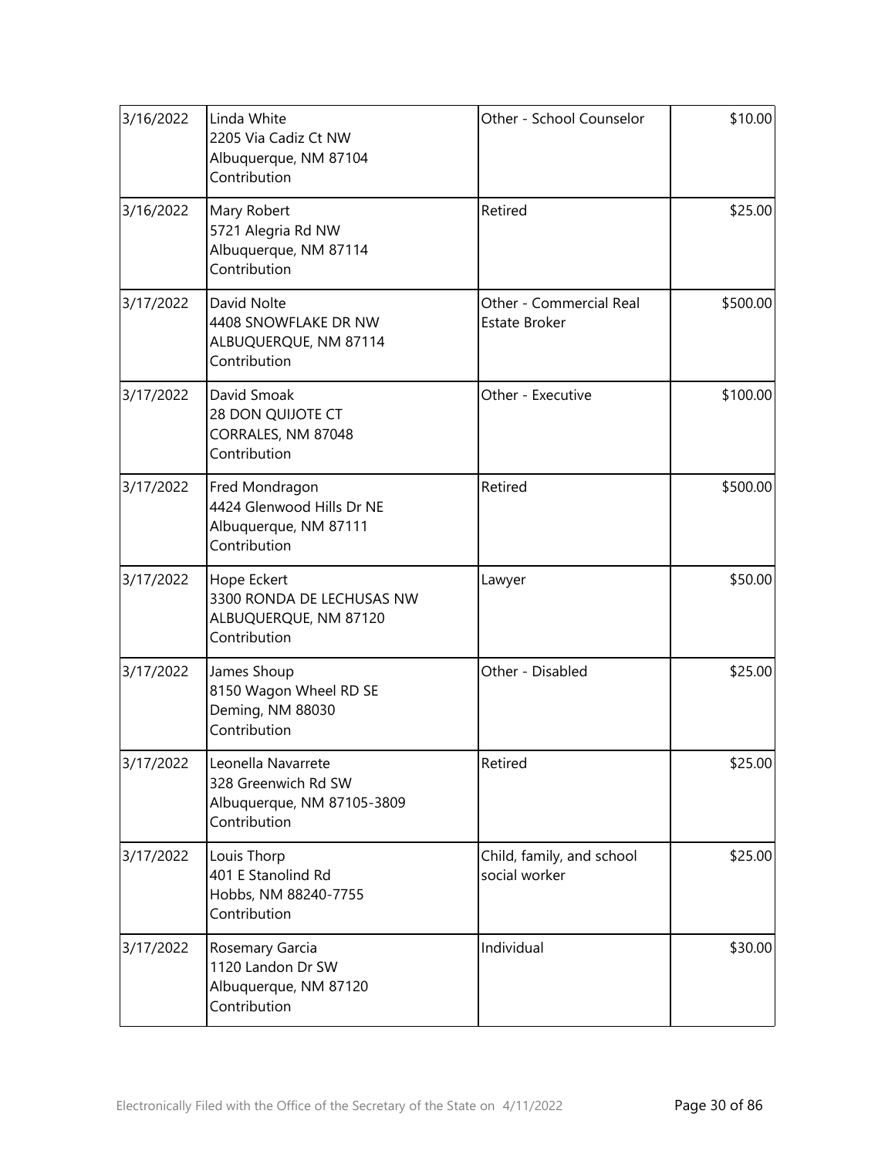| 3/16/2022 | Linda White<br>2205 Via Cadiz Ct NW<br>Albuquerque, NM 87104<br>Contribution            | Other - School Counselor                        | \$10.00  |
|-----------|-----------------------------------------------------------------------------------------|-------------------------------------------------|----------|
| 3/16/2022 | Mary Robert<br>5721 Alegria Rd NW<br>Albuquerque, NM 87114<br>Contribution              | Retired                                         | \$25.00  |
| 3/17/2022 | David Nolte<br>4408 SNOWFLAKE DR NW<br>ALBUQUERQUE, NM 87114<br>Contribution            | Other - Commercial Real<br><b>Estate Broker</b> | \$500.00 |
| 3/17/2022 | David Smoak<br>28 DON QUIJOTE CT<br>CORRALES, NM 87048<br>Contribution                  | Other - Executive                               | \$100.00 |
| 3/17/2022 | Fred Mondragon<br>4424 Glenwood Hills Dr NE<br>Albuquerque, NM 87111<br>Contribution    | Retired                                         | \$500.00 |
| 3/17/2022 | Hope Eckert<br>3300 RONDA DE LECHUSAS NW<br>ALBUQUERQUE, NM 87120<br>Contribution       | Lawyer                                          | \$50.00  |
| 3/17/2022 | James Shoup<br>8150 Wagon Wheel RD SE<br>Deming, NM 88030<br>Contribution               | Other - Disabled                                | \$25.00  |
| 3/17/2022 | Leonella Navarrete<br>328 Greenwich Rd SW<br>Albuquerque, NM 87105-3809<br>Contribution | Retired                                         | \$25.00  |
| 3/17/2022 | Louis Thorp<br>401 E Stanolind Rd<br>Hobbs, NM 88240-7755<br>Contribution               | Child, family, and school<br>social worker      | \$25.00  |
| 3/17/2022 | Rosemary Garcia<br>1120 Landon Dr SW<br>Albuquerque, NM 87120<br>Contribution           | Individual                                      | \$30.00  |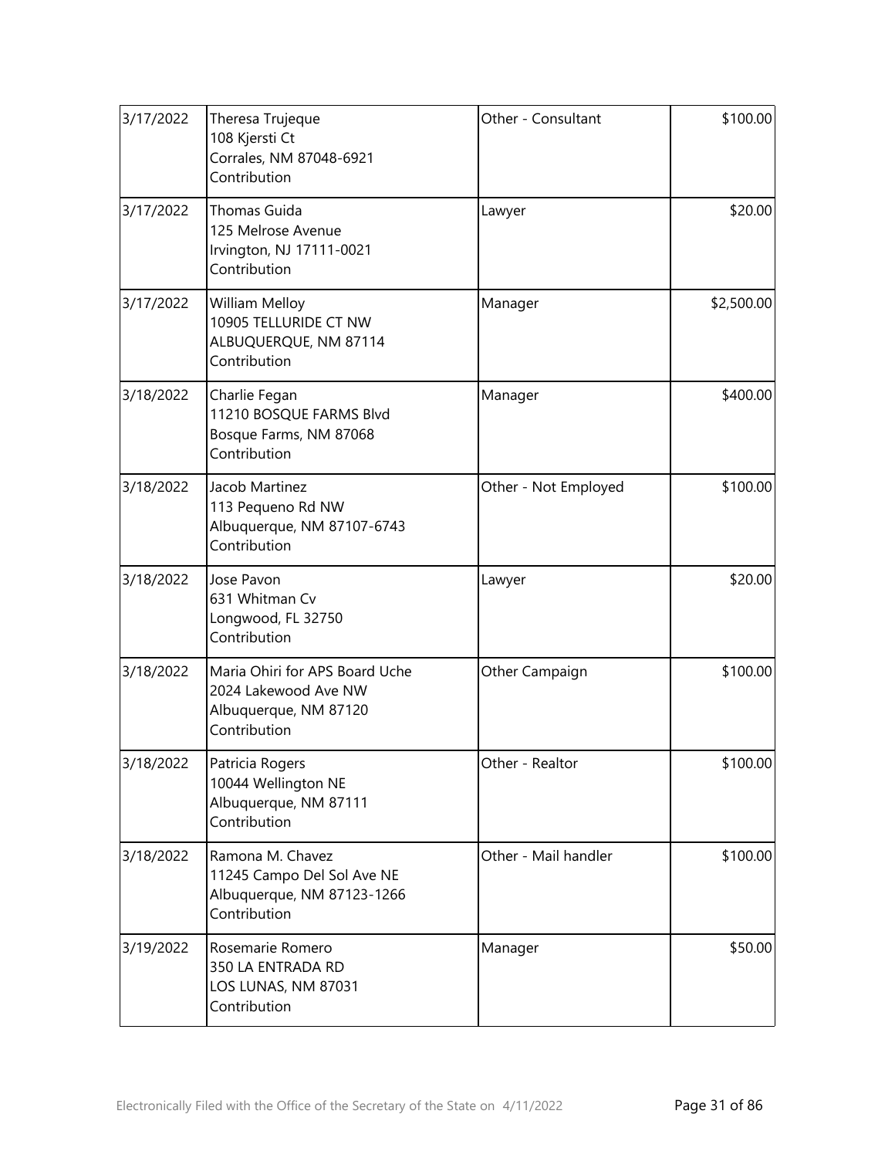| 3/17/2022 | Theresa Trujeque<br>108 Kjersti Ct<br>Corrales, NM 87048-6921<br>Contribution                   | Other - Consultant   | \$100.00   |
|-----------|-------------------------------------------------------------------------------------------------|----------------------|------------|
| 3/17/2022 | Thomas Guida<br>125 Melrose Avenue<br>Irvington, NJ 17111-0021<br>Contribution                  | Lawyer               | \$20.00    |
| 3/17/2022 | William Melloy<br>10905 TELLURIDE CT NW<br>ALBUQUERQUE, NM 87114<br>Contribution                | Manager              | \$2,500.00 |
| 3/18/2022 | Charlie Fegan<br>11210 BOSQUE FARMS Blvd<br>Bosque Farms, NM 87068<br>Contribution              | Manager              | \$400.00   |
| 3/18/2022 | Jacob Martinez<br>113 Pequeno Rd NW<br>Albuquerque, NM 87107-6743<br>Contribution               | Other - Not Employed | \$100.00   |
| 3/18/2022 | Jose Pavon<br>631 Whitman Cv<br>Longwood, FL 32750<br>Contribution                              | Lawyer               | \$20.00    |
| 3/18/2022 | Maria Ohiri for APS Board Uche<br>2024 Lakewood Ave NW<br>Albuquerque, NM 87120<br>Contribution | Other Campaign       | \$100.00   |
| 3/18/2022 | Patricia Rogers<br>10044 Wellington NE<br>Albuquerque, NM 87111<br>Contribution                 | Other - Realtor      | \$100.00   |
| 3/18/2022 | Ramona M. Chavez<br>11245 Campo Del Sol Ave NE<br>Albuquerque, NM 87123-1266<br>Contribution    | Other - Mail handler | \$100.00   |
| 3/19/2022 | Rosemarie Romero<br>350 LA ENTRADA RD<br>LOS LUNAS, NM 87031<br>Contribution                    | Manager              | \$50.00    |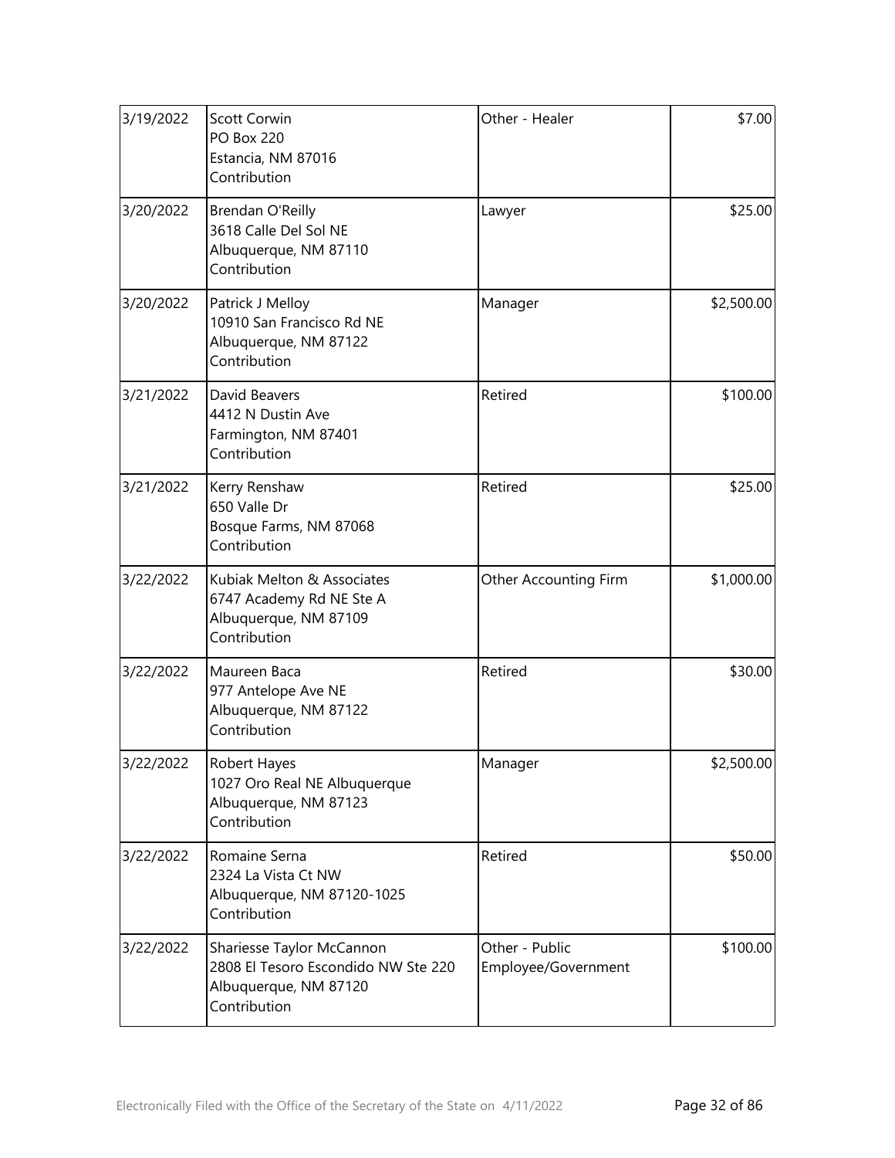| 3/19/2022 | <b>Scott Corwin</b><br><b>PO Box 220</b><br>Estancia, NM 87016<br>Contribution                            | Other - Healer                        | \$7.00     |
|-----------|-----------------------------------------------------------------------------------------------------------|---------------------------------------|------------|
| 3/20/2022 | Brendan O'Reilly<br>3618 Calle Del Sol NE<br>Albuquerque, NM 87110<br>Contribution                        | Lawyer                                | \$25.00    |
| 3/20/2022 | Patrick J Melloy<br>10910 San Francisco Rd NE<br>Albuquerque, NM 87122<br>Contribution                    | Manager                               | \$2,500.00 |
| 3/21/2022 | David Beavers<br>4412 N Dustin Ave<br>Farmington, NM 87401<br>Contribution                                | Retired                               | \$100.00   |
| 3/21/2022 | Kerry Renshaw<br>650 Valle Dr<br>Bosque Farms, NM 87068<br>Contribution                                   | Retired                               | \$25.00    |
| 3/22/2022 | Kubiak Melton & Associates<br>6747 Academy Rd NE Ste A<br>Albuquerque, NM 87109<br>Contribution           | Other Accounting Firm                 | \$1,000.00 |
| 3/22/2022 | Maureen Baca<br>977 Antelope Ave NE<br>Albuquerque, NM 87122<br>Contribution                              | Retired                               | \$30.00    |
| 3/22/2022 | <b>Robert Hayes</b><br>1027 Oro Real NE Albuquerque<br>Albuquerque, NM 87123<br>Contribution              | Manager                               | \$2,500.00 |
| 3/22/2022 | Romaine Serna<br>2324 La Vista Ct NW<br>Albuquerque, NM 87120-1025<br>Contribution                        | Retired                               | \$50.00    |
| 3/22/2022 | Shariesse Taylor McCannon<br>2808 El Tesoro Escondido NW Ste 220<br>Albuquerque, NM 87120<br>Contribution | Other - Public<br>Employee/Government | \$100.00   |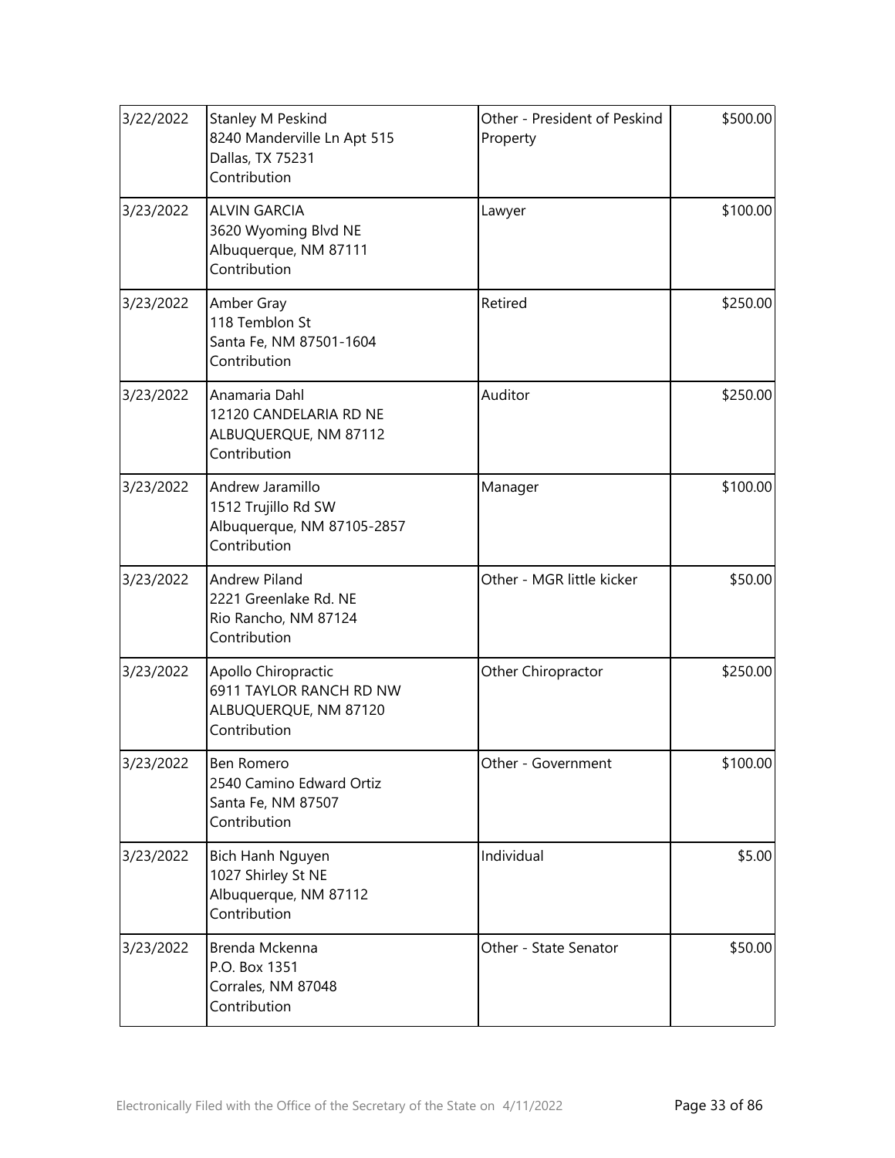| 3/22/2022 | <b>Stanley M Peskind</b><br>8240 Manderville Ln Apt 515<br>Dallas, TX 75231<br>Contribution | Other - President of Peskind<br>Property | \$500.00 |
|-----------|---------------------------------------------------------------------------------------------|------------------------------------------|----------|
| 3/23/2022 | <b>ALVIN GARCIA</b><br>3620 Wyoming Blvd NE<br>Albuquerque, NM 87111<br>Contribution        | Lawyer                                   | \$100.00 |
| 3/23/2022 | Amber Gray<br>118 Temblon St<br>Santa Fe, NM 87501-1604<br>Contribution                     | Retired                                  | \$250.00 |
| 3/23/2022 | Anamaria Dahl<br>12120 CANDELARIA RD NE<br>ALBUQUERQUE, NM 87112<br>Contribution            | Auditor                                  | \$250.00 |
| 3/23/2022 | Andrew Jaramillo<br>1512 Trujillo Rd SW<br>Albuquerque, NM 87105-2857<br>Contribution       | Manager                                  | \$100.00 |
| 3/23/2022 | <b>Andrew Piland</b><br>2221 Greenlake Rd. NE<br>Rio Rancho, NM 87124<br>Contribution       | Other - MGR little kicker                | \$50.00  |
| 3/23/2022 | Apollo Chiropractic<br>6911 TAYLOR RANCH RD NW<br>ALBUQUERQUE, NM 87120<br>Contribution     | Other Chiropractor                       | \$250.00 |
| 3/23/2022 | Ben Romero<br>2540 Camino Edward Ortiz<br>Santa Fe, NM 87507<br>Contribution                | Other - Government                       | \$100.00 |
| 3/23/2022 | Bich Hanh Nguyen<br>1027 Shirley St NE<br>Albuquerque, NM 87112<br>Contribution             | Individual                               | \$5.00   |
| 3/23/2022 | Brenda Mckenna<br>P.O. Box 1351<br>Corrales, NM 87048<br>Contribution                       | Other - State Senator                    | \$50.00  |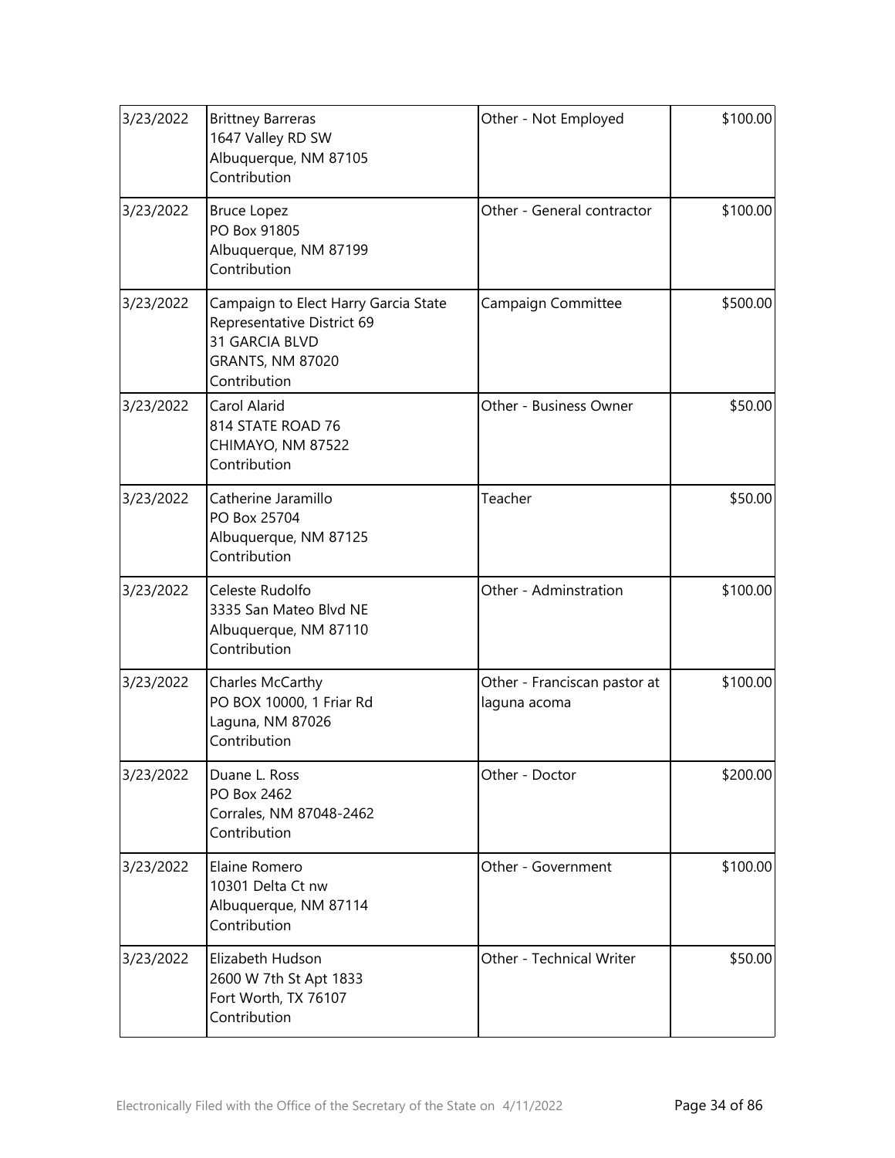| 3/23/2022 | <b>Brittney Barreras</b><br>1647 Valley RD SW<br>Albuquerque, NM 87105<br>Contribution                                          | Other - Not Employed                         | \$100.00 |
|-----------|---------------------------------------------------------------------------------------------------------------------------------|----------------------------------------------|----------|
| 3/23/2022 | <b>Bruce Lopez</b><br>PO Box 91805<br>Albuquerque, NM 87199<br>Contribution                                                     | Other - General contractor                   | \$100.00 |
| 3/23/2022 | Campaign to Elect Harry Garcia State<br>Representative District 69<br>31 GARCIA BLVD<br><b>GRANTS, NM 87020</b><br>Contribution | Campaign Committee                           | \$500.00 |
| 3/23/2022 | Carol Alarid<br>814 STATE ROAD 76<br>CHIMAYO, NM 87522<br>Contribution                                                          | Other - Business Owner                       | \$50.00  |
| 3/23/2022 | Catherine Jaramillo<br>PO Box 25704<br>Albuquerque, NM 87125<br>Contribution                                                    | Teacher                                      | \$50.00  |
| 3/23/2022 | Celeste Rudolfo<br>3335 San Mateo Blvd NE<br>Albuquerque, NM 87110<br>Contribution                                              | Other - Adminstration                        | \$100.00 |
| 3/23/2022 | Charles McCarthy<br>PO BOX 10000, 1 Friar Rd<br>Laguna, NM 87026<br>Contribution                                                | Other - Franciscan pastor at<br>laguna acoma | \$100.00 |
| 3/23/2022 | Duane L. Ross<br>PO Box 2462<br>Corrales, NM 87048-2462<br>Contribution                                                         | Other - Doctor                               | \$200.00 |
| 3/23/2022 | Elaine Romero<br>10301 Delta Ct nw<br>Albuquerque, NM 87114<br>Contribution                                                     | Other - Government                           | \$100.00 |
| 3/23/2022 | Elizabeth Hudson<br>2600 W 7th St Apt 1833<br>Fort Worth, TX 76107<br>Contribution                                              | Other - Technical Writer                     | \$50.00  |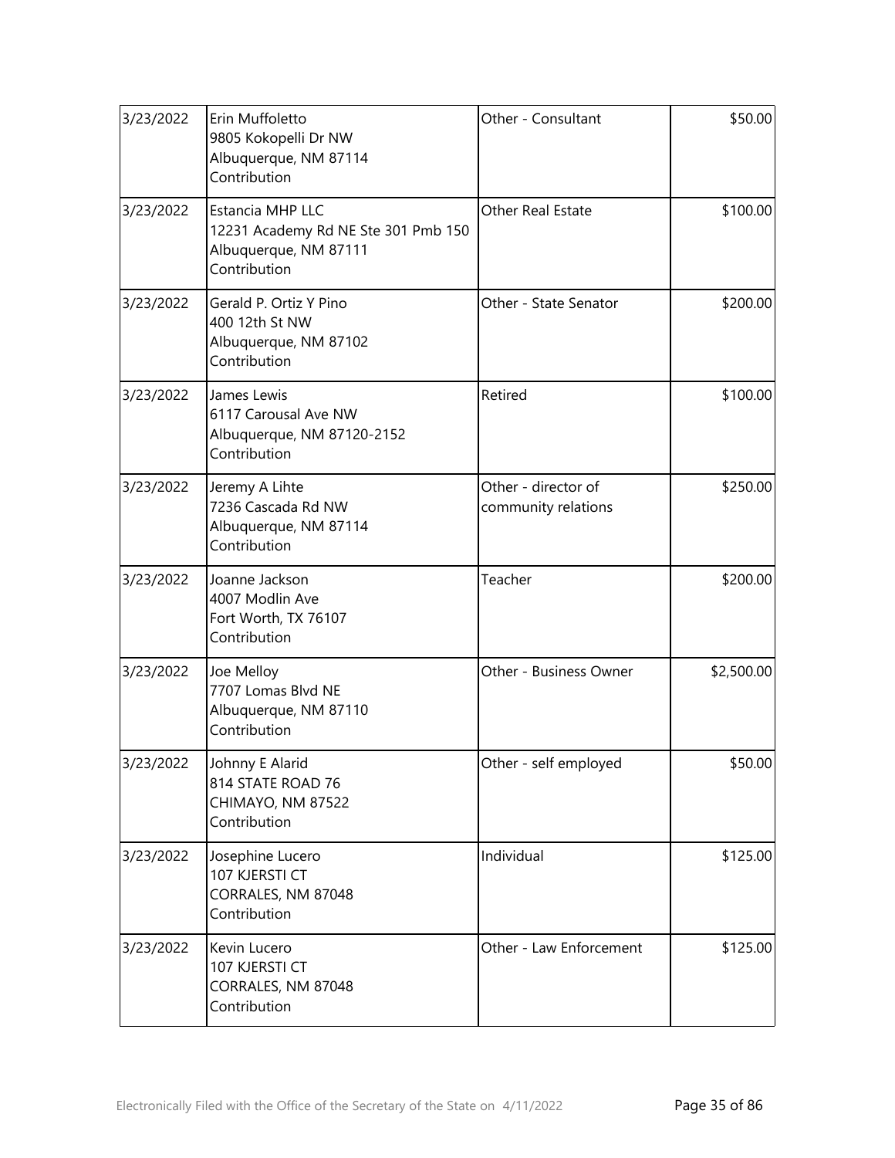| 3/23/2022 | Erin Muffoletto<br>9805 Kokopelli Dr NW<br>Albuquerque, NM 87114<br>Contribution                 | Other - Consultant                         | \$50.00    |
|-----------|--------------------------------------------------------------------------------------------------|--------------------------------------------|------------|
| 3/23/2022 | Estancia MHP LLC<br>12231 Academy Rd NE Ste 301 Pmb 150<br>Albuquerque, NM 87111<br>Contribution | Other Real Estate                          | \$100.00   |
| 3/23/2022 | Gerald P. Ortiz Y Pino<br>400 12th St NW<br>Albuquerque, NM 87102<br>Contribution                | Other - State Senator                      | \$200.00   |
| 3/23/2022 | James Lewis<br>6117 Carousal Ave NW<br>Albuquerque, NM 87120-2152<br>Contribution                | Retired                                    | \$100.00   |
| 3/23/2022 | Jeremy A Lihte<br>7236 Cascada Rd NW<br>Albuquerque, NM 87114<br>Contribution                    | Other - director of<br>community relations | \$250.00   |
| 3/23/2022 | Joanne Jackson<br>4007 Modlin Ave<br>Fort Worth, TX 76107<br>Contribution                        | Teacher                                    | \$200.00   |
| 3/23/2022 | Joe Melloy<br>7707 Lomas Blvd NE<br>Albuquerque, NM 87110<br>Contribution                        | Other - Business Owner                     | \$2,500.00 |
| 3/23/2022 | Johnny E Alarid<br>814 STATE ROAD 76<br>CHIMAYO, NM 87522<br>Contribution                        | Other - self employed                      | \$50.00    |
| 3/23/2022 | Josephine Lucero<br>107 KJERSTI CT<br>CORRALES, NM 87048<br>Contribution                         | Individual                                 | \$125.00   |
| 3/23/2022 | Kevin Lucero<br>107 KJERSTI CT<br>CORRALES, NM 87048<br>Contribution                             | Other - Law Enforcement                    | \$125.00   |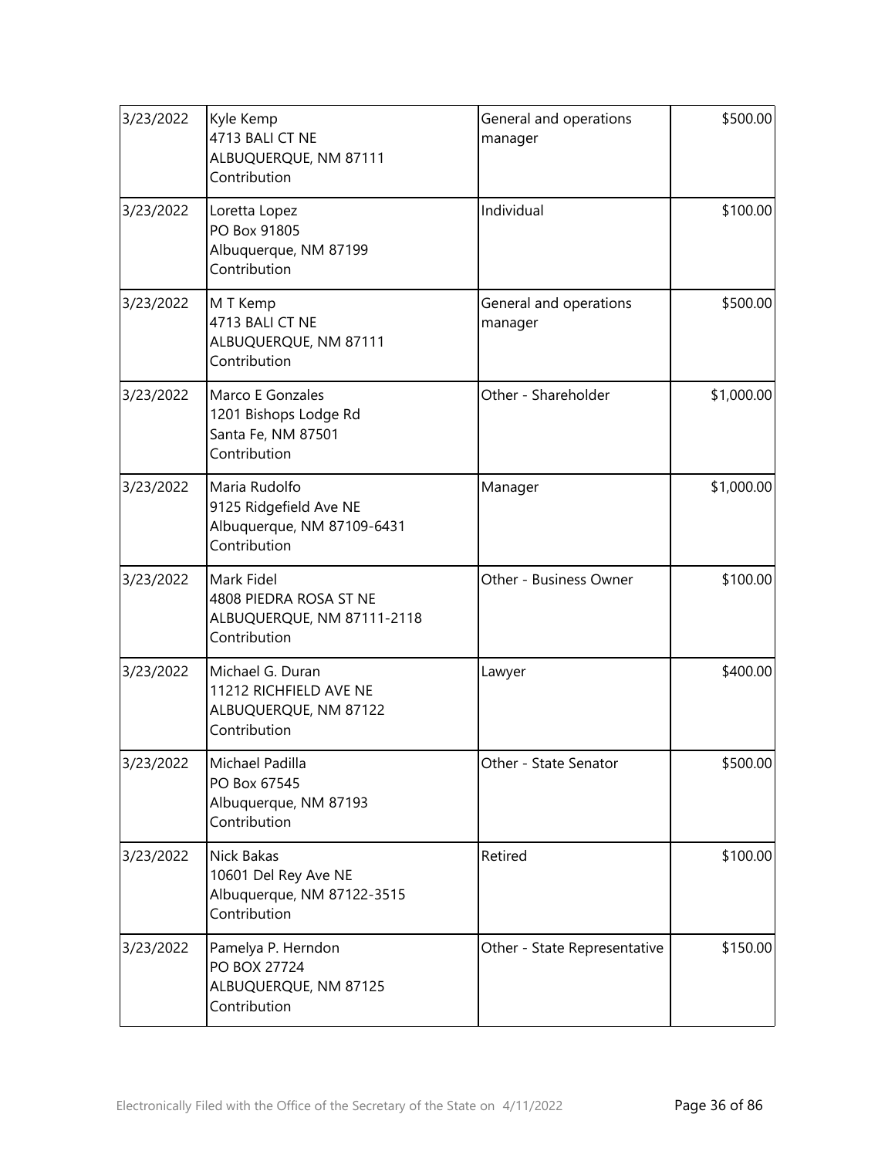| 3/23/2022 | Kyle Kemp<br>4713 BALI CT NE<br>ALBUQUERQUE, NM 87111<br>Contribution                 | General and operations<br>manager | \$500.00   |
|-----------|---------------------------------------------------------------------------------------|-----------------------------------|------------|
| 3/23/2022 | Loretta Lopez<br>PO Box 91805<br>Albuquerque, NM 87199<br>Contribution                | Individual                        | \$100.00   |
| 3/23/2022 | M T Kemp<br>4713 BALI CT NE<br>ALBUQUERQUE, NM 87111<br>Contribution                  | General and operations<br>manager | \$500.00   |
| 3/23/2022 | Marco E Gonzales<br>1201 Bishops Lodge Rd<br>Santa Fe, NM 87501<br>Contribution       | Other - Shareholder               | \$1,000.00 |
| 3/23/2022 | Maria Rudolfo<br>9125 Ridgefield Ave NE<br>Albuquerque, NM 87109-6431<br>Contribution | Manager                           | \$1,000.00 |
| 3/23/2022 | Mark Fidel<br>4808 PIEDRA ROSA ST NE<br>ALBUQUERQUE, NM 87111-2118<br>Contribution    | Other - Business Owner            | \$100.00   |
| 3/23/2022 | Michael G. Duran<br>11212 RICHFIELD AVE NE<br>ALBUQUERQUE, NM 87122<br>Contribution   | Lawyer                            | \$400.00   |
| 3/23/2022 | Michael Padilla<br>PO Box 67545<br>Albuquerque, NM 87193<br>Contribution              | Other - State Senator             | \$500.00   |
| 3/23/2022 | Nick Bakas<br>10601 Del Rey Ave NE<br>Albuquerque, NM 87122-3515<br>Contribution      | Retired                           | \$100.00   |
| 3/23/2022 | Pamelya P. Herndon<br>PO BOX 27724<br>ALBUQUERQUE, NM 87125<br>Contribution           | Other - State Representative      | \$150.00   |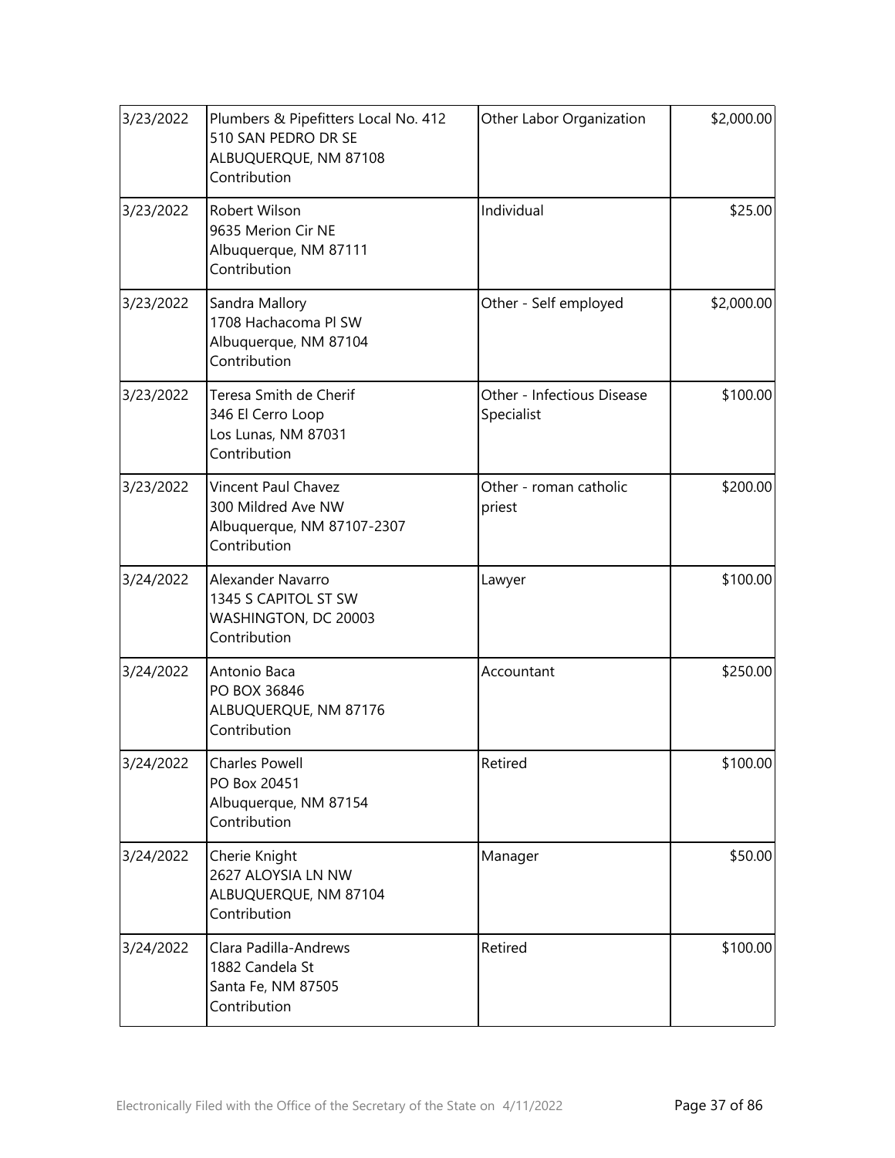| 3/23/2022 | Plumbers & Pipefitters Local No. 412<br>510 SAN PEDRO DR SE<br>ALBUQUERQUE, NM 87108<br>Contribution | Other Labor Organization                 | \$2,000.00 |
|-----------|------------------------------------------------------------------------------------------------------|------------------------------------------|------------|
| 3/23/2022 | Robert Wilson<br>9635 Merion Cir NE<br>Albuquerque, NM 87111<br>Contribution                         | Individual                               | \$25.00    |
| 3/23/2022 | Sandra Mallory<br>1708 Hachacoma Pl SW<br>Albuquerque, NM 87104<br>Contribution                      | Other - Self employed                    | \$2,000.00 |
| 3/23/2022 | Teresa Smith de Cherif<br>346 El Cerro Loop<br>Los Lunas, NM 87031<br>Contribution                   | Other - Infectious Disease<br>Specialist | \$100.00   |
| 3/23/2022 | Vincent Paul Chavez<br>300 Mildred Ave NW<br>Albuquerque, NM 87107-2307<br>Contribution              | Other - roman catholic<br>priest         | \$200.00   |
| 3/24/2022 | Alexander Navarro<br>1345 S CAPITOL ST SW<br>WASHINGTON, DC 20003<br>Contribution                    | Lawyer                                   | \$100.00   |
| 3/24/2022 | Antonio Baca<br>PO BOX 36846<br>ALBUQUERQUE, NM 87176<br>Contribution                                | Accountant                               | \$250.00   |
| 3/24/2022 | Charles Powell<br>PO Box 20451<br>Albuquerque, NM 87154<br>Contribution                              | Retired                                  | \$100.00]  |
| 3/24/2022 | Cherie Knight<br>2627 ALOYSIA LN NW<br>ALBUQUERQUE, NM 87104<br>Contribution                         | Manager                                  | \$50.00    |
| 3/24/2022 | Clara Padilla-Andrews<br>1882 Candela St<br>Santa Fe, NM 87505<br>Contribution                       | Retired                                  | \$100.00   |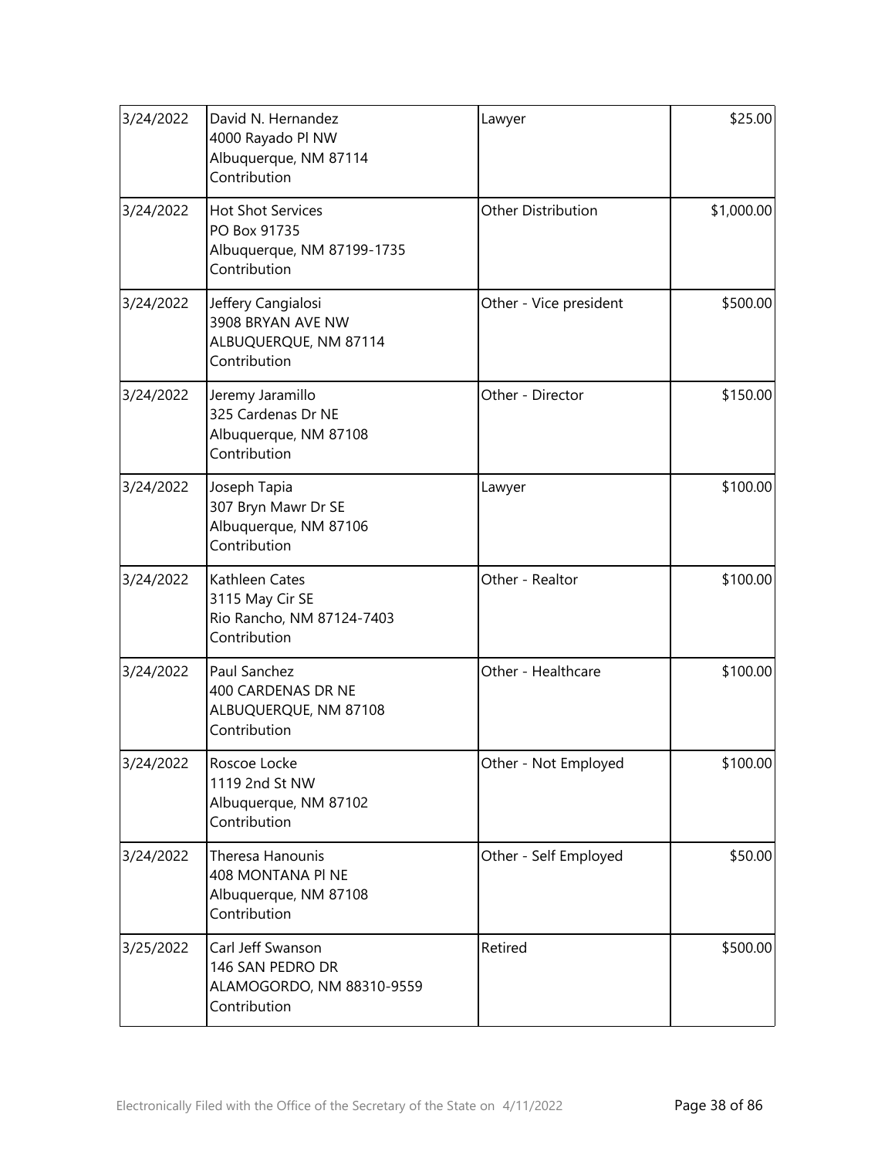| 3/24/2022 | David N. Hernandez<br>4000 Rayado Pl NW<br>Albuquerque, NM 87114<br>Contribution       | Lawyer                    | \$25.00    |
|-----------|----------------------------------------------------------------------------------------|---------------------------|------------|
| 3/24/2022 | <b>Hot Shot Services</b><br>PO Box 91735<br>Albuquerque, NM 87199-1735<br>Contribution | <b>Other Distribution</b> | \$1,000.00 |
| 3/24/2022 | Jeffery Cangialosi<br>3908 BRYAN AVE NW<br>ALBUQUERQUE, NM 87114<br>Contribution       | Other - Vice president    | \$500.00   |
| 3/24/2022 | Jeremy Jaramillo<br>325 Cardenas Dr NE<br>Albuquerque, NM 87108<br>Contribution        | Other - Director          | \$150.00   |
| 3/24/2022 | Joseph Tapia<br>307 Bryn Mawr Dr SE<br>Albuquerque, NM 87106<br>Contribution           | Lawyer                    | \$100.00   |
| 3/24/2022 | Kathleen Cates<br>3115 May Cir SE<br>Rio Rancho, NM 87124-7403<br>Contribution         | Other - Realtor           | \$100.00   |
| 3/24/2022 | Paul Sanchez<br>400 CARDENAS DR NE<br>ALBUQUERQUE, NM 87108<br>Contribution            | Other - Healthcare        | \$100.00   |
| 3/24/2022 | Roscoe Locke<br>1119 2nd St NW<br>Albuquerque, NM 87102<br>Contribution                | Other - Not Employed      | \$100.00   |
| 3/24/2022 | Theresa Hanounis<br>408 MONTANA PI NE<br>Albuquerque, NM 87108<br>Contribution         | Other - Self Employed     | \$50.00    |
| 3/25/2022 | Carl Jeff Swanson<br>146 SAN PEDRO DR<br>ALAMOGORDO, NM 88310-9559<br>Contribution     | Retired                   | \$500.00   |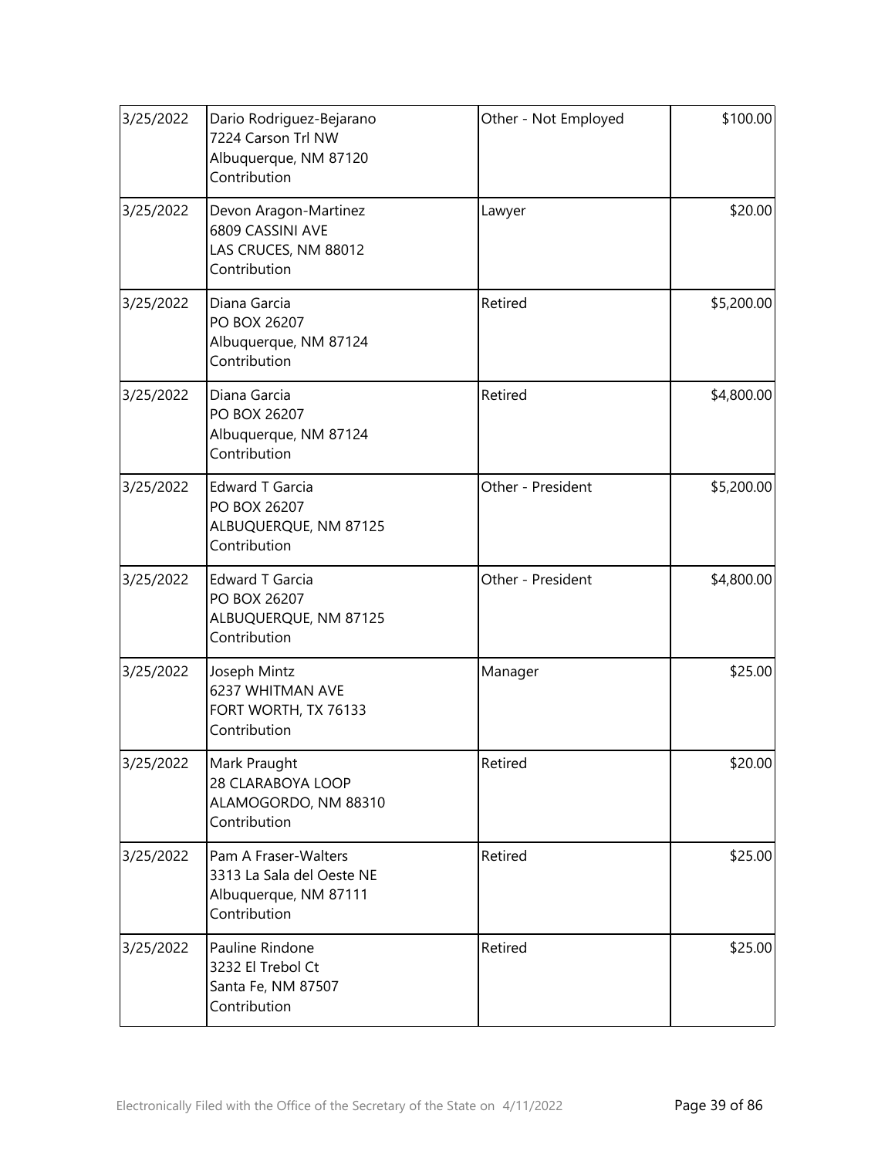| 3/25/2022 | Dario Rodriguez-Bejarano<br>7224 Carson Trl NW<br>Albuquerque, NM 87120<br>Contribution    | Other - Not Employed | \$100.00   |
|-----------|--------------------------------------------------------------------------------------------|----------------------|------------|
| 3/25/2022 | Devon Aragon-Martinez<br>6809 CASSINI AVE<br>LAS CRUCES, NM 88012<br>Contribution          | Lawyer               | \$20.00    |
| 3/25/2022 | Diana Garcia<br>PO BOX 26207<br>Albuquerque, NM 87124<br>Contribution                      | Retired              | \$5,200.00 |
| 3/25/2022 | Diana Garcia<br>PO BOX 26207<br>Albuquerque, NM 87124<br>Contribution                      | Retired              | \$4,800.00 |
| 3/25/2022 | <b>Edward T Garcia</b><br>PO BOX 26207<br>ALBUQUERQUE, NM 87125<br>Contribution            | Other - President    | \$5,200.00 |
| 3/25/2022 | <b>Edward T Garcia</b><br>PO BOX 26207<br>ALBUQUERQUE, NM 87125<br>Contribution            | Other - President    | \$4,800.00 |
| 3/25/2022 | Joseph Mintz<br>6237 WHITMAN AVE<br>FORT WORTH, TX 76133<br>Contribution                   | Manager              | \$25.00    |
| 3/25/2022 | Mark Praught<br>28 CLARABOYA LOOP<br>ALAMOGORDO, NM 88310<br>Contribution                  | Retired              | \$20.00    |
| 3/25/2022 | Pam A Fraser-Walters<br>3313 La Sala del Oeste NE<br>Albuquerque, NM 87111<br>Contribution | Retired              | \$25.00    |
| 3/25/2022 | Pauline Rindone<br>3232 El Trebol Ct<br>Santa Fe, NM 87507<br>Contribution                 | Retired              | \$25.00    |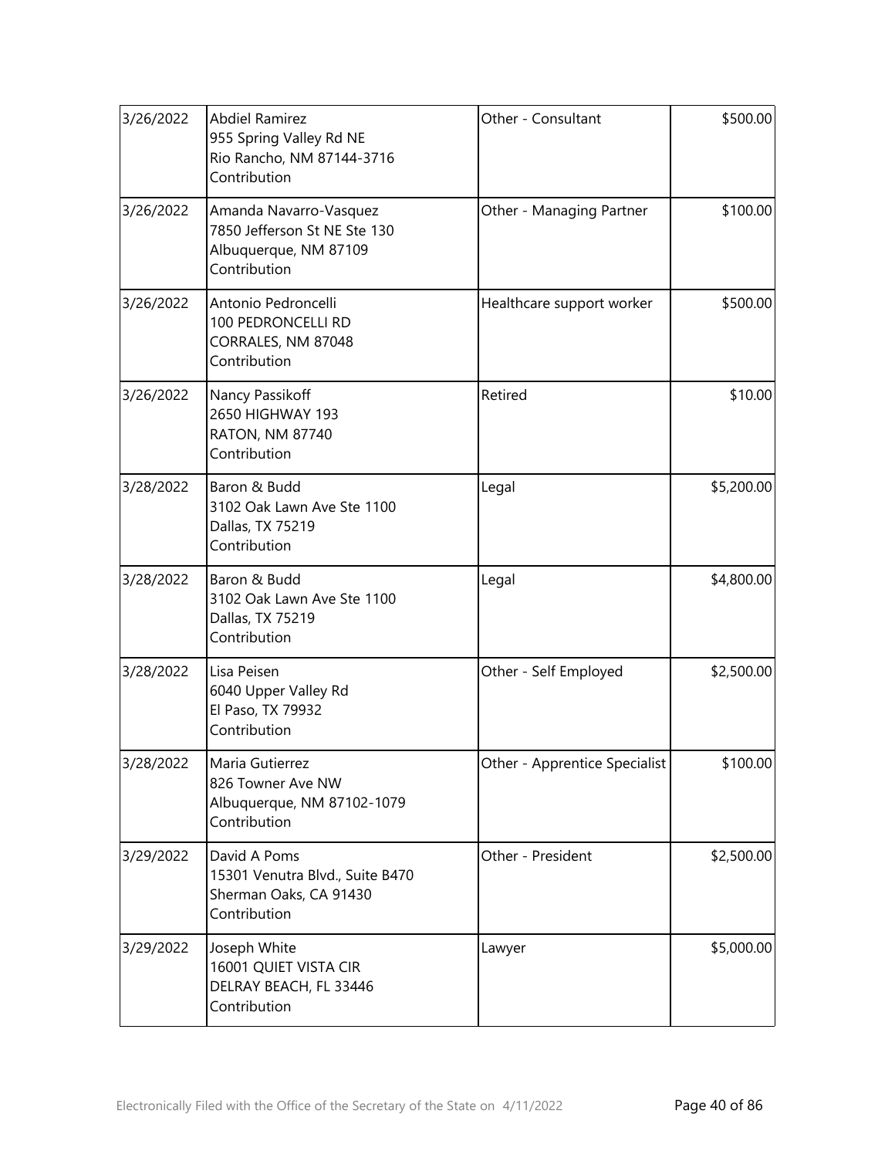| 3/26/2022 | <b>Abdiel Ramirez</b><br>955 Spring Valley Rd NE<br>Rio Rancho, NM 87144-3716<br>Contribution   | Other - Consultant            | \$500.00   |
|-----------|-------------------------------------------------------------------------------------------------|-------------------------------|------------|
| 3/26/2022 | Amanda Navarro-Vasquez<br>7850 Jefferson St NE Ste 130<br>Albuquerque, NM 87109<br>Contribution | Other - Managing Partner      | \$100.00   |
| 3/26/2022 | Antonio Pedroncelli<br>100 PEDRONCELLI RD<br>CORRALES, NM 87048<br>Contribution                 | Healthcare support worker     | \$500.00   |
| 3/26/2022 | Nancy Passikoff<br>2650 HIGHWAY 193<br>RATON, NM 87740<br>Contribution                          | Retired                       | \$10.00    |
| 3/28/2022 | Baron & Budd<br>3102 Oak Lawn Ave Ste 1100<br>Dallas, TX 75219<br>Contribution                  | Legal                         | \$5,200.00 |
| 3/28/2022 | Baron & Budd<br>3102 Oak Lawn Ave Ste 1100<br>Dallas, TX 75219<br>Contribution                  | Legal                         | \$4,800.00 |
| 3/28/2022 | Lisa Peisen<br>6040 Upper Valley Rd<br>El Paso, TX 79932<br>Contribution                        | Other - Self Employed         | \$2,500.00 |
| 3/28/2022 | Maria Gutierrez<br>826 Towner Ave NW<br>Albuquerque, NM 87102-1079<br>Contribution              | Other - Apprentice Specialist | \$100.00]  |
| 3/29/2022 | David A Poms<br>15301 Venutra Blvd., Suite B470<br>Sherman Oaks, CA 91430<br>Contribution       | Other - President             | \$2,500.00 |
| 3/29/2022 | Joseph White<br>16001 QUIET VISTA CIR<br>DELRAY BEACH, FL 33446<br>Contribution                 | Lawyer                        | \$5,000.00 |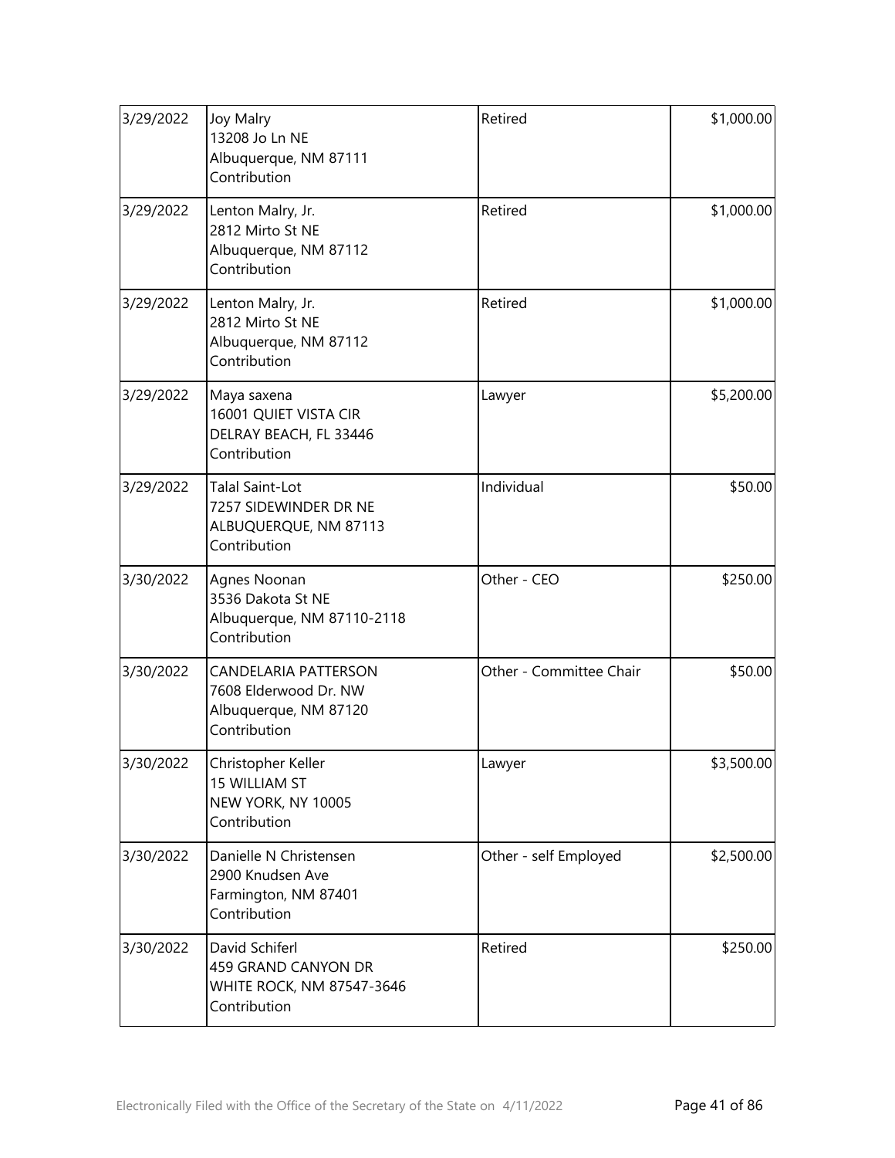| 3/29/2022 | Joy Malry<br>13208 Jo Ln NE<br>Albuquerque, NM 87111<br>Contribution                          | Retired                 | \$1,000.00 |
|-----------|-----------------------------------------------------------------------------------------------|-------------------------|------------|
| 3/29/2022 | Lenton Malry, Jr.<br>2812 Mirto St NE<br>Albuquerque, NM 87112<br>Contribution                | Retired                 | \$1,000.00 |
| 3/29/2022 | Lenton Malry, Jr.<br>2812 Mirto St NE<br>Albuquerque, NM 87112<br>Contribution                | Retired                 | \$1,000.00 |
| 3/29/2022 | Maya saxena<br>16001 QUIET VISTA CIR<br>DELRAY BEACH, FL 33446<br>Contribution                | Lawyer                  | \$5,200.00 |
| 3/29/2022 | <b>Talal Saint-Lot</b><br>7257 SIDEWINDER DR NE<br>ALBUQUERQUE, NM 87113<br>Contribution      | Individual              | \$50.00    |
| 3/30/2022 | Agnes Noonan<br>3536 Dakota St NE<br>Albuquerque, NM 87110-2118<br>Contribution               | Other - CEO             | \$250.00   |
| 3/30/2022 | <b>CANDELARIA PATTERSON</b><br>7608 Elderwood Dr. NW<br>Albuquerque, NM 87120<br>Contribution | Other - Committee Chair | \$50.00    |
| 3/30/2022 | Christopher Keller<br>15 WILLIAM ST<br>NEW YORK, NY 10005<br>Contribution                     | Lawyer                  | \$3,500.00 |
| 3/30/2022 | Danielle N Christensen<br>2900 Knudsen Ave<br>Farmington, NM 87401<br>Contribution            | Other - self Employed   | \$2,500.00 |
| 3/30/2022 | David Schiferl<br>459 GRAND CANYON DR<br>WHITE ROCK, NM 87547-3646<br>Contribution            | Retired                 | \$250.00   |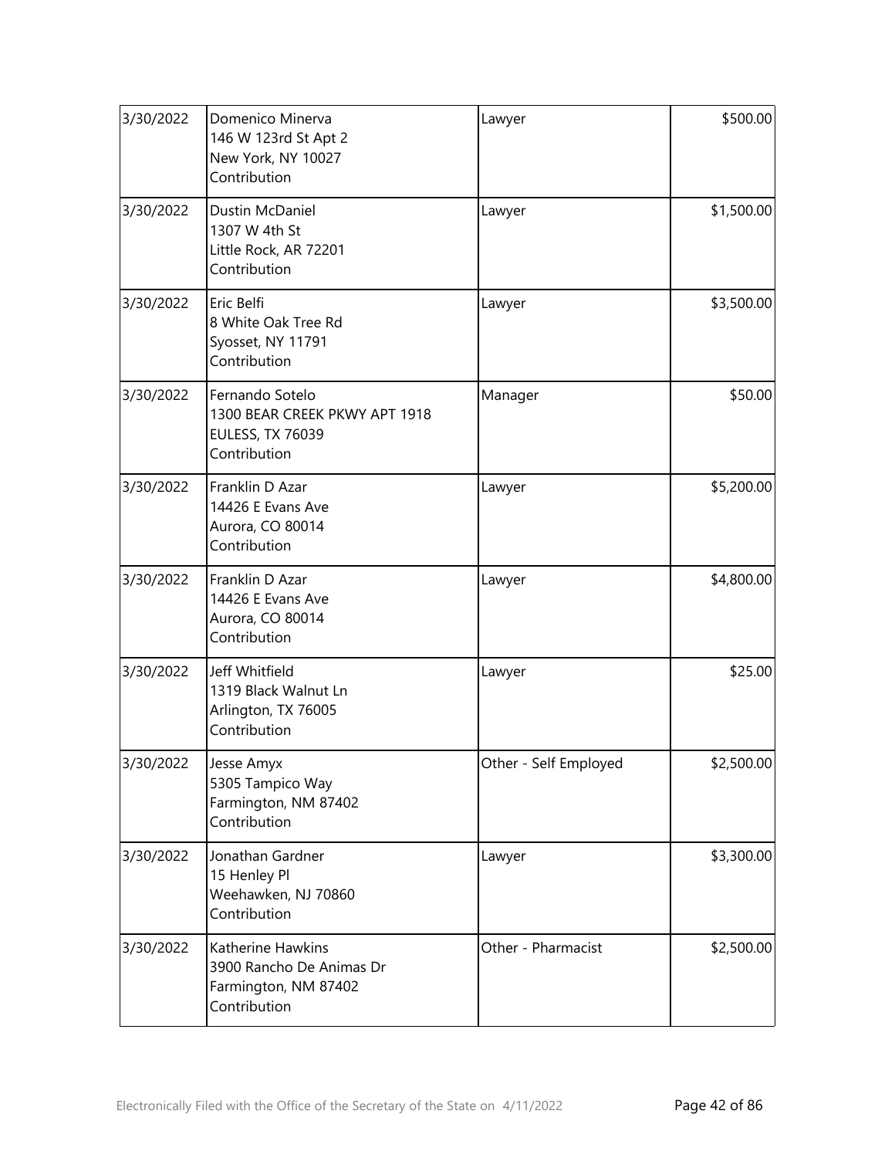| 3/30/2022 | Domenico Minerva<br>146 W 123rd St Apt 2<br>New York, NY 10027<br>Contribution              | Lawyer                | \$500.00   |
|-----------|---------------------------------------------------------------------------------------------|-----------------------|------------|
| 3/30/2022 | Dustin McDaniel<br>1307 W 4th St<br>Little Rock, AR 72201<br>Contribution                   | Lawyer                | \$1,500.00 |
| 3/30/2022 | Eric Belfi<br>8 White Oak Tree Rd<br>Syosset, NY 11791<br>Contribution                      | Lawyer                | \$3,500.00 |
| 3/30/2022 | Fernando Sotelo<br>1300 BEAR CREEK PKWY APT 1918<br><b>EULESS, TX 76039</b><br>Contribution | Manager               | \$50.00    |
| 3/30/2022 | Franklin D Azar<br>14426 E Evans Ave<br>Aurora, CO 80014<br>Contribution                    | Lawyer                | \$5,200.00 |
| 3/30/2022 | Franklin D Azar<br>14426 E Evans Ave<br>Aurora, CO 80014<br>Contribution                    | Lawyer                | \$4,800.00 |
| 3/30/2022 | Jeff Whitfield<br>1319 Black Walnut Ln<br>Arlington, TX 76005<br>Contribution               | Lawyer                | \$25.00    |
| 3/30/2022 | Jesse Amyx<br>5305 Tampico Way<br>Farmington, NM 87402<br>Contribution                      | Other - Self Employed | \$2,500.00 |
| 3/30/2022 | Jonathan Gardner<br>15 Henley Pl<br>Weehawken, NJ 70860<br>Contribution                     | Lawyer                | \$3,300.00 |
| 3/30/2022 | Katherine Hawkins<br>3900 Rancho De Animas Dr<br>Farmington, NM 87402<br>Contribution       | Other - Pharmacist    | \$2,500.00 |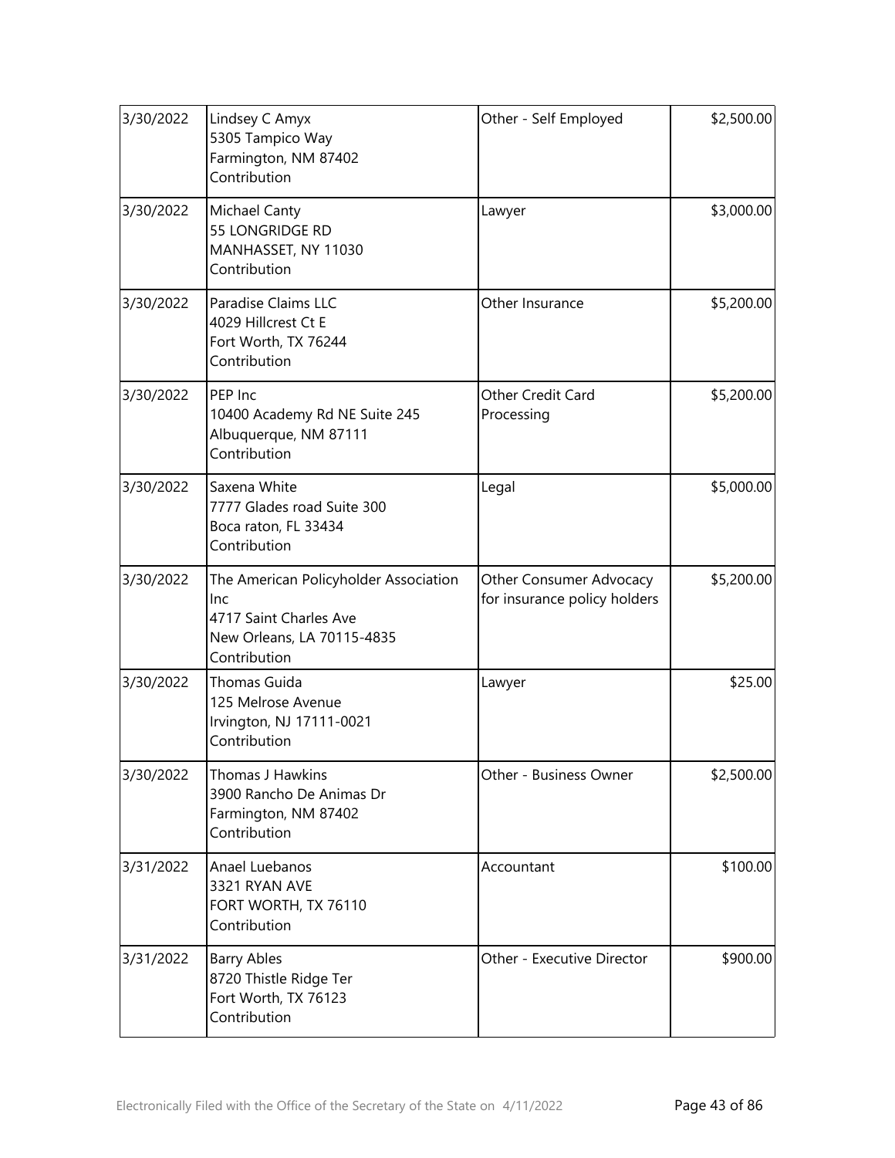| 3/30/2022 | Lindsey C Amyx<br>5305 Tampico Way<br>Farmington, NM 87402<br>Contribution                                           | Other - Self Employed                                   | \$2,500.00 |
|-----------|----------------------------------------------------------------------------------------------------------------------|---------------------------------------------------------|------------|
| 3/30/2022 | <b>Michael Canty</b><br>55 LONGRIDGE RD<br>MANHASSET, NY 11030<br>Contribution                                       | Lawyer                                                  | \$3,000.00 |
| 3/30/2022 | Paradise Claims LLC<br>4029 Hillcrest Ct E<br>Fort Worth, TX 76244<br>Contribution                                   | Other Insurance                                         | \$5,200.00 |
| 3/30/2022 | PEP Inc<br>10400 Academy Rd NE Suite 245<br>Albuquerque, NM 87111<br>Contribution                                    | Other Credit Card<br>Processing                         | \$5,200.00 |
| 3/30/2022 | Saxena White<br>7777 Glades road Suite 300<br>Boca raton, FL 33434<br>Contribution                                   | Legal                                                   | \$5,000.00 |
| 3/30/2022 | The American Policyholder Association<br>lnc<br>4717 Saint Charles Ave<br>New Orleans, LA 70115-4835<br>Contribution | Other Consumer Advocacy<br>for insurance policy holders | \$5,200.00 |
| 3/30/2022 | Thomas Guida<br>125 Melrose Avenue<br>Irvington, NJ 17111-0021<br>Contribution                                       | Lawyer                                                  | \$25.00    |
| 3/30/2022 | Thomas J Hawkins<br>3900 Rancho De Animas Dr<br>Farmington, NM 87402<br>Contribution                                 | Other - Business Owner                                  | \$2,500.00 |
| 3/31/2022 | Anael Luebanos<br>3321 RYAN AVE<br>FORT WORTH, TX 76110<br>Contribution                                              | Accountant                                              | \$100.00   |
| 3/31/2022 | <b>Barry Ables</b><br>8720 Thistle Ridge Ter<br>Fort Worth, TX 76123<br>Contribution                                 | Other - Executive Director                              | \$900.00   |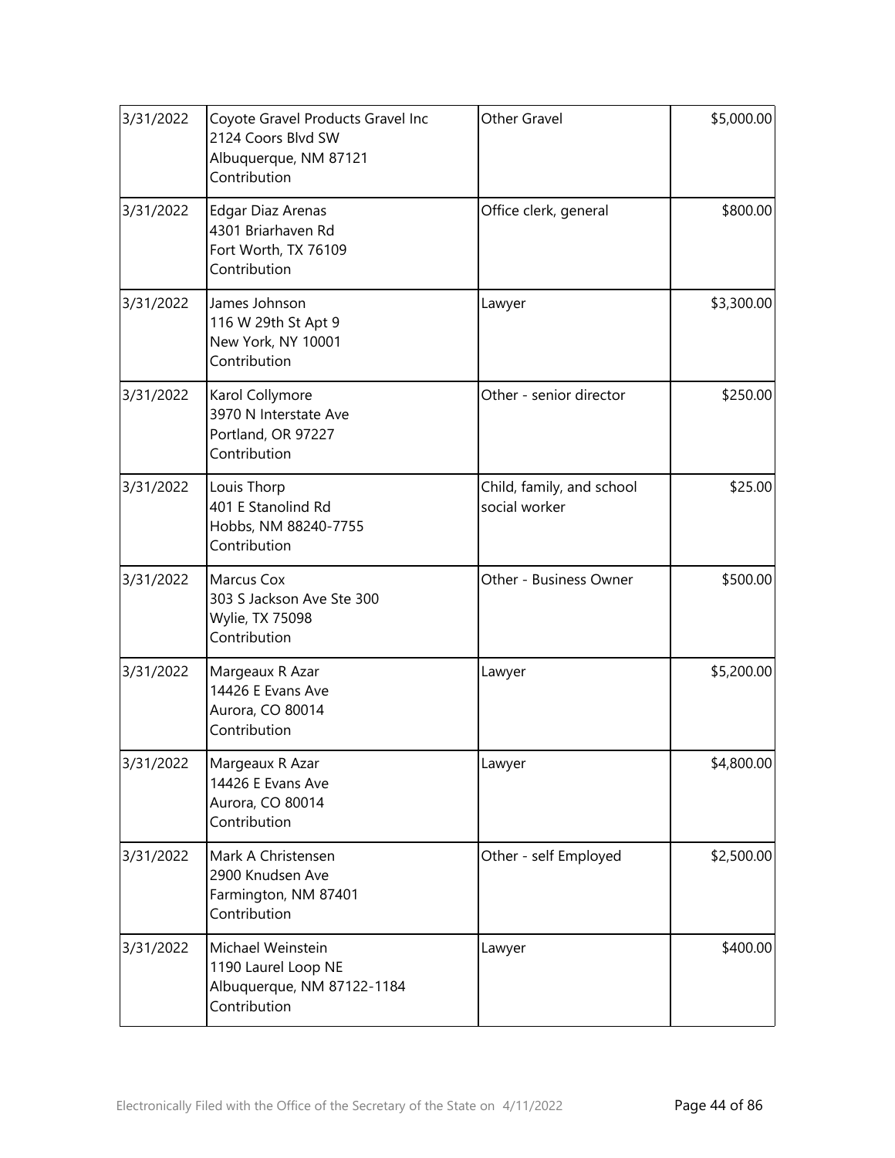| 3/31/2022 | Coyote Gravel Products Gravel Inc<br>2124 Coors Blvd SW<br>Albuquerque, NM 87121<br>Contribution | Other Gravel                               | \$5,000.00 |
|-----------|--------------------------------------------------------------------------------------------------|--------------------------------------------|------------|
| 3/31/2022 | <b>Edgar Diaz Arenas</b><br>4301 Briarhaven Rd<br>Fort Worth, TX 76109<br>Contribution           | Office clerk, general                      | \$800.00   |
| 3/31/2022 | James Johnson<br>116 W 29th St Apt 9<br>New York, NY 10001<br>Contribution                       | Lawyer                                     | \$3,300.00 |
| 3/31/2022 | Karol Collymore<br>3970 N Interstate Ave<br>Portland, OR 97227<br>Contribution                   | Other - senior director                    | \$250.00   |
| 3/31/2022 | Louis Thorp<br>401 E Stanolind Rd<br>Hobbs, NM 88240-7755<br>Contribution                        | Child, family, and school<br>social worker | \$25.00    |
| 3/31/2022 | Marcus Cox<br>303 S Jackson Ave Ste 300<br>Wylie, TX 75098<br>Contribution                       | Other - Business Owner                     | \$500.00   |
| 3/31/2022 | Margeaux R Azar<br>14426 E Evans Ave<br>Aurora, CO 80014<br>Contribution                         | Lawyer                                     | \$5,200.00 |
| 3/31/2022 | Margeaux R Azar<br>14426 E Evans Ave<br>Aurora, CO 80014<br>Contribution                         | Lawyer                                     | \$4,800.00 |
| 3/31/2022 | Mark A Christensen<br>2900 Knudsen Ave<br>Farmington, NM 87401<br>Contribution                   | Other - self Employed                      | \$2,500.00 |
| 3/31/2022 | Michael Weinstein<br>1190 Laurel Loop NE<br>Albuquerque, NM 87122-1184<br>Contribution           | Lawyer                                     | \$400.00   |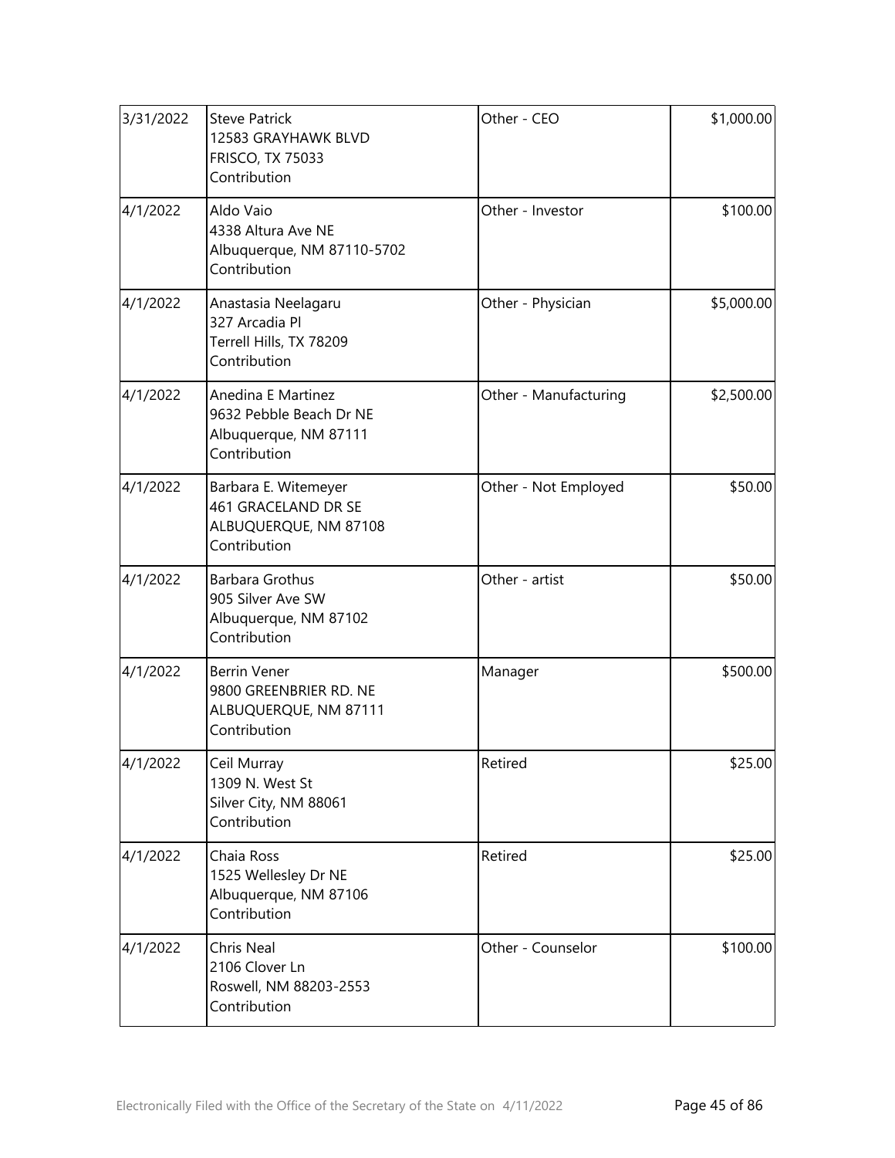| 3/31/2022 | <b>Steve Patrick</b><br>12583 GRAYHAWK BLVD<br><b>FRISCO, TX 75033</b><br>Contribution        | Other - CEO           | \$1,000.00 |
|-----------|-----------------------------------------------------------------------------------------------|-----------------------|------------|
| 4/1/2022  | Aldo Vaio<br>4338 Altura Ave NE<br>Albuquerque, NM 87110-5702<br>Contribution                 | Other - Investor      | \$100.00   |
| 4/1/2022  | Anastasia Neelagaru<br>327 Arcadia Pl<br>Terrell Hills, TX 78209<br>Contribution              | Other - Physician     | \$5,000.00 |
| 4/1/2022  | <b>Anedina E Martinez</b><br>9632 Pebble Beach Dr NE<br>Albuquerque, NM 87111<br>Contribution | Other - Manufacturing | \$2,500.00 |
| 4/1/2022  | Barbara E. Witemeyer<br>461 GRACELAND DR SE<br>ALBUQUERQUE, NM 87108<br>Contribution          | Other - Not Employed  | \$50.00    |
| 4/1/2022  | <b>Barbara Grothus</b><br>905 Silver Ave SW<br>Albuquerque, NM 87102<br>Contribution          | Other - artist        | \$50.00    |
| 4/1/2022  | <b>Berrin Vener</b><br>9800 GREENBRIER RD. NE<br>ALBUQUERQUE, NM 87111<br>Contribution        | Manager               | \$500.00   |
| 4/1/2022  | Ceil Murray<br>1309 N. West St<br>Silver City, NM 88061<br>Contribution                       | Retired               | \$25.00    |
| 4/1/2022  | Chaia Ross<br>1525 Wellesley Dr NE<br>Albuquerque, NM 87106<br>Contribution                   | Retired               | \$25.00    |
| 4/1/2022  | Chris Neal<br>2106 Clover Ln<br>Roswell, NM 88203-2553<br>Contribution                        | Other - Counselor     | \$100.00   |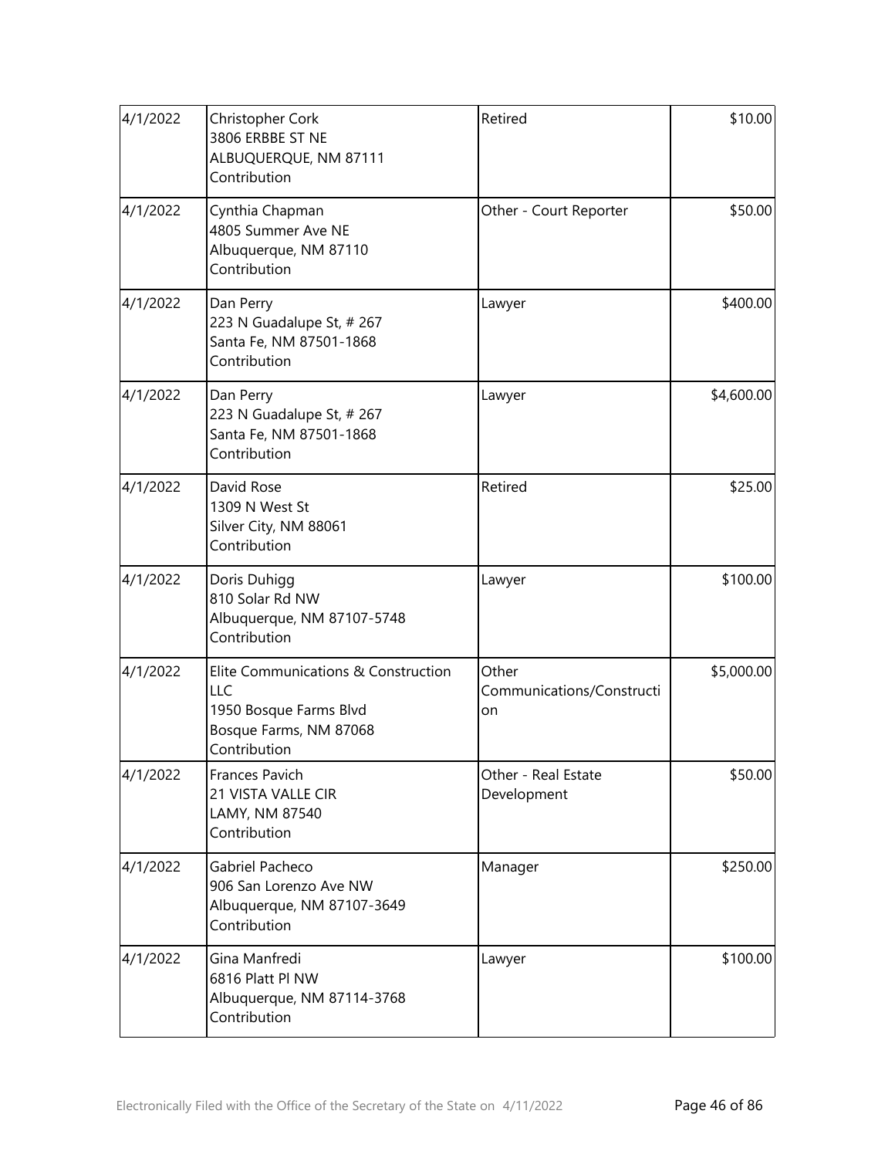| 4/1/2022 | Christopher Cork<br>3806 ERBBE ST NE<br>ALBUQUERQUE, NM 87111<br>Contribution                                  | Retired                                  | \$10.00    |
|----------|----------------------------------------------------------------------------------------------------------------|------------------------------------------|------------|
| 4/1/2022 | Cynthia Chapman<br>4805 Summer Ave NE<br>Albuquerque, NM 87110<br>Contribution                                 | Other - Court Reporter                   | \$50.00    |
| 4/1/2022 | Dan Perry<br>223 N Guadalupe St, # 267<br>Santa Fe, NM 87501-1868<br>Contribution                              | Lawyer                                   | \$400.00   |
| 4/1/2022 | Dan Perry<br>223 N Guadalupe St, # 267<br>Santa Fe, NM 87501-1868<br>Contribution                              | Lawyer                                   | \$4,600.00 |
| 4/1/2022 | David Rose<br>1309 N West St<br>Silver City, NM 88061<br>Contribution                                          | Retired                                  | \$25.00    |
| 4/1/2022 | Doris Duhigg<br>810 Solar Rd NW<br>Albuquerque, NM 87107-5748<br>Contribution                                  | Lawyer                                   | \$100.00   |
| 4/1/2022 | Elite Communications & Construction<br>LLC<br>1950 Bosque Farms Blvd<br>Bosque Farms, NM 87068<br>Contribution | Other<br>Communications/Constructi<br>on | \$5,000.00 |
| 4/1/2022 | Frances Pavich<br>21 VISTA VALLE CIR<br>LAMY, NM 87540<br>Contribution                                         | Other - Real Estate<br>Development       | \$50.00    |
| 4/1/2022 | Gabriel Pacheco<br>906 San Lorenzo Ave NW<br>Albuquerque, NM 87107-3649<br>Contribution                        | Manager                                  | \$250.00   |
| 4/1/2022 | Gina Manfredi<br>6816 Platt Pl NW<br>Albuquerque, NM 87114-3768<br>Contribution                                | Lawyer                                   | \$100.00   |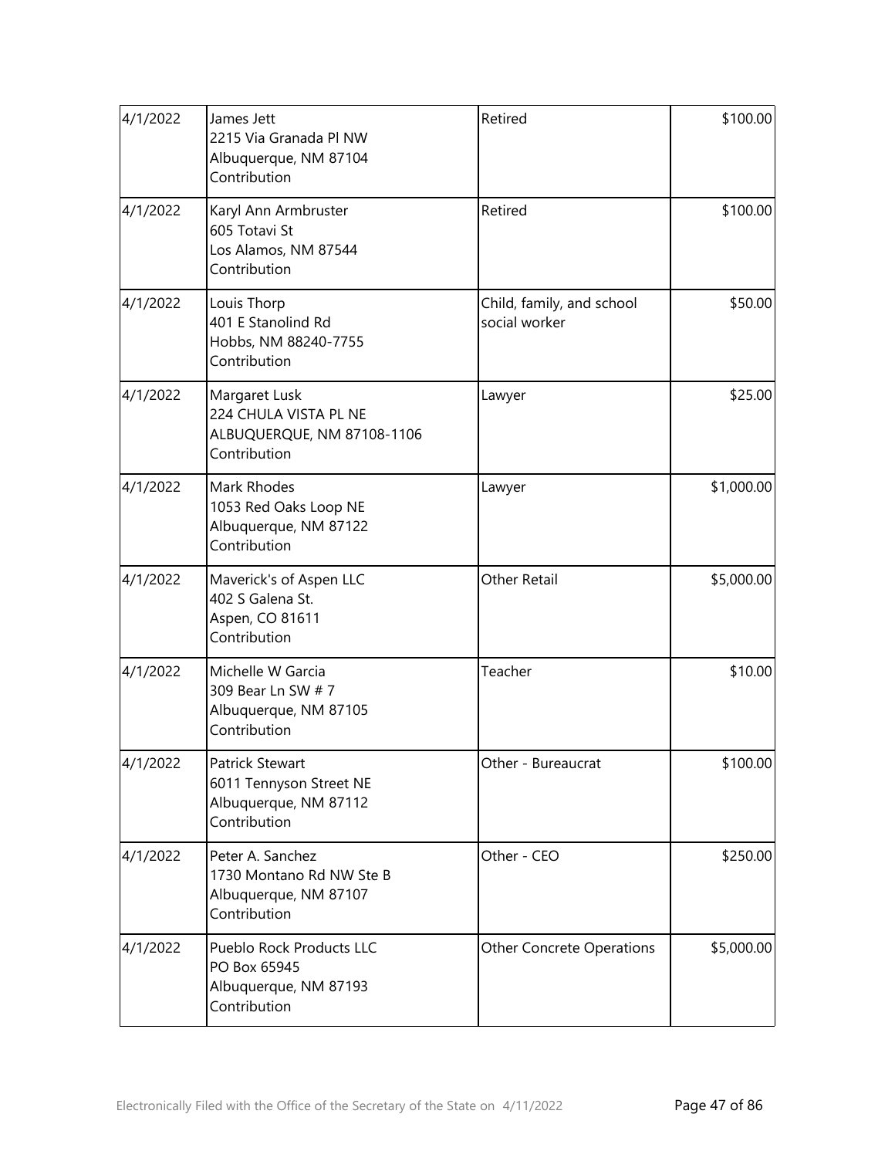| 4/1/2022 | James Jett<br>2215 Via Granada Pl NW<br>Albuquerque, NM 87104<br>Contribution         | Retired                                    | \$100.00   |
|----------|---------------------------------------------------------------------------------------|--------------------------------------------|------------|
| 4/1/2022 | Karyl Ann Armbruster<br>605 Totavi St<br>Los Alamos, NM 87544<br>Contribution         | Retired                                    | \$100.00   |
| 4/1/2022 | Louis Thorp<br>401 E Stanolind Rd<br>Hobbs, NM 88240-7755<br>Contribution             | Child, family, and school<br>social worker | \$50.00    |
| 4/1/2022 | Margaret Lusk<br>224 CHULA VISTA PL NE<br>ALBUQUERQUE, NM 87108-1106<br>Contribution  | Lawyer                                     | \$25.00    |
| 4/1/2022 | Mark Rhodes<br>1053 Red Oaks Loop NE<br>Albuquerque, NM 87122<br>Contribution         | Lawyer                                     | \$1,000.00 |
| 4/1/2022 | Maverick's of Aspen LLC<br>402 S Galena St.<br>Aspen, CO 81611<br>Contribution        | <b>Other Retail</b>                        | \$5,000.00 |
| 4/1/2022 | Michelle W Garcia<br>309 Bear Ln SW # 7<br>Albuquerque, NM 87105<br>Contribution      | Teacher                                    | \$10.00    |
| 4/1/2022 | Patrick Stewart<br>6011 Tennyson Street NE<br>Albuquerque, NM 87112<br>Contribution   | Other - Bureaucrat                         | \$100.00   |
| 4/1/2022 | Peter A. Sanchez<br>1730 Montano Rd NW Ste B<br>Albuquerque, NM 87107<br>Contribution | Other - CEO                                | \$250.00   |
| 4/1/2022 | Pueblo Rock Products LLC<br>PO Box 65945<br>Albuquerque, NM 87193<br>Contribution     | <b>Other Concrete Operations</b>           | \$5,000.00 |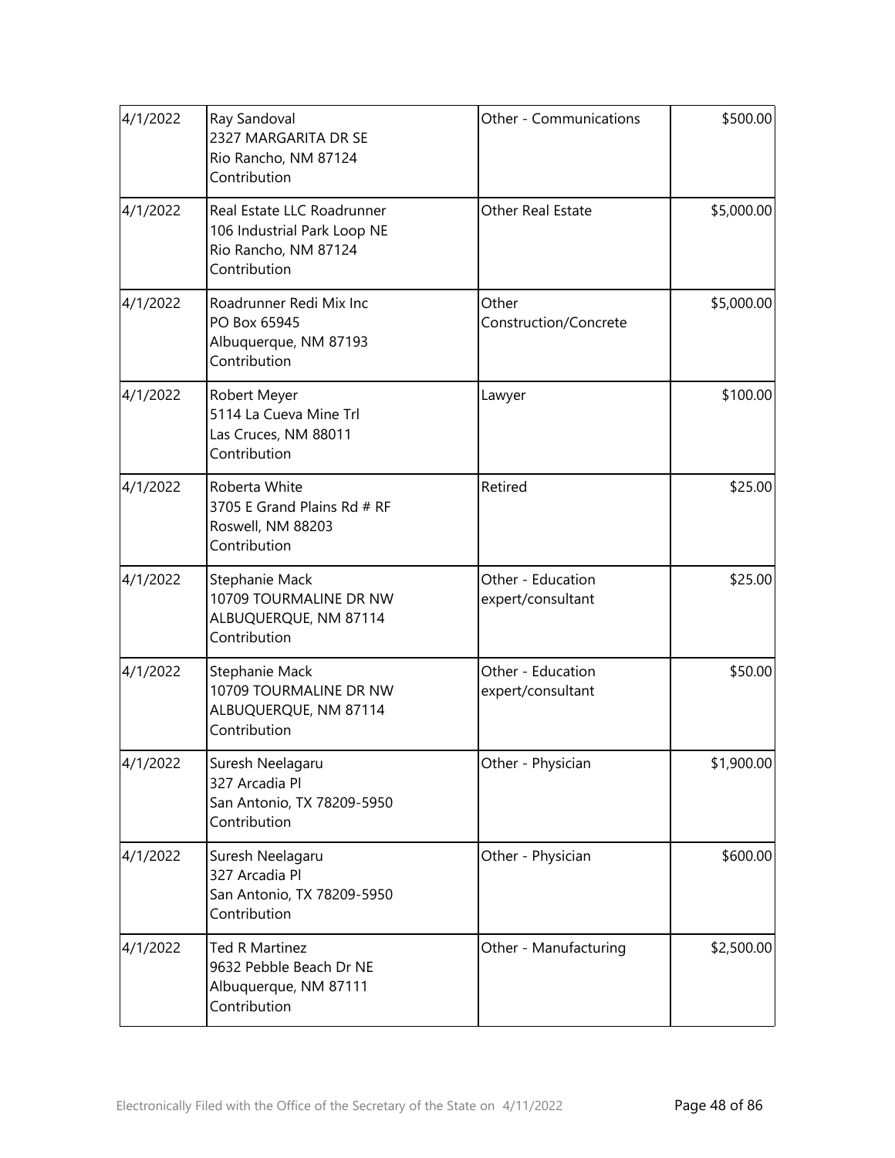| 4/1/2022 | Ray Sandoval<br>2327 MARGARITA DR SE<br>Rio Rancho, NM 87124<br>Contribution                      | Other - Communications                 | \$500.00   |
|----------|---------------------------------------------------------------------------------------------------|----------------------------------------|------------|
| 4/1/2022 | Real Estate LLC Roadrunner<br>106 Industrial Park Loop NE<br>Rio Rancho, NM 87124<br>Contribution | Other Real Estate                      | \$5,000.00 |
| 4/1/2022 | Roadrunner Redi Mix Inc<br>PO Box 65945<br>Albuquerque, NM 87193<br>Contribution                  | Other<br>Construction/Concrete         | \$5,000.00 |
| 4/1/2022 | Robert Meyer<br>5114 La Cueva Mine Trl<br>Las Cruces, NM 88011<br>Contribution                    | Lawyer                                 | \$100.00   |
| 4/1/2022 | Roberta White<br>3705 E Grand Plains Rd # RF<br>Roswell, NM 88203<br>Contribution                 | Retired                                | \$25.00    |
| 4/1/2022 | Stephanie Mack<br>10709 TOURMALINE DR NW<br>ALBUQUERQUE, NM 87114<br>Contribution                 | Other - Education<br>expert/consultant | \$25.00    |
| 4/1/2022 | Stephanie Mack<br>10709 TOURMALINE DR NW<br>ALBUQUERQUE, NM 87114<br>Contribution                 | Other - Education<br>expert/consultant | \$50.00    |
| 4/1/2022 | Suresh Neelagaru<br>327 Arcadia Pl<br>San Antonio, TX 78209-5950<br>Contribution                  | Other - Physician                      | \$1,900.00 |
| 4/1/2022 | Suresh Neelagaru<br>327 Arcadia Pl<br>San Antonio, TX 78209-5950<br>Contribution                  | Other - Physician                      | \$600.00   |
| 4/1/2022 | <b>Ted R Martinez</b><br>9632 Pebble Beach Dr NE<br>Albuquerque, NM 87111<br>Contribution         | Other - Manufacturing                  | \$2,500.00 |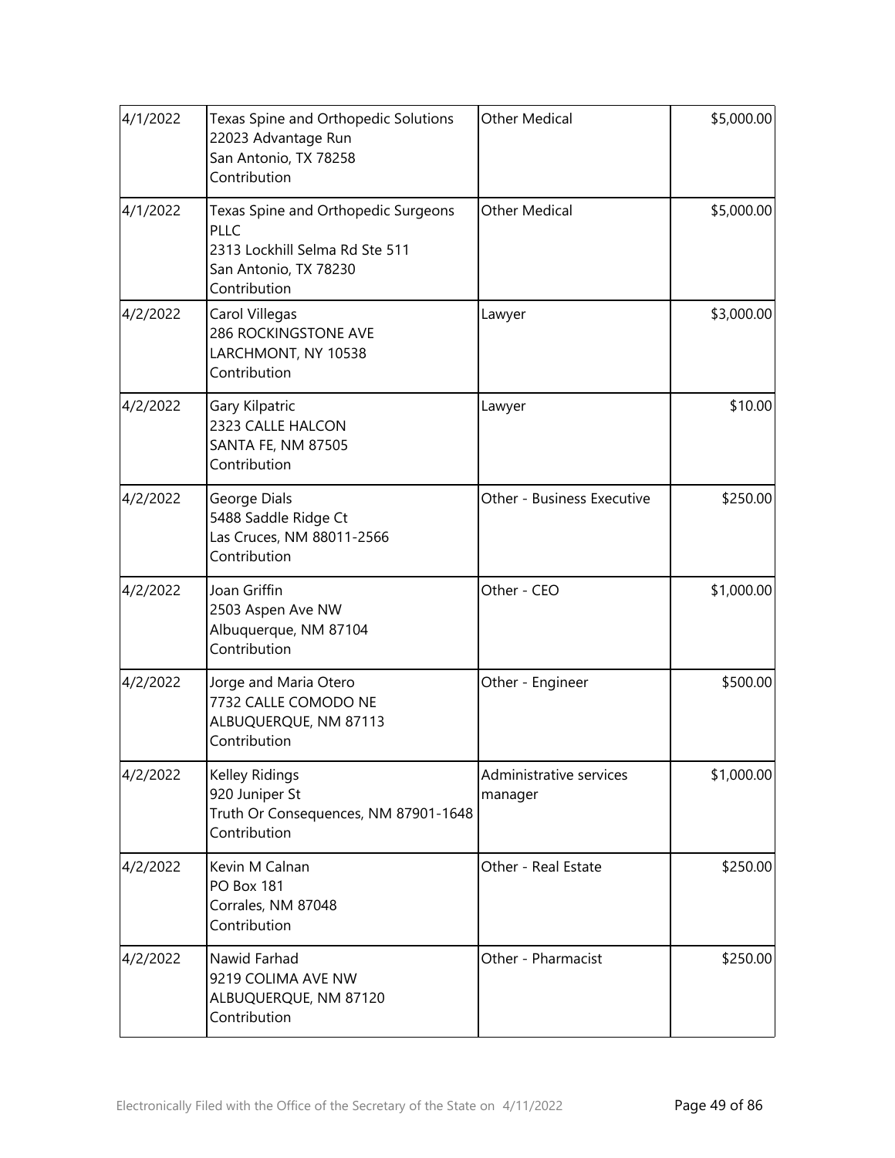| 4/1/2022 | Texas Spine and Orthopedic Solutions<br>22023 Advantage Run<br>San Antonio, TX 78258<br>Contribution                          | <b>Other Medical</b>               | \$5,000.00 |
|----------|-------------------------------------------------------------------------------------------------------------------------------|------------------------------------|------------|
| 4/1/2022 | Texas Spine and Orthopedic Surgeons<br><b>PLLC</b><br>2313 Lockhill Selma Rd Ste 511<br>San Antonio, TX 78230<br>Contribution | <b>Other Medical</b>               | \$5,000.00 |
| 4/2/2022 | Carol Villegas<br>286 ROCKINGSTONE AVE<br>LARCHMONT, NY 10538<br>Contribution                                                 | Lawyer                             | \$3,000.00 |
| 4/2/2022 | Gary Kilpatric<br>2323 CALLE HALCON<br><b>SANTA FE, NM 87505</b><br>Contribution                                              | Lawyer                             | \$10.00    |
| 4/2/2022 | George Dials<br>5488 Saddle Ridge Ct<br>Las Cruces, NM 88011-2566<br>Contribution                                             | Other - Business Executive         | \$250.00   |
| 4/2/2022 | Joan Griffin<br>2503 Aspen Ave NW<br>Albuquerque, NM 87104<br>Contribution                                                    | Other - CEO                        | \$1,000.00 |
| 4/2/2022 | Jorge and Maria Otero<br>7732 CALLE COMODO NE<br>ALBUQUERQUE, NM 87113<br>Contribution                                        | Other - Engineer                   | \$500.00   |
| 4/2/2022 | Kelley Ridings<br>920 Juniper St<br>Truth Or Consequences, NM 87901-1648<br>Contribution                                      | Administrative services<br>manager | \$1,000.00 |
| 4/2/2022 | Kevin M Calnan<br><b>PO Box 181</b><br>Corrales, NM 87048<br>Contribution                                                     | Other - Real Estate                | \$250.00   |
| 4/2/2022 | Nawid Farhad<br>9219 COLIMA AVE NW<br>ALBUQUERQUE, NM 87120<br>Contribution                                                   | Other - Pharmacist                 | \$250.00   |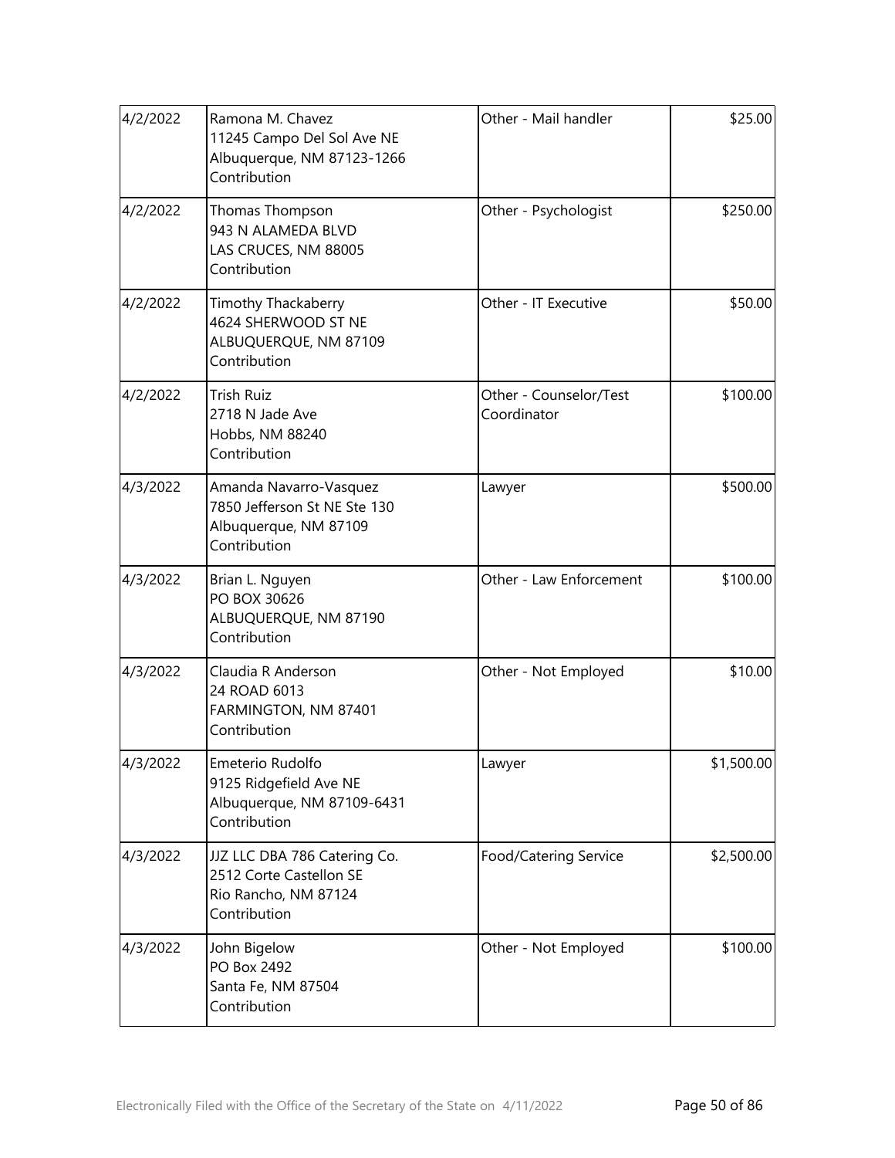| 4/2/2022 | Ramona M. Chavez<br>11245 Campo Del Sol Ave NE<br>Albuquerque, NM 87123-1266<br>Contribution    | Other - Mail handler                  | \$25.00    |
|----------|-------------------------------------------------------------------------------------------------|---------------------------------------|------------|
| 4/2/2022 | Thomas Thompson<br>943 N ALAMEDA BLVD<br>LAS CRUCES, NM 88005<br>Contribution                   | Other - Psychologist                  | \$250.00   |
| 4/2/2022 | Timothy Thackaberry<br>4624 SHERWOOD ST NE<br>ALBUQUERQUE, NM 87109<br>Contribution             | Other - IT Executive                  | \$50.00    |
| 4/2/2022 | <b>Trish Ruiz</b><br>2718 N Jade Ave<br>Hobbs, NM 88240<br>Contribution                         | Other - Counselor/Test<br>Coordinator | \$100.00   |
| 4/3/2022 | Amanda Navarro-Vasquez<br>7850 Jefferson St NE Ste 130<br>Albuquerque, NM 87109<br>Contribution | Lawyer                                | \$500.00   |
| 4/3/2022 | Brian L. Nguyen<br>PO BOX 30626<br>ALBUQUERQUE, NM 87190<br>Contribution                        | Other - Law Enforcement               | \$100.00   |
| 4/3/2022 | Claudia R Anderson<br>24 ROAD 6013<br>FARMINGTON, NM 87401<br>Contribution                      | Other - Not Employed                  | \$10.00    |
| 4/3/2022 | Emeterio Rudolfo<br>9125 Ridgefield Ave NE<br>Albuquerque, NM 87109-6431<br>Contribution        | Lawyer                                | \$1,500.00 |
| 4/3/2022 | JJZ LLC DBA 786 Catering Co.<br>2512 Corte Castellon SE<br>Rio Rancho, NM 87124<br>Contribution | Food/Catering Service                 | \$2,500.00 |
| 4/3/2022 | John Bigelow<br>PO Box 2492<br>Santa Fe, NM 87504<br>Contribution                               | Other - Not Employed                  | \$100.00   |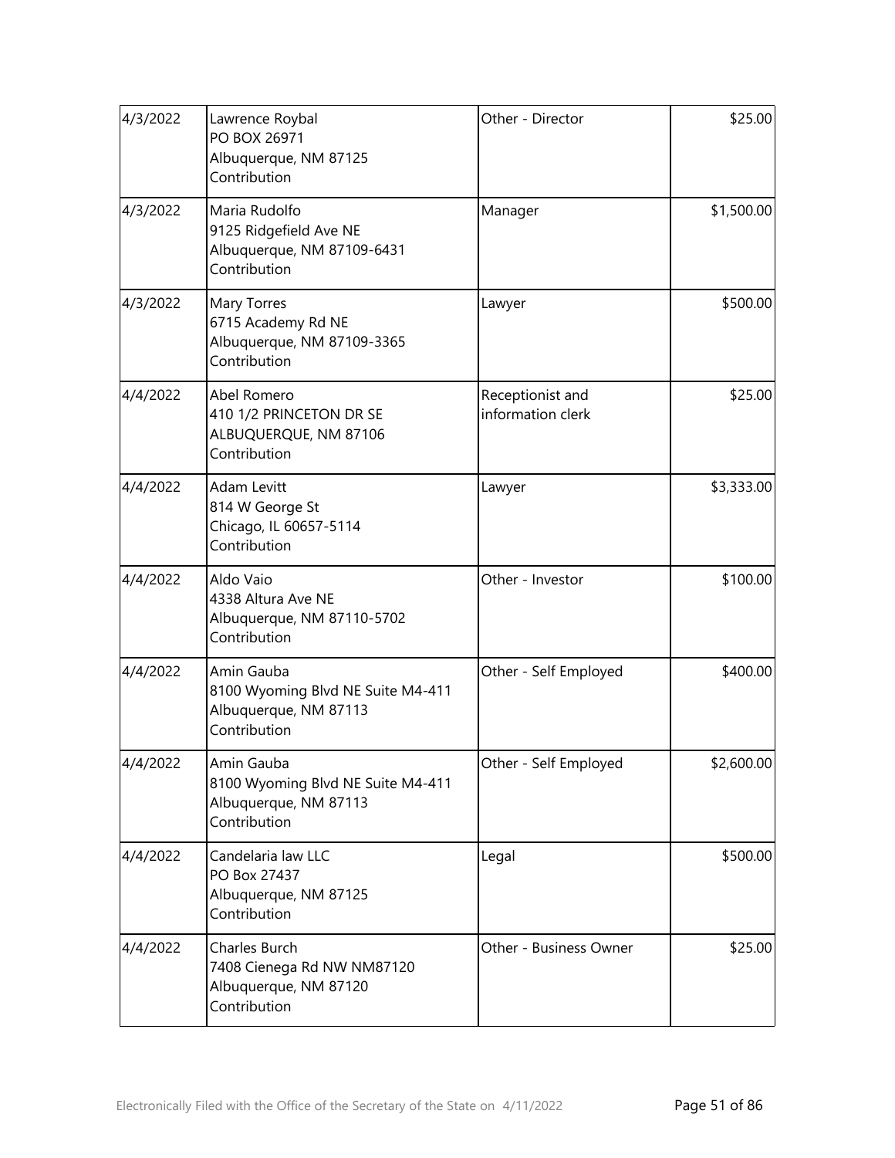| 4/3/2022 | Lawrence Roybal<br>PO BOX 26971<br>Albuquerque, NM 87125<br>Contribution                 | Other - Director                      | \$25.00    |
|----------|------------------------------------------------------------------------------------------|---------------------------------------|------------|
| 4/3/2022 | Maria Rudolfo<br>9125 Ridgefield Ave NE<br>Albuquerque, NM 87109-6431<br>Contribution    | Manager                               | \$1,500.00 |
| 4/3/2022 | Mary Torres<br>6715 Academy Rd NE<br>Albuquerque, NM 87109-3365<br>Contribution          | Lawyer                                | \$500.00   |
| 4/4/2022 | Abel Romero<br>410 1/2 PRINCETON DR SE<br>ALBUQUERQUE, NM 87106<br>Contribution          | Receptionist and<br>information clerk | \$25.00    |
| 4/4/2022 | Adam Levitt<br>814 W George St<br>Chicago, IL 60657-5114<br>Contribution                 | Lawyer                                | \$3,333.00 |
| 4/4/2022 | Aldo Vaio<br>4338 Altura Ave NE<br>Albuquerque, NM 87110-5702<br>Contribution            | Other - Investor                      | \$100.00   |
| 4/4/2022 | Amin Gauba<br>8100 Wyoming Blvd NE Suite M4-411<br>Albuquerque, NM 87113<br>Contribution | Other - Self Employed                 | \$400.00   |
| 4/4/2022 | Amin Gauba<br>8100 Wyoming Blvd NE Suite M4-411<br>Albuquerque, NM 87113<br>Contribution | Other - Self Employed                 | \$2,600.00 |
| 4/4/2022 | Candelaria law LLC<br>PO Box 27437<br>Albuquerque, NM 87125<br>Contribution              | Legal                                 | \$500.00   |
| 4/4/2022 | Charles Burch<br>7408 Cienega Rd NW NM87120<br>Albuquerque, NM 87120<br>Contribution     | Other - Business Owner                | \$25.00    |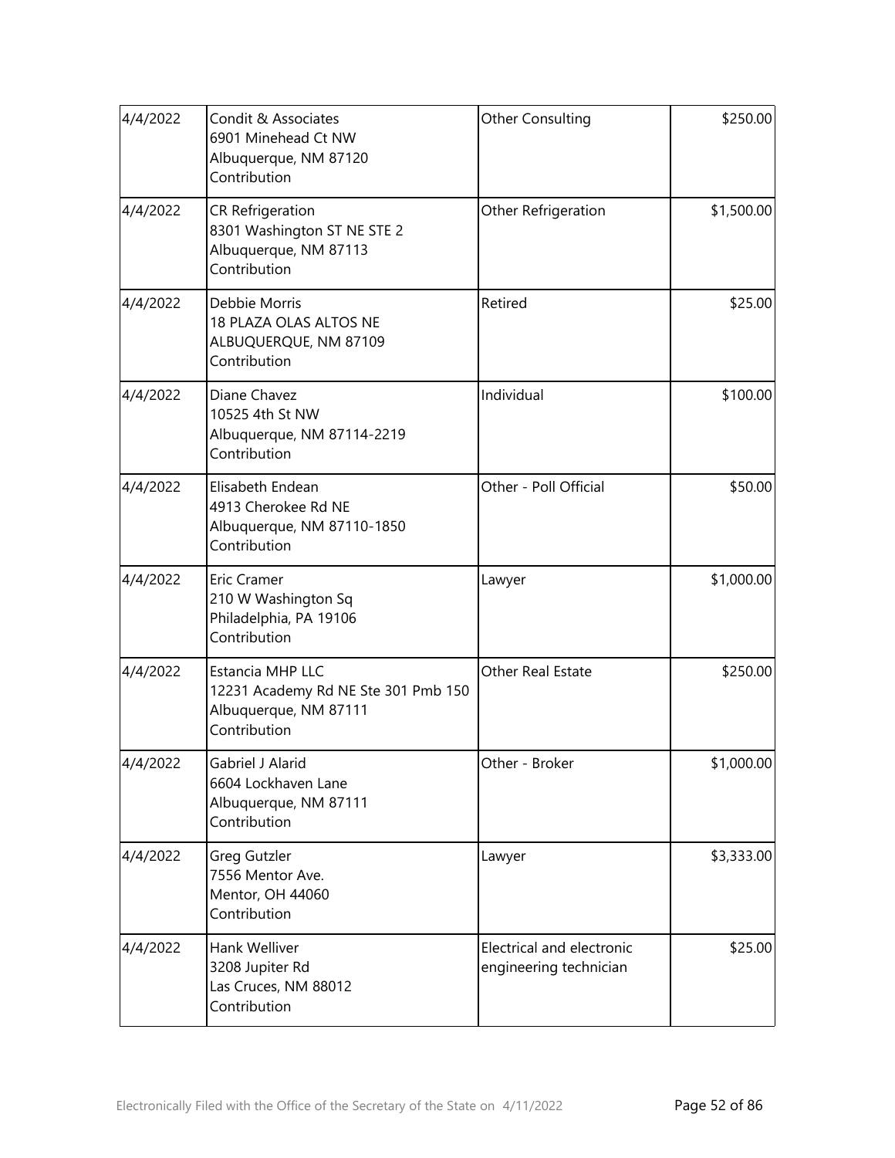| 4/4/2022 | Condit & Associates<br>6901 Minehead Ct NW<br>Albuquerque, NM 87120<br>Contribution              | Other Consulting                                    | \$250.00   |
|----------|--------------------------------------------------------------------------------------------------|-----------------------------------------------------|------------|
| 4/4/2022 | <b>CR Refrigeration</b><br>8301 Washington ST NE STE 2<br>Albuquerque, NM 87113<br>Contribution  | Other Refrigeration                                 | \$1,500.00 |
| 4/4/2022 | Debbie Morris<br>18 PLAZA OLAS ALTOS NE<br>ALBUQUERQUE, NM 87109<br>Contribution                 | Retired                                             | \$25.00    |
| 4/4/2022 | Diane Chavez<br>10525 4th St NW<br>Albuquerque, NM 87114-2219<br>Contribution                    | Individual                                          | \$100.00   |
| 4/4/2022 | Elisabeth Endean<br>4913 Cherokee Rd NE<br>Albuquerque, NM 87110-1850<br>Contribution            | Other - Poll Official                               | \$50.00    |
| 4/4/2022 | <b>Eric Cramer</b><br>210 W Washington Sq<br>Philadelphia, PA 19106<br>Contribution              | Lawyer                                              | \$1,000.00 |
| 4/4/2022 | Estancia MHP LLC<br>12231 Academy Rd NE Ste 301 Pmb 150<br>Albuquerque, NM 87111<br>Contribution | Other Real Estate                                   | \$250.00   |
| 4/4/2022 | Gabriel J Alarid<br>6604 Lockhaven Lane<br>Albuquerque, NM 87111<br>Contribution                 | Other - Broker                                      | \$1,000.00 |
| 4/4/2022 | Greg Gutzler<br>7556 Mentor Ave.<br>Mentor, OH 44060<br>Contribution                             | Lawyer                                              | \$3,333.00 |
| 4/4/2022 | Hank Welliver<br>3208 Jupiter Rd<br>Las Cruces, NM 88012<br>Contribution                         | Electrical and electronic<br>engineering technician | \$25.00    |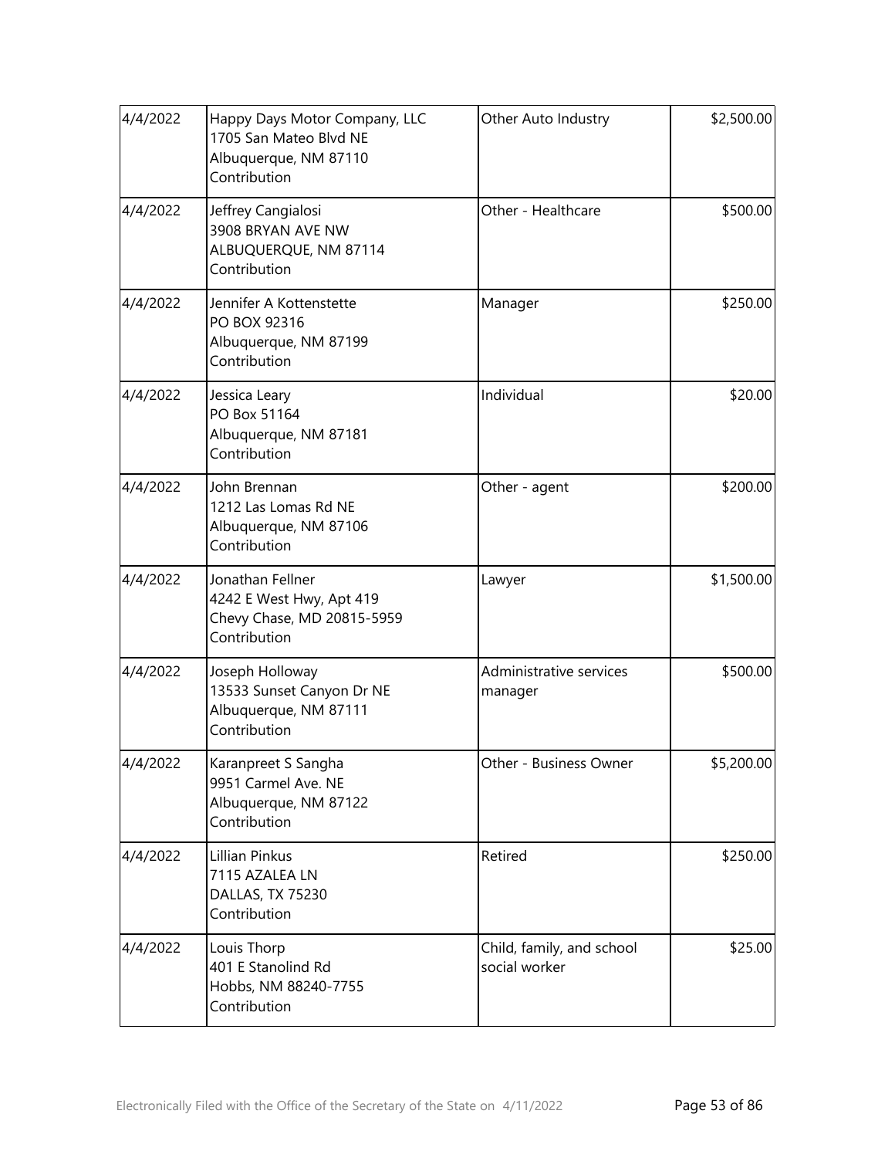| 4/4/2022 | Happy Days Motor Company, LLC<br>1705 San Mateo Blvd NE<br>Albuquerque, NM 87110<br>Contribution | Other Auto Industry                        | \$2,500.00 |
|----------|--------------------------------------------------------------------------------------------------|--------------------------------------------|------------|
| 4/4/2022 | Jeffrey Cangialosi<br>3908 BRYAN AVE NW<br>ALBUQUERQUE, NM 87114<br>Contribution                 | Other - Healthcare                         | \$500.00   |
| 4/4/2022 | Jennifer A Kottenstette<br>PO BOX 92316<br>Albuquerque, NM 87199<br>Contribution                 | Manager                                    | \$250.00   |
| 4/4/2022 | Jessica Leary<br>PO Box 51164<br>Albuquerque, NM 87181<br>Contribution                           | Individual                                 | \$20.00    |
| 4/4/2022 | John Brennan<br>1212 Las Lomas Rd NE<br>Albuquerque, NM 87106<br>Contribution                    | Other - agent                              | \$200.00   |
| 4/4/2022 | Jonathan Fellner<br>4242 E West Hwy, Apt 419<br>Chevy Chase, MD 20815-5959<br>Contribution       | Lawyer                                     | \$1,500.00 |
| 4/4/2022 | Joseph Holloway<br>13533 Sunset Canyon Dr NE<br>Albuquerque, NM 87111<br>Contribution            | Administrative services<br>manager         | \$500.00   |
| 4/4/2022 | Karanpreet S Sangha<br>9951 Carmel Ave. NE<br>Albuquerque, NM 87122<br>Contribution              | Other - Business Owner                     | \$5,200.00 |
| 4/4/2022 | Lillian Pinkus<br>7115 AZALEA LN<br>DALLAS, TX 75230<br>Contribution                             | Retired                                    | \$250.00   |
| 4/4/2022 | Louis Thorp<br>401 E Stanolind Rd<br>Hobbs, NM 88240-7755<br>Contribution                        | Child, family, and school<br>social worker | \$25.00    |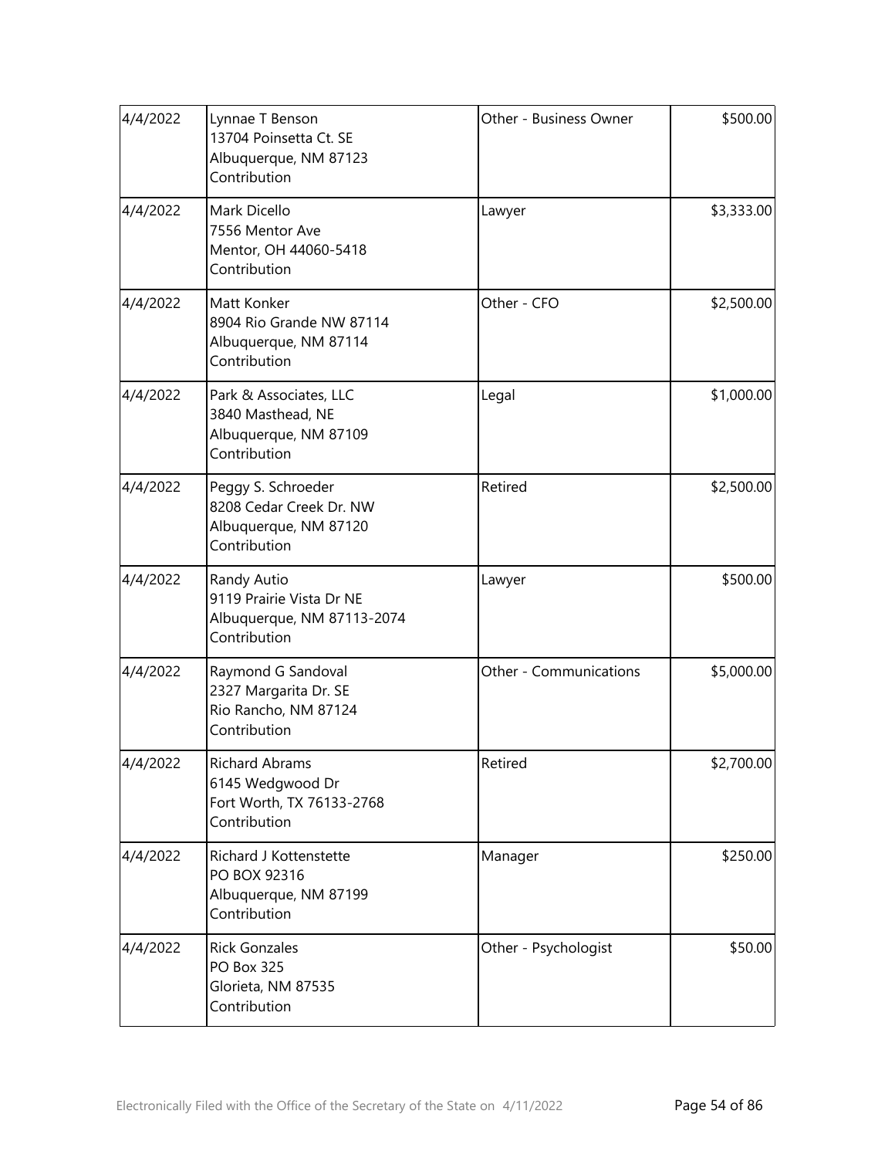| 4/4/2022 | Lynnae T Benson<br>13704 Poinsetta Ct. SE<br>Albuquerque, NM 87123<br>Contribution     | Other - Business Owner | \$500.00   |
|----------|----------------------------------------------------------------------------------------|------------------------|------------|
| 4/4/2022 | Mark Dicello<br>7556 Mentor Ave<br>Mentor, OH 44060-5418<br>Contribution               | Lawyer                 | \$3,333.00 |
| 4/4/2022 | Matt Konker<br>8904 Rio Grande NW 87114<br>Albuquerque, NM 87114<br>Contribution       | Other - CFO            | \$2,500.00 |
| 4/4/2022 | Park & Associates, LLC<br>3840 Masthead, NE<br>Albuquerque, NM 87109<br>Contribution   | Legal                  | \$1,000.00 |
| 4/4/2022 | Peggy S. Schroeder<br>8208 Cedar Creek Dr. NW<br>Albuquerque, NM 87120<br>Contribution | Retired                | \$2,500.00 |
| 4/4/2022 | Randy Autio<br>9119 Prairie Vista Dr NE<br>Albuquerque, NM 87113-2074<br>Contribution  | Lawyer                 | \$500.00   |
| 4/4/2022 | Raymond G Sandoval<br>2327 Margarita Dr. SE<br>Rio Rancho, NM 87124<br>Contribution    | Other - Communications | \$5,000.00 |
| 4/4/2022 | <b>Richard Abrams</b><br>6145 Wedgwood Dr<br>Fort Worth, TX 76133-2768<br>Contribution | Retired                | \$2,700.00 |
| 4/4/2022 | Richard J Kottenstette<br>PO BOX 92316<br>Albuquerque, NM 87199<br>Contribution        | Manager                | \$250.00   |
| 4/4/2022 | <b>Rick Gonzales</b><br><b>PO Box 325</b><br>Glorieta, NM 87535<br>Contribution        | Other - Psychologist   | \$50.00    |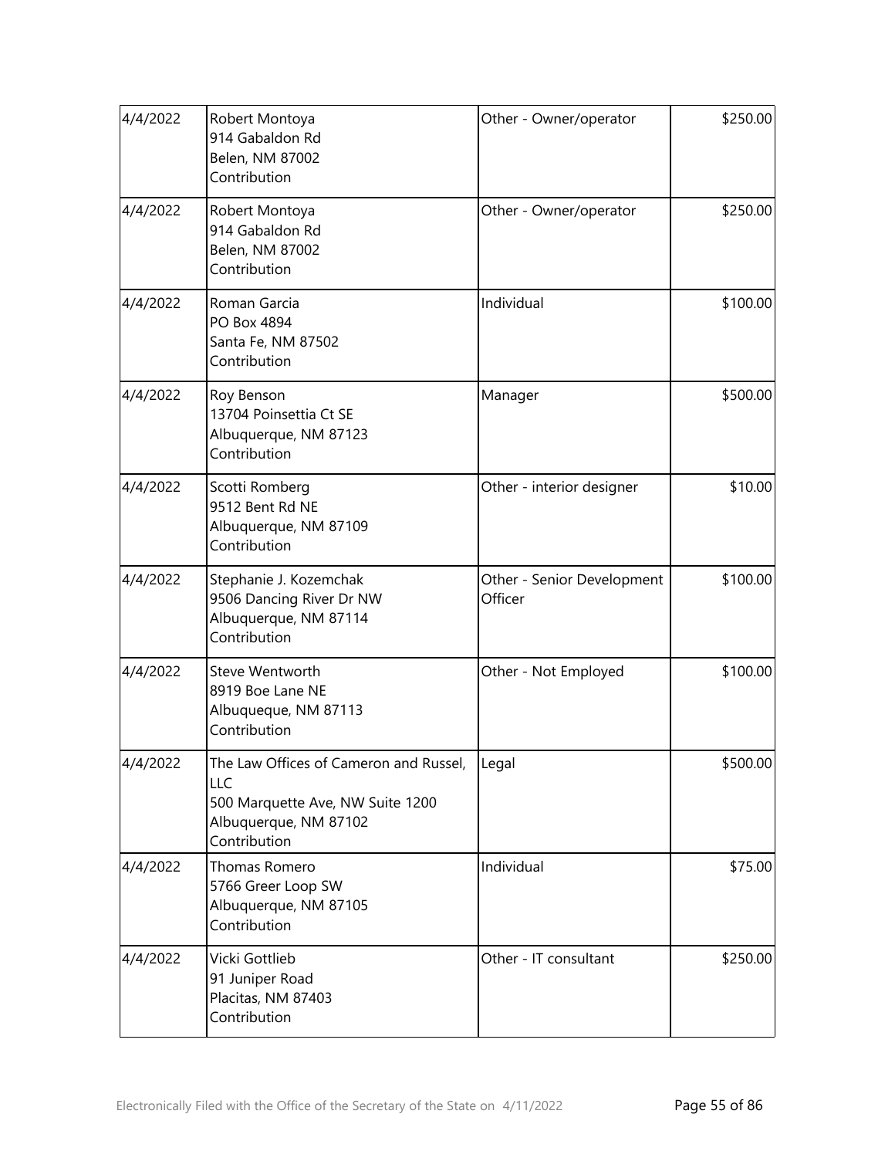| 4/4/2022 | Robert Montoya<br>914 Gabaldon Rd<br>Belen, NM 87002<br>Contribution                                                       | Other - Owner/operator                | \$250.00 |
|----------|----------------------------------------------------------------------------------------------------------------------------|---------------------------------------|----------|
| 4/4/2022 | Robert Montoya<br>914 Gabaldon Rd<br>Belen, NM 87002<br>Contribution                                                       | Other - Owner/operator                | \$250.00 |
| 4/4/2022 | Roman Garcia<br>PO Box 4894<br>Santa Fe, NM 87502<br>Contribution                                                          | Individual                            | \$100.00 |
| 4/4/2022 | Roy Benson<br>13704 Poinsettia Ct SE<br>Albuquerque, NM 87123<br>Contribution                                              | Manager                               | \$500.00 |
| 4/4/2022 | Scotti Romberg<br>9512 Bent Rd NE<br>Albuquerque, NM 87109<br>Contribution                                                 | Other - interior designer             | \$10.00  |
| 4/4/2022 | Stephanie J. Kozemchak<br>9506 Dancing River Dr NW<br>Albuquerque, NM 87114<br>Contribution                                | Other - Senior Development<br>Officer | \$100.00 |
| 4/4/2022 | <b>Steve Wentworth</b><br>8919 Boe Lane NE<br>Albuqueque, NM 87113<br>Contribution                                         | Other - Not Employed                  | \$100.00 |
| 4/4/2022 | The Law Offices of Cameron and Russel,<br>LLC<br>500 Marquette Ave, NW Suite 1200<br>Albuquerque, NM 87102<br>Contribution | Legal                                 | \$500.00 |
| 4/4/2022 | Thomas Romero<br>5766 Greer Loop SW<br>Albuquerque, NM 87105<br>Contribution                                               | Individual                            | \$75.00  |
| 4/4/2022 | Vicki Gottlieb<br>91 Juniper Road<br>Placitas, NM 87403<br>Contribution                                                    | Other - IT consultant                 | \$250.00 |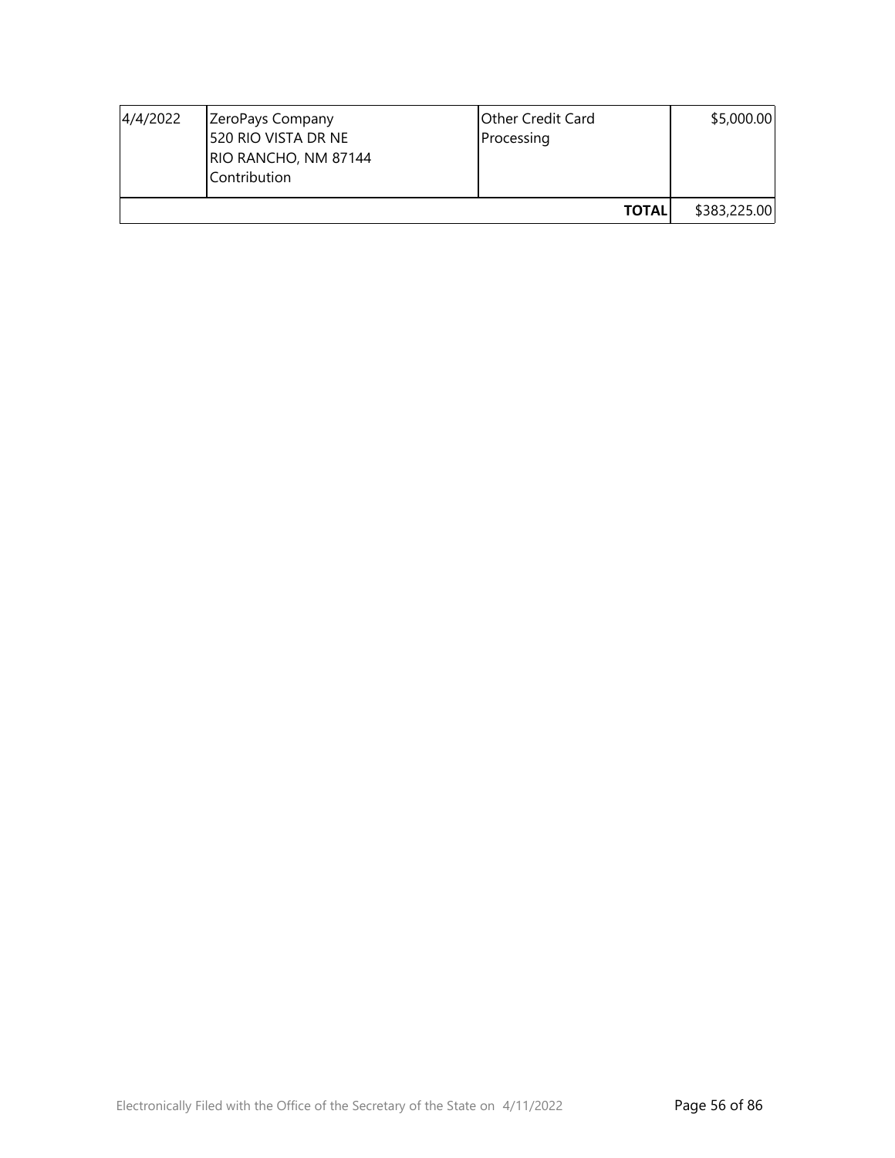| 4/4/2022 | ZeroPays Company<br>520 RIO VISTA DR NE<br>RIO RANCHO, NM 87144<br>Contribution | Other Credit Card<br>Processing | \$5,000.00   |
|----------|---------------------------------------------------------------------------------|---------------------------------|--------------|
|          |                                                                                 | <b>TOTALI</b>                   | \$383,225.00 |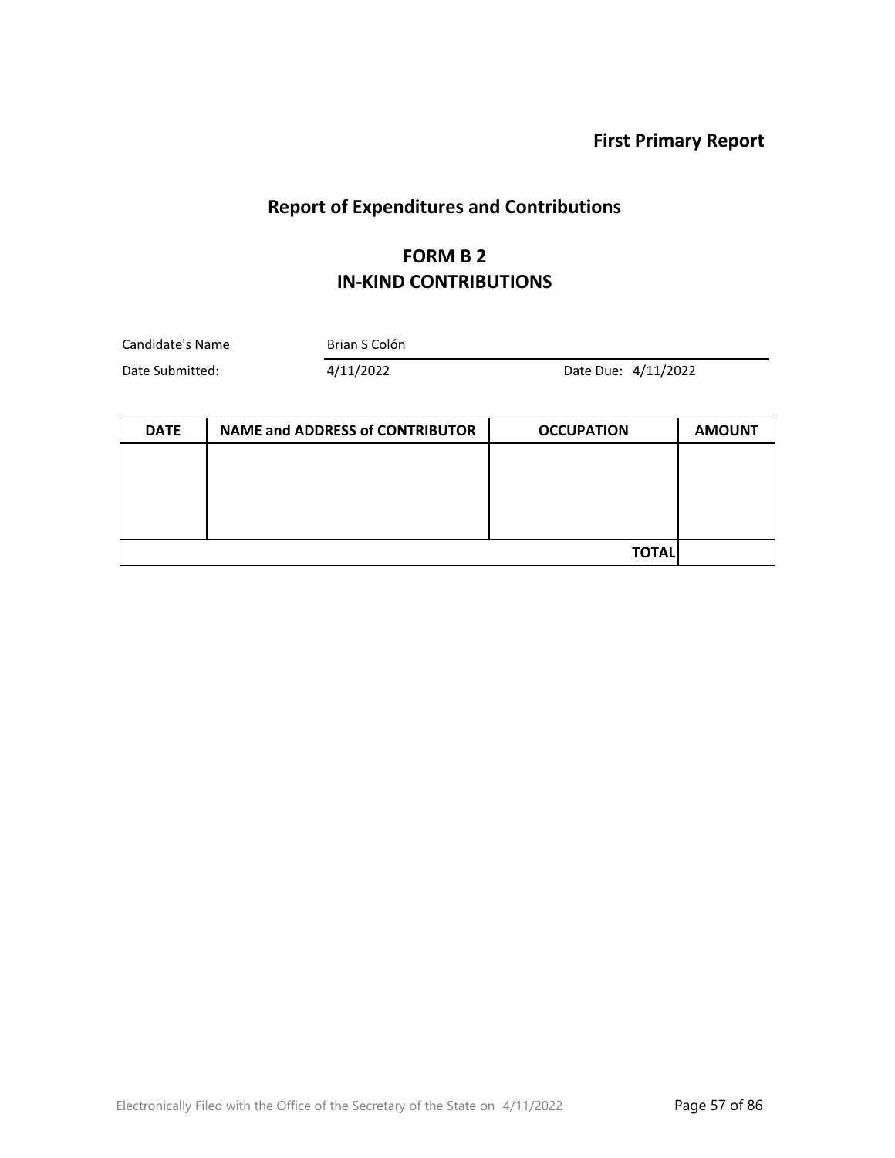**First Primary Report**

L.

# **Report of Expenditures and Contributions**

#### **FORM B 2 IN-KIND CONTRIBUTIONS**

| Candidate's Name | Brian S Colón |                     |
|------------------|---------------|---------------------|
| Date Submitted:  | 4/11/2022     | Date Due: 4/11/2022 |

| <b>DATE</b> | <b>NAME and ADDRESS of CONTRIBUTOR</b> | <b>OCCUPATION</b> | <b>AMOUNT</b> |
|-------------|----------------------------------------|-------------------|---------------|
|             |                                        |                   |               |
|             |                                        |                   |               |
|             |                                        |                   |               |
|             |                                        |                   |               |
|             |                                        | <b>TOTAL</b>      |               |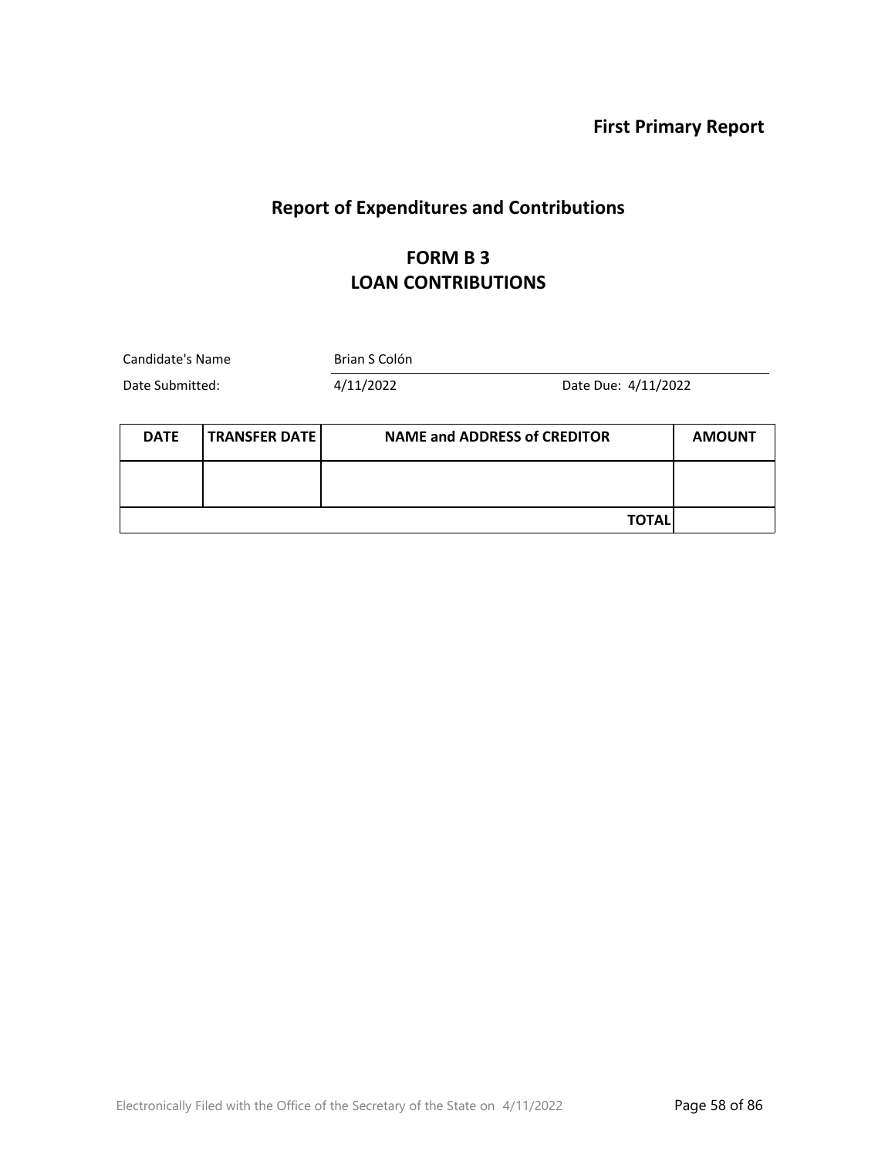**First Primary Report**

# **Report of Expenditures and Contributions**

#### **FORM B 3 LOAN CONTRIBUTIONS**

| Candidate's Name<br>Date Submitted: |                      | Brian S Colón |                                     |               |
|-------------------------------------|----------------------|---------------|-------------------------------------|---------------|
|                                     |                      | 4/11/2022     | Date Due: 4/11/2022                 |               |
| <b>DATE</b>                         | <b>TRANSFER DATE</b> |               | <b>NAME and ADDRESS of CREDITOR</b> | <b>AMOUNT</b> |
|                                     |                      |               |                                     |               |
|                                     |                      |               | <b>TOTAL</b>                        |               |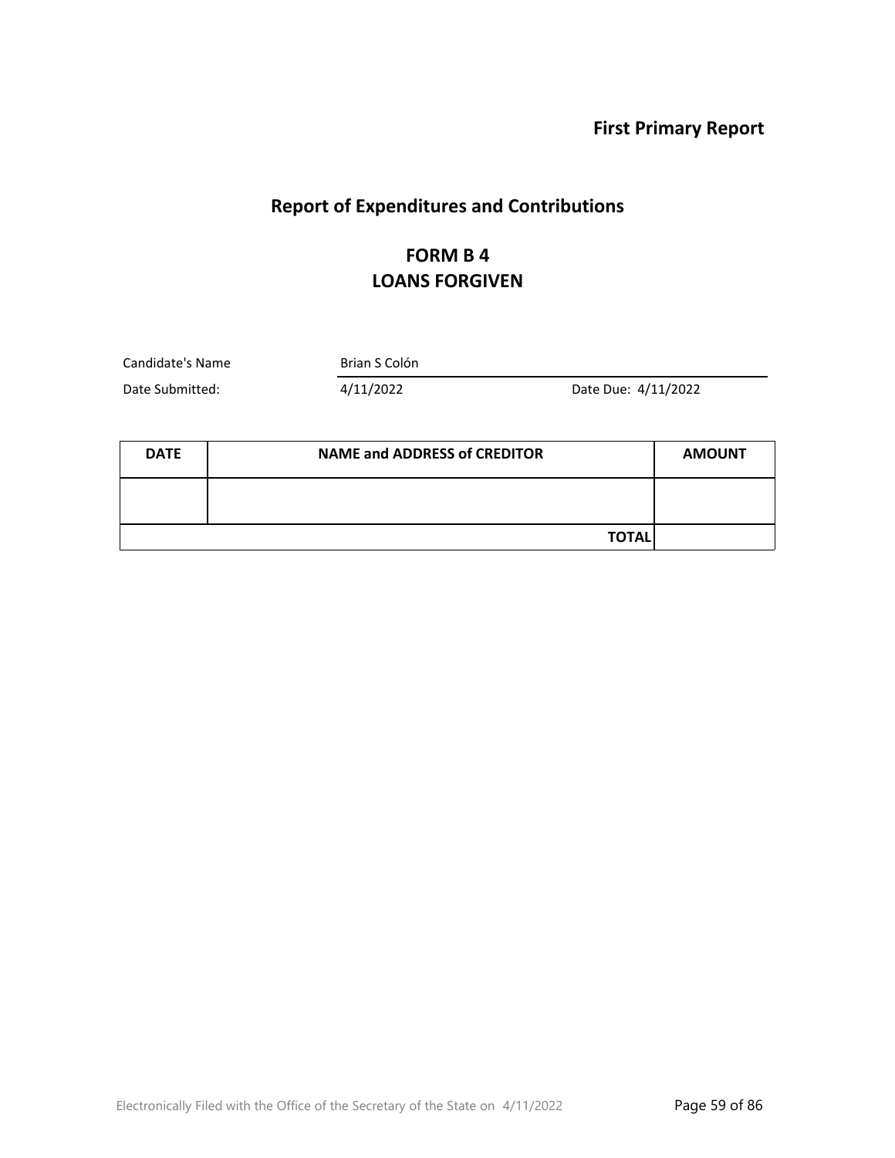**First Primary Report**

## **Report of Expenditures and Contributions**

## **FORM B 4 LOANS FORGIVEN**

Candidate's Name Brian S Colón

Date Submitted: 4/11/2022 Date Due: 4/11/2022

| <b>DATE</b> | <b>NAME and ADDRESS of CREDITOR</b> | <b>AMOUNT</b> |
|-------------|-------------------------------------|---------------|
|             |                                     |               |
|             | <b>TOTAL</b>                        |               |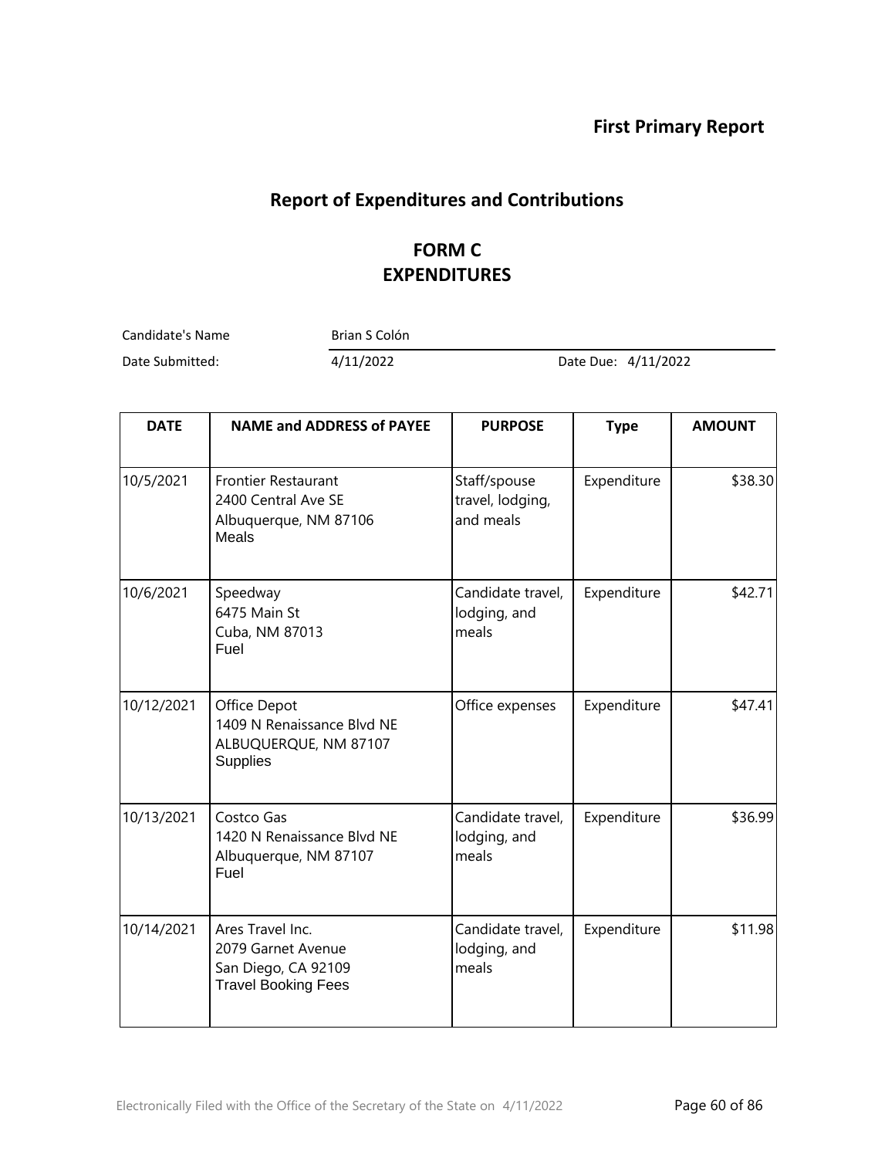## **Report of Expenditures and Contributions**

## **FORM C EXPENDITURES**

Candidate's Name Brian S Colón

Date Submitted: 4/11/2022 Date Due: 4/11/2022

| <b>DATE</b> | <b>NAME and ADDRESS of PAYEE</b>                                                            | <b>PURPOSE</b>                                | <b>Type</b> | <b>AMOUNT</b> |
|-------------|---------------------------------------------------------------------------------------------|-----------------------------------------------|-------------|---------------|
| 10/5/2021   | <b>Frontier Restaurant</b><br>2400 Central Ave SE<br>Albuquerque, NM 87106<br><b>Meals</b>  | Staff/spouse<br>travel, lodging,<br>and meals | Expenditure | \$38.30       |
| 10/6/2021   | Speedway<br>6475 Main St<br>Cuba, NM 87013<br>Fuel                                          | Candidate travel,<br>lodging, and<br>meals    | Expenditure | \$42.71       |
| 10/12/2021  | Office Depot<br>1409 N Renaissance Blvd NE<br>ALBUQUERQUE, NM 87107<br><b>Supplies</b>      | Office expenses                               | Expenditure | \$47.41       |
| 10/13/2021  | Costco Gas<br>1420 N Renaissance Blvd NE<br>Albuquerque, NM 87107<br>Fuel                   | Candidate travel,<br>lodging, and<br>meals    | Expenditure | \$36.99       |
| 10/14/2021  | Ares Travel Inc.<br>2079 Garnet Avenue<br>San Diego, CA 92109<br><b>Travel Booking Fees</b> | Candidate travel,<br>lodging, and<br>meals    | Expenditure | \$11.98       |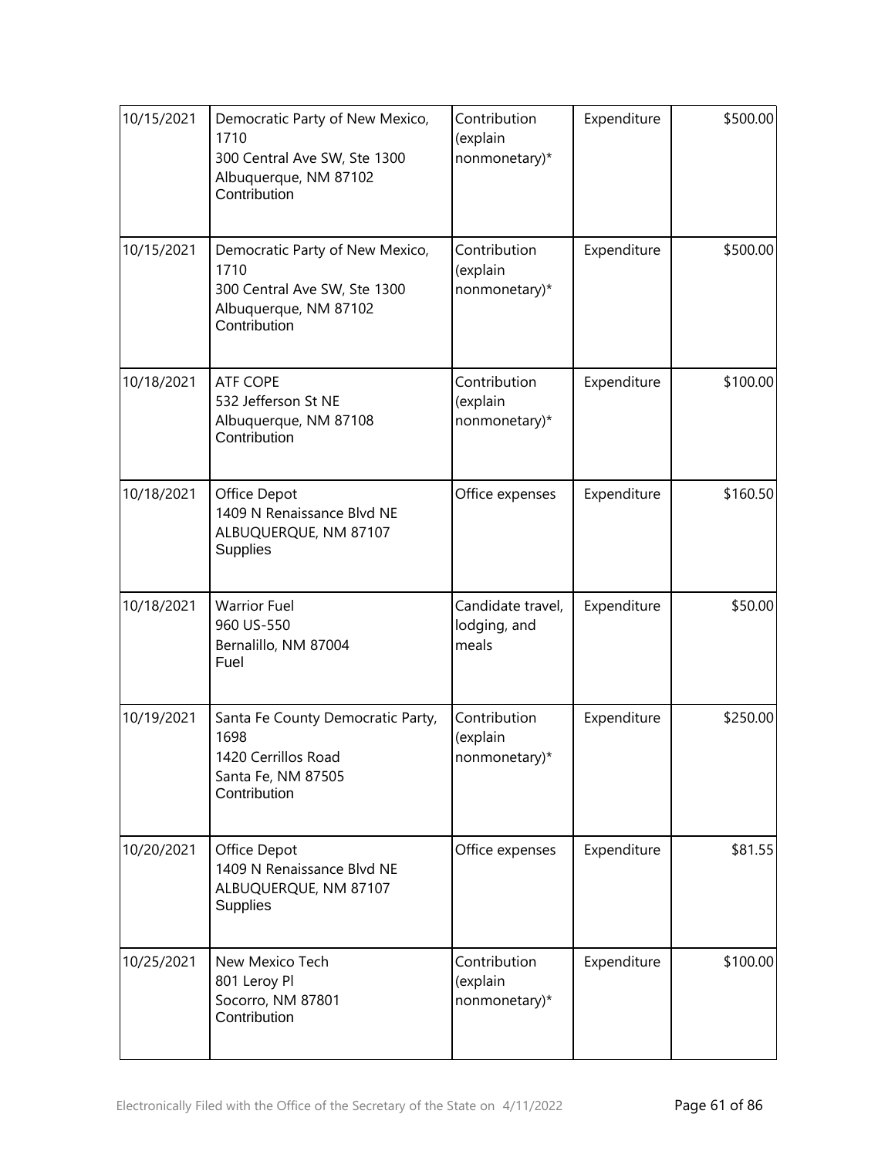| 10/15/2021 | Democratic Party of New Mexico,<br>1710<br>300 Central Ave SW, Ste 1300<br>Albuquerque, NM 87102<br>Contribution | Contribution<br>(explain<br>nonmonetary)*  | Expenditure | \$500.00 |
|------------|------------------------------------------------------------------------------------------------------------------|--------------------------------------------|-------------|----------|
| 10/15/2021 | Democratic Party of New Mexico,<br>1710<br>300 Central Ave SW, Ste 1300<br>Albuquerque, NM 87102<br>Contribution | Contribution<br>(explain<br>nonmonetary)*  | Expenditure | \$500.00 |
| 10/18/2021 | <b>ATF COPE</b><br>532 Jefferson St NE<br>Albuquerque, NM 87108<br>Contribution                                  | Contribution<br>(explain<br>nonmonetary)*  | Expenditure | \$100.00 |
| 10/18/2021 | Office Depot<br>1409 N Renaissance Blvd NE<br>ALBUQUERQUE, NM 87107<br><b>Supplies</b>                           | Office expenses                            | Expenditure | \$160.50 |
| 10/18/2021 | <b>Warrior Fuel</b><br>960 US-550<br>Bernalillo, NM 87004<br>Fuel                                                | Candidate travel,<br>lodging, and<br>meals | Expenditure | \$50.00  |
| 10/19/2021 | Santa Fe County Democratic Party,<br>1698<br>1420 Cerrillos Road<br>Santa Fe, NM 87505<br>Contribution           | Contribution<br>(explain<br>nonmonetary)*  | Expenditure | \$250.00 |
| 10/20/2021 | Office Depot<br>1409 N Renaissance Blvd NE<br>ALBUQUERQUE, NM 87107<br><b>Supplies</b>                           | Office expenses                            | Expenditure | \$81.55  |
| 10/25/2021 | New Mexico Tech<br>801 Leroy Pl<br>Socorro, NM 87801<br>Contribution                                             | Contribution<br>(explain<br>nonmonetary)*  | Expenditure | \$100.00 |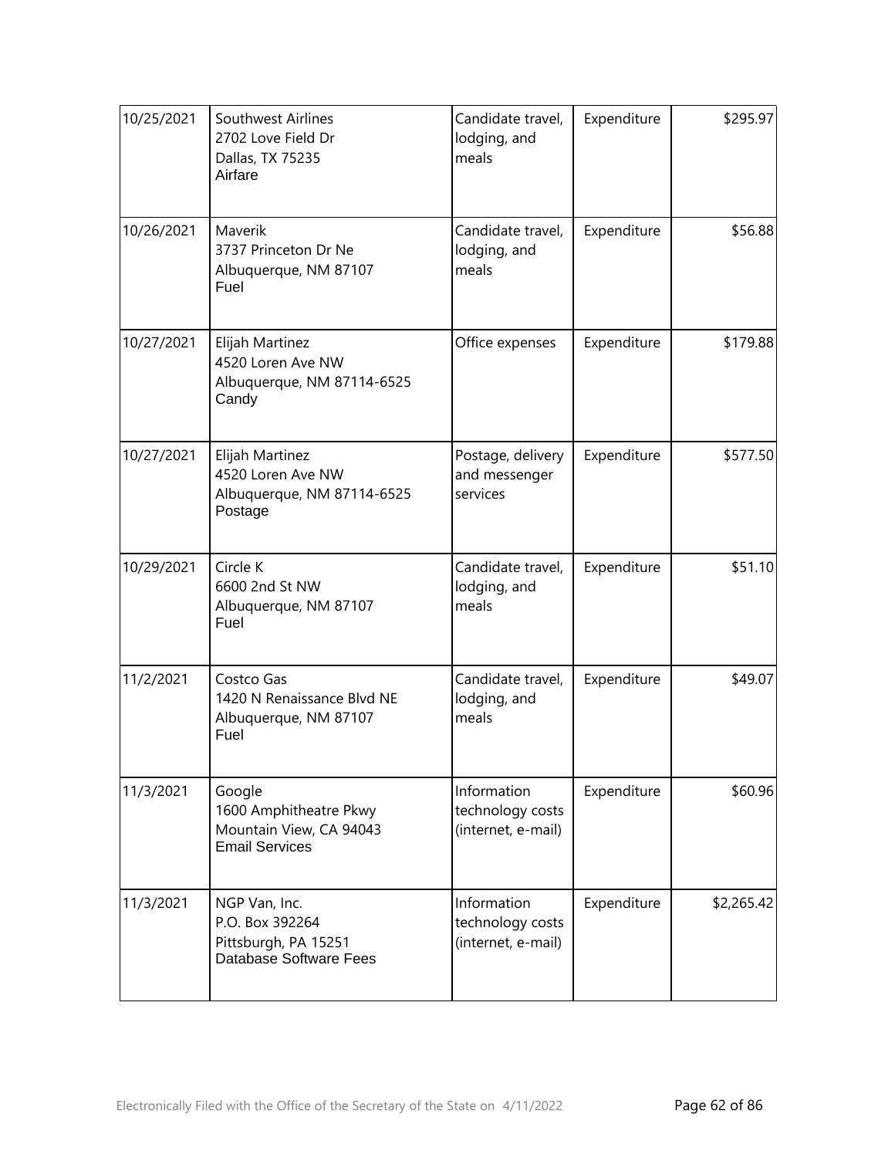| 10/25/2021 | Southwest Airlines<br>2702 Love Field Dr<br>Dallas, TX 75235<br>Airfare              | Candidate travel,<br>lodging, and<br>meals            | Expenditure | \$295.97   |
|------------|--------------------------------------------------------------------------------------|-------------------------------------------------------|-------------|------------|
| 10/26/2021 | Maverik<br>3737 Princeton Dr Ne<br>Albuquerque, NM 87107<br>Fuel                     | Candidate travel,<br>lodging, and<br>meals            | Expenditure | \$56.88    |
| 10/27/2021 | Elijah Martinez<br>4520 Loren Ave NW<br>Albuquerque, NM 87114-6525<br>Candy          | Office expenses                                       | Expenditure | \$179.88   |
| 10/27/2021 | Elijah Martinez<br>4520 Loren Ave NW<br>Albuquerque, NM 87114-6525<br>Postage        | Postage, delivery<br>and messenger<br>services        | Expenditure | \$577.50   |
| 10/29/2021 | Circle K<br>6600 2nd St NW<br>Albuquerque, NM 87107<br>Fuel                          | Candidate travel,<br>lodging, and<br>meals            | Expenditure | \$51.10    |
| 11/2/2021  | Costco Gas<br>1420 N Renaissance Blvd NE<br>Albuquerque, NM 87107<br>Fuel            | Candidate travel,<br>lodging, and<br>meals            | Expenditure | \$49.07    |
| 11/3/2021  | Google<br>1600 Amphitheatre Pkwy<br>Mountain View, CA 94043<br><b>Email Services</b> | Information<br>technology costs<br>(internet, e-mail) | Expenditure | \$60.96    |
| 11/3/2021  | NGP Van, Inc.<br>P.O. Box 392264<br>Pittsburgh, PA 15251<br>Database Software Fees   | Information<br>technology costs<br>(internet, e-mail) | Expenditure | \$2,265.42 |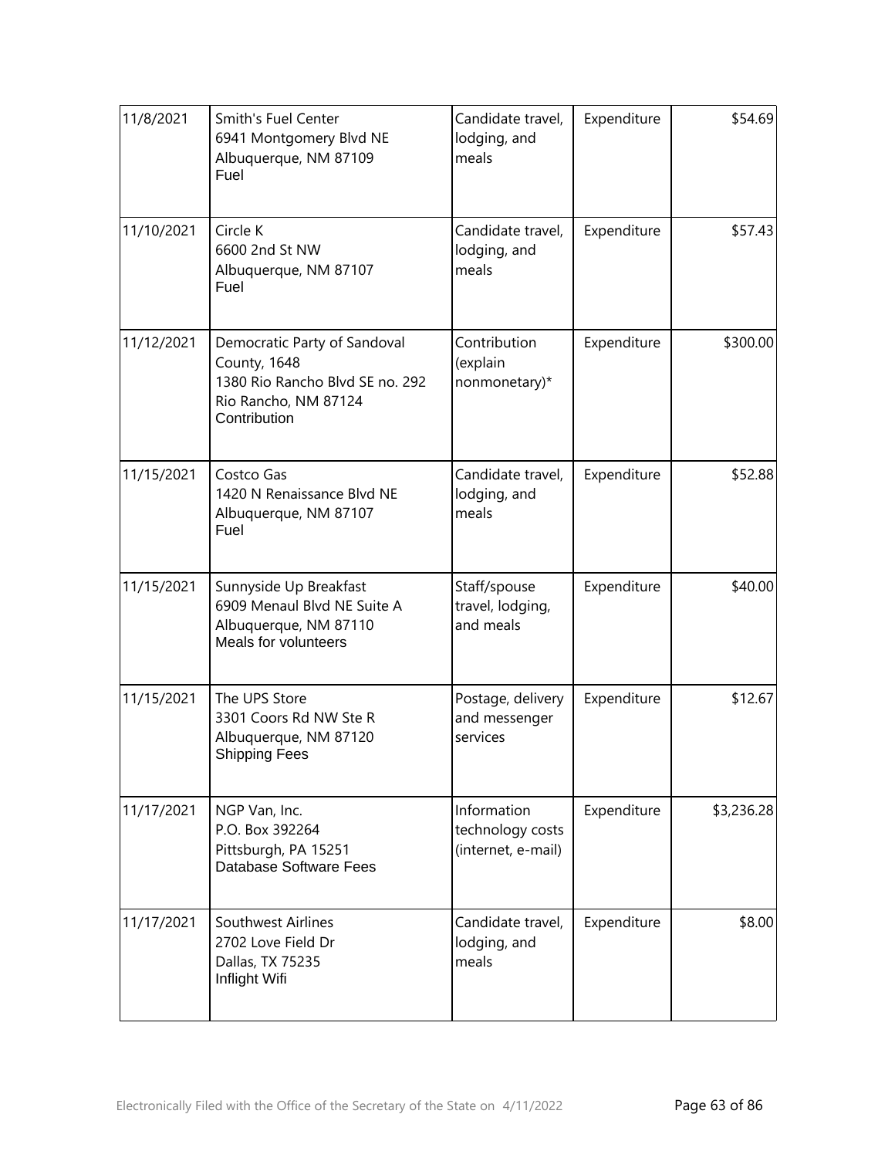| 11/8/2021  | Smith's Fuel Center<br>6941 Montgomery Blvd NE<br>Albuquerque, NM 87109<br>Fuel                                         | Candidate travel,<br>lodging, and<br>meals            | Expenditure | \$54.69    |
|------------|-------------------------------------------------------------------------------------------------------------------------|-------------------------------------------------------|-------------|------------|
| 11/10/2021 | Circle K<br>6600 2nd St NW<br>Albuquerque, NM 87107<br>Fuel                                                             | Candidate travel,<br>lodging, and<br>meals            | Expenditure | \$57.43    |
| 11/12/2021 | Democratic Party of Sandoval<br>County, 1648<br>1380 Rio Rancho Blvd SE no. 292<br>Rio Rancho, NM 87124<br>Contribution | Contribution<br>(explain<br>nonmonetary)*             | Expenditure | \$300.00   |
| 11/15/2021 | Costco Gas<br>1420 N Renaissance Blvd NE<br>Albuquerque, NM 87107<br>Fuel                                               | Candidate travel,<br>lodging, and<br>meals            | Expenditure | \$52.88    |
| 11/15/2021 | Sunnyside Up Breakfast<br>6909 Menaul Blvd NE Suite A<br>Albuquerque, NM 87110<br>Meals for volunteers                  | Staff/spouse<br>travel, lodging,<br>and meals         | Expenditure | \$40.00    |
| 11/15/2021 | The UPS Store<br>3301 Coors Rd NW Ste R<br>Albuquerque, NM 87120<br><b>Shipping Fees</b>                                | Postage, delivery<br>and messenger<br>services        | Expenditure | \$12.67    |
| 11/17/2021 | NGP Van, Inc.<br>P.O. Box 392264<br>Pittsburgh, PA 15251<br>Database Software Fees                                      | Information<br>technology costs<br>(internet, e-mail) | Expenditure | \$3,236.28 |
| 11/17/2021 | Southwest Airlines<br>2702 Love Field Dr<br>Dallas, TX 75235<br>Inflight Wifi                                           | Candidate travel,<br>lodging, and<br>meals            | Expenditure | \$8.00     |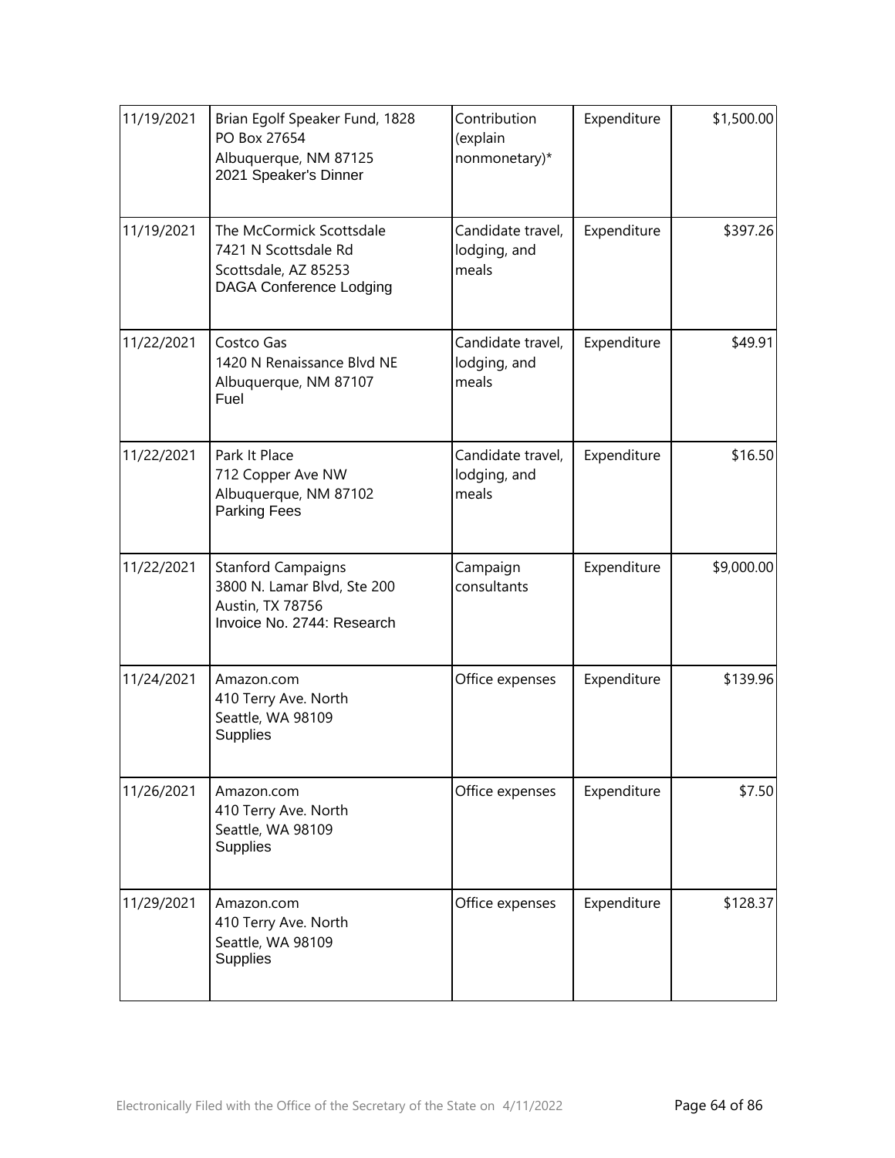| 11/19/2021 | Brian Egolf Speaker Fund, 1828<br>PO Box 27654<br>Albuquerque, NM 87125<br>2021 Speaker's Dinner           | Contribution<br>(explain<br>nonmonetary)*  | Expenditure | \$1,500.00 |
|------------|------------------------------------------------------------------------------------------------------------|--------------------------------------------|-------------|------------|
| 11/19/2021 | The McCormick Scottsdale<br>7421 N Scottsdale Rd<br>Scottsdale, AZ 85253<br><b>DAGA Conference Lodging</b> | Candidate travel,<br>lodging, and<br>meals | Expenditure | \$397.26   |
| 11/22/2021 | Costco Gas<br>1420 N Renaissance Blvd NE<br>Albuquerque, NM 87107<br>Fuel                                  | Candidate travel,<br>lodging, and<br>meals | Expenditure | \$49.91    |
| 11/22/2021 | Park It Place<br>712 Copper Ave NW<br>Albuquerque, NM 87102<br><b>Parking Fees</b>                         | Candidate travel,<br>lodging, and<br>meals | Expenditure | \$16.50    |
| 11/22/2021 | <b>Stanford Campaigns</b><br>3800 N. Lamar Blvd, Ste 200<br>Austin, TX 78756<br>Invoice No. 2744: Research | Campaign<br>consultants                    | Expenditure | \$9,000.00 |
| 11/24/2021 | Amazon.com<br>410 Terry Ave. North<br>Seattle, WA 98109<br><b>Supplies</b>                                 | Office expenses                            | Expenditure | \$139.96   |
| 11/26/2021 | Amazon.com<br>410 Terry Ave. North<br>Seattle, WA 98109<br><b>Supplies</b>                                 | Office expenses                            | Expenditure | \$7.50     |
| 11/29/2021 | Amazon.com<br>410 Terry Ave. North<br>Seattle, WA 98109<br>Supplies                                        | Office expenses                            | Expenditure | \$128.37   |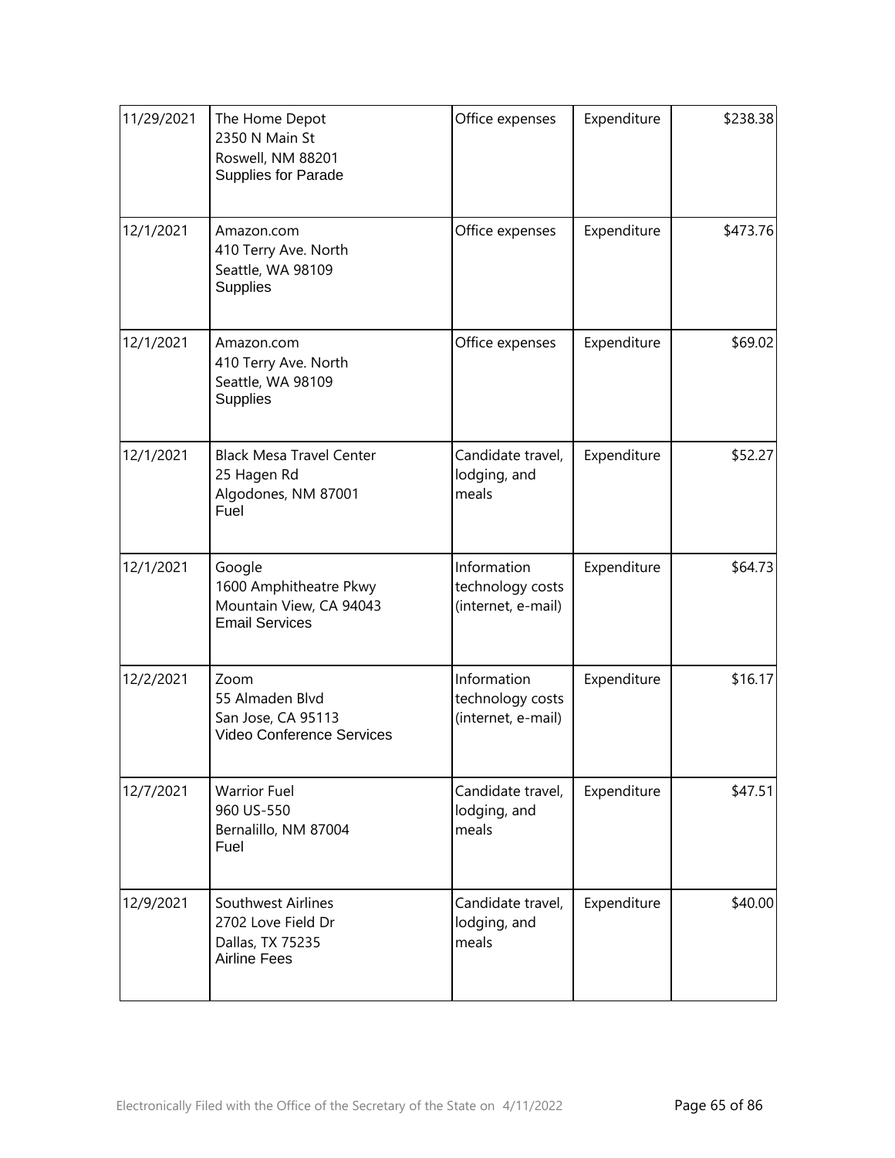| 11/29/2021 | The Home Depot<br>2350 N Main St<br>Roswell, NM 88201<br>Supplies for Parade         | Office expenses                                       | Expenditure | \$238.38 |
|------------|--------------------------------------------------------------------------------------|-------------------------------------------------------|-------------|----------|
| 12/1/2021  | Amazon.com<br>410 Terry Ave. North<br>Seattle, WA 98109<br><b>Supplies</b>           | Office expenses                                       | Expenditure | \$473.76 |
| 12/1/2021  | Amazon.com<br>410 Terry Ave. North<br>Seattle, WA 98109<br>Supplies                  | Office expenses                                       | Expenditure | \$69.02  |
| 12/1/2021  | <b>Black Mesa Travel Center</b><br>25 Hagen Rd<br>Algodones, NM 87001<br>Fuel        | Candidate travel,<br>lodging, and<br>meals            | Expenditure | \$52.27  |
| 12/1/2021  | Google<br>1600 Amphitheatre Pkwy<br>Mountain View, CA 94043<br><b>Email Services</b> | Information<br>technology costs<br>(internet, e-mail) | Expenditure | \$64.73  |
| 12/2/2021  | Zoom<br>55 Almaden Blvd<br>San Jose, CA 95113<br>Video Conference Services           | Information<br>technology costs<br>(internet, e-mail) | Expenditure | \$16.17  |
| 12/7/2021  | <b>Warrior Fuel</b><br>960 US-550<br>Bernalillo, NM 87004<br>Fuel                    | Candidate travel,<br>lodging, and<br>meals            | Expenditure | \$47.51  |
| 12/9/2021  | Southwest Airlines<br>2702 Love Field Dr<br>Dallas, TX 75235<br><b>Airline Fees</b>  | Candidate travel,<br>lodging, and<br>meals            | Expenditure | \$40.00  |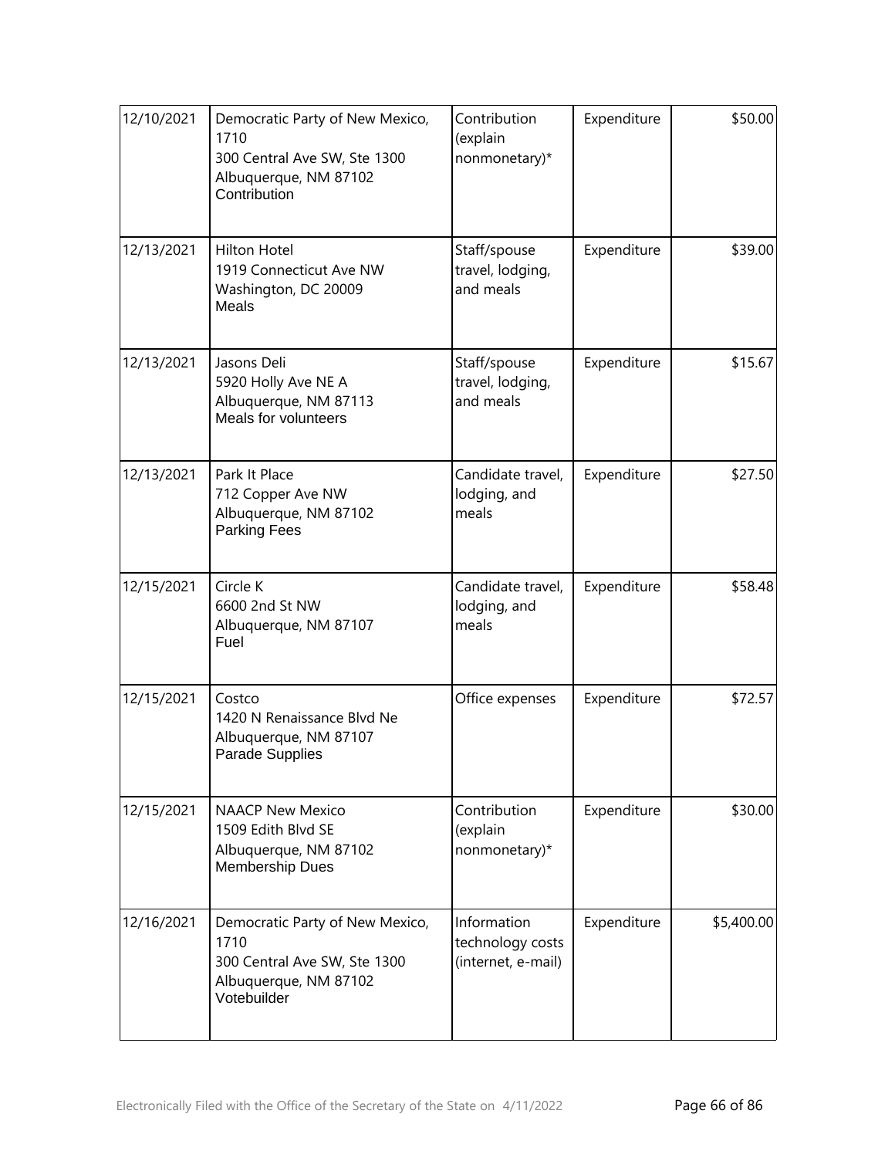| 12/10/2021 | Democratic Party of New Mexico,<br>1710<br>300 Central Ave SW, Ste 1300<br>Albuquerque, NM 87102<br>Contribution | Contribution<br>(explain<br>nonmonetary)*             | Expenditure | \$50.00    |
|------------|------------------------------------------------------------------------------------------------------------------|-------------------------------------------------------|-------------|------------|
| 12/13/2021 | <b>Hilton Hotel</b><br>1919 Connecticut Ave NW<br>Washington, DC 20009<br>Meals                                  | Staff/spouse<br>travel, lodging,<br>and meals         | Expenditure | \$39.00    |
| 12/13/2021 | Jasons Deli<br>5920 Holly Ave NE A<br>Albuquerque, NM 87113<br>Meals for volunteers                              | Staff/spouse<br>travel, lodging,<br>and meals         | Expenditure | \$15.67    |
| 12/13/2021 | Park It Place<br>712 Copper Ave NW<br>Albuquerque, NM 87102<br><b>Parking Fees</b>                               | Candidate travel,<br>lodging, and<br>meals            | Expenditure | \$27.50    |
| 12/15/2021 | Circle K<br>6600 2nd St NW<br>Albuquerque, NM 87107<br>Fuel                                                      | Candidate travel,<br>lodging, and<br>meals            | Expenditure | \$58.48    |
| 12/15/2021 | Costco<br>1420 N Renaissance Blvd Ne<br>Albuquerque, NM 87107<br>Parade Supplies                                 | Office expenses                                       | Expenditure | \$72.57    |
| 12/15/2021 | <b>NAACP New Mexico</b><br>1509 Edith Blvd SE<br>Albuquerque, NM 87102<br><b>Membership Dues</b>                 | Contribution<br>(explain<br>nonmonetary)*             | Expenditure | \$30.00    |
| 12/16/2021 | Democratic Party of New Mexico,<br>1710<br>300 Central Ave SW, Ste 1300<br>Albuquerque, NM 87102<br>Votebuilder  | Information<br>technology costs<br>(internet, e-mail) | Expenditure | \$5,400.00 |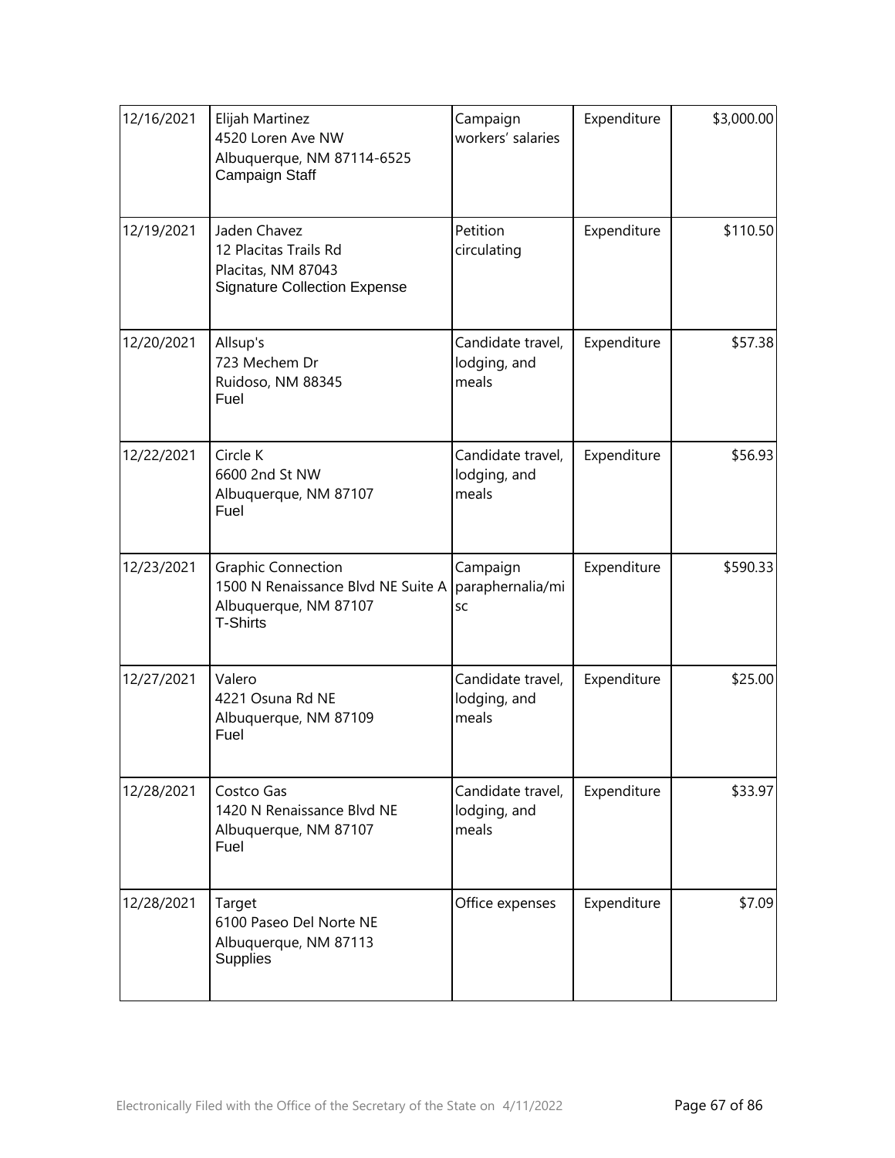| 12/16/2021 | Elijah Martinez<br>4520 Loren Ave NW<br>Albuquerque, NM 87114-6525<br>Campaign Staff                        | Campaign<br>workers' salaries              | Expenditure | \$3,000.00 |
|------------|-------------------------------------------------------------------------------------------------------------|--------------------------------------------|-------------|------------|
| 12/19/2021 | Jaden Chavez<br>12 Placitas Trails Rd<br>Placitas, NM 87043<br><b>Signature Collection Expense</b>          | Petition<br>circulating                    | Expenditure | \$110.50   |
| 12/20/2021 | Allsup's<br>723 Mechem Dr<br>Ruidoso, NM 88345<br>Fuel                                                      | Candidate travel,<br>lodging, and<br>meals | Expenditure | \$57.38    |
| 12/22/2021 | Circle K<br>6600 2nd St NW<br>Albuquerque, NM 87107<br>Fuel                                                 | Candidate travel,<br>lodging, and<br>meals | Expenditure | \$56.93    |
| 12/23/2021 | <b>Graphic Connection</b><br>1500 N Renaissance Blvd NE Suite A<br>Albuquerque, NM 87107<br><b>T-Shirts</b> | Campaign<br>paraphernalia/mi<br>SC         | Expenditure | \$590.33   |
| 12/27/2021 | Valero<br>4221 Osuna Rd NE<br>Albuquerque, NM 87109<br>Fuel                                                 | Candidate travel,<br>lodging, and<br>meals | Expenditure | \$25.00    |
| 12/28/2021 | Costco Gas<br>1420 N Renaissance Blvd NE<br>Albuquerque, NM 87107<br>Fuel                                   | Candidate travel,<br>lodging, and<br>meals | Expenditure | \$33.97    |
| 12/28/2021 | Target<br>6100 Paseo Del Norte NE<br>Albuquerque, NM 87113<br><b>Supplies</b>                               | Office expenses                            | Expenditure | \$7.09     |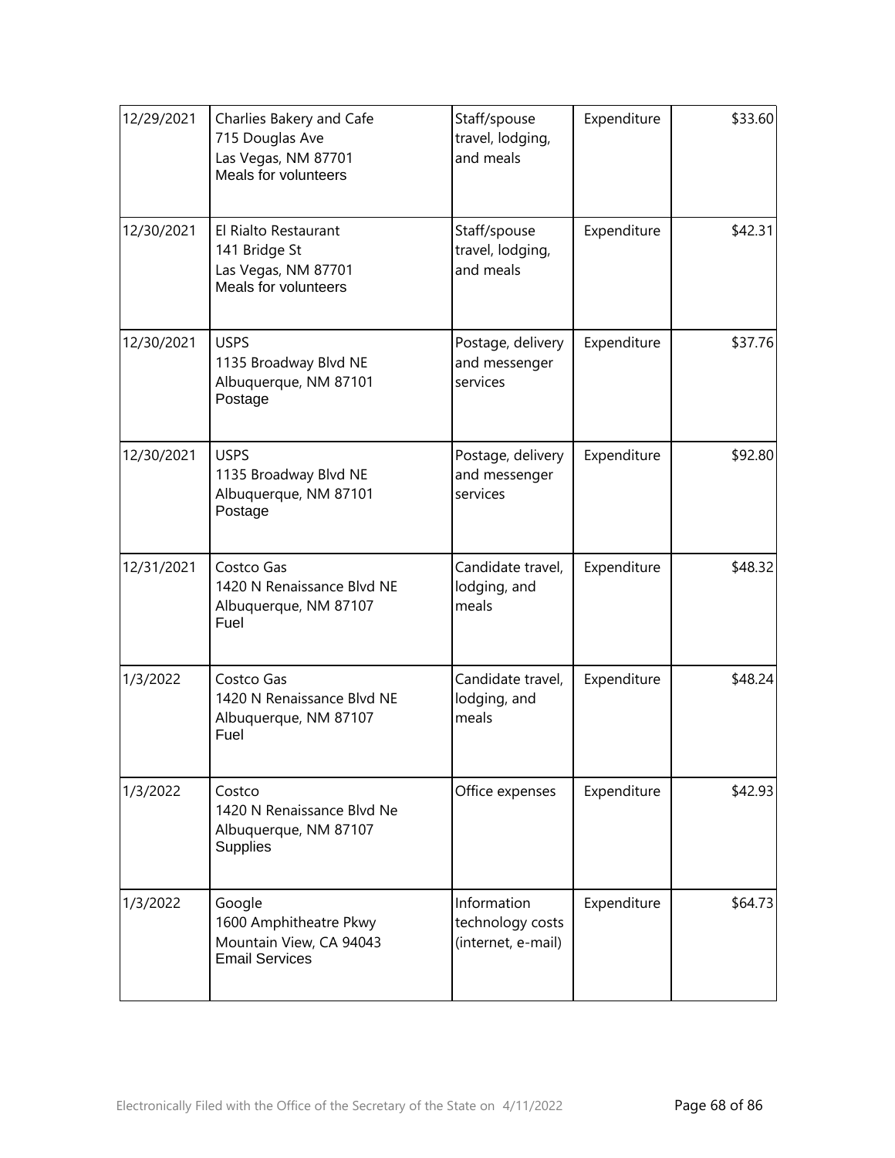| 12/29/2021 | Charlies Bakery and Cafe<br>715 Douglas Ave<br>Las Vegas, NM 87701<br>Meals for volunteers | Staff/spouse<br>travel, lodging,<br>and meals         | Expenditure | \$33.60 |
|------------|--------------------------------------------------------------------------------------------|-------------------------------------------------------|-------------|---------|
| 12/30/2021 | El Rialto Restaurant<br>141 Bridge St<br>Las Vegas, NM 87701<br>Meals for volunteers       | Staff/spouse<br>travel, lodging,<br>and meals         | Expenditure | \$42.31 |
| 12/30/2021 | <b>USPS</b><br>1135 Broadway Blvd NE<br>Albuquerque, NM 87101<br>Postage                   | Postage, delivery<br>and messenger<br>services        | Expenditure | \$37.76 |
| 12/30/2021 | <b>USPS</b><br>1135 Broadway Blvd NE<br>Albuquerque, NM 87101<br>Postage                   | Postage, delivery<br>and messenger<br>services        | Expenditure | \$92.80 |
| 12/31/2021 | Costco Gas<br>1420 N Renaissance Blvd NE<br>Albuquerque, NM 87107<br>Fuel                  | Candidate travel,<br>lodging, and<br>meals            | Expenditure | \$48.32 |
| 1/3/2022   | Costco Gas<br>1420 N Renaissance Blvd NE<br>Albuquerque, NM 87107<br>Fuel                  | Candidate travel,<br>lodging, and<br>meals            | Expenditure | \$48.24 |
| 1/3/2022   | Costco<br>1420 N Renaissance Blvd Ne<br>Albuquerque, NM 87107<br>Supplies                  | Office expenses                                       | Expenditure | \$42.93 |
| 1/3/2022   | Google<br>1600 Amphitheatre Pkwy<br>Mountain View, CA 94043<br><b>Email Services</b>       | Information<br>technology costs<br>(internet, e-mail) | Expenditure | \$64.73 |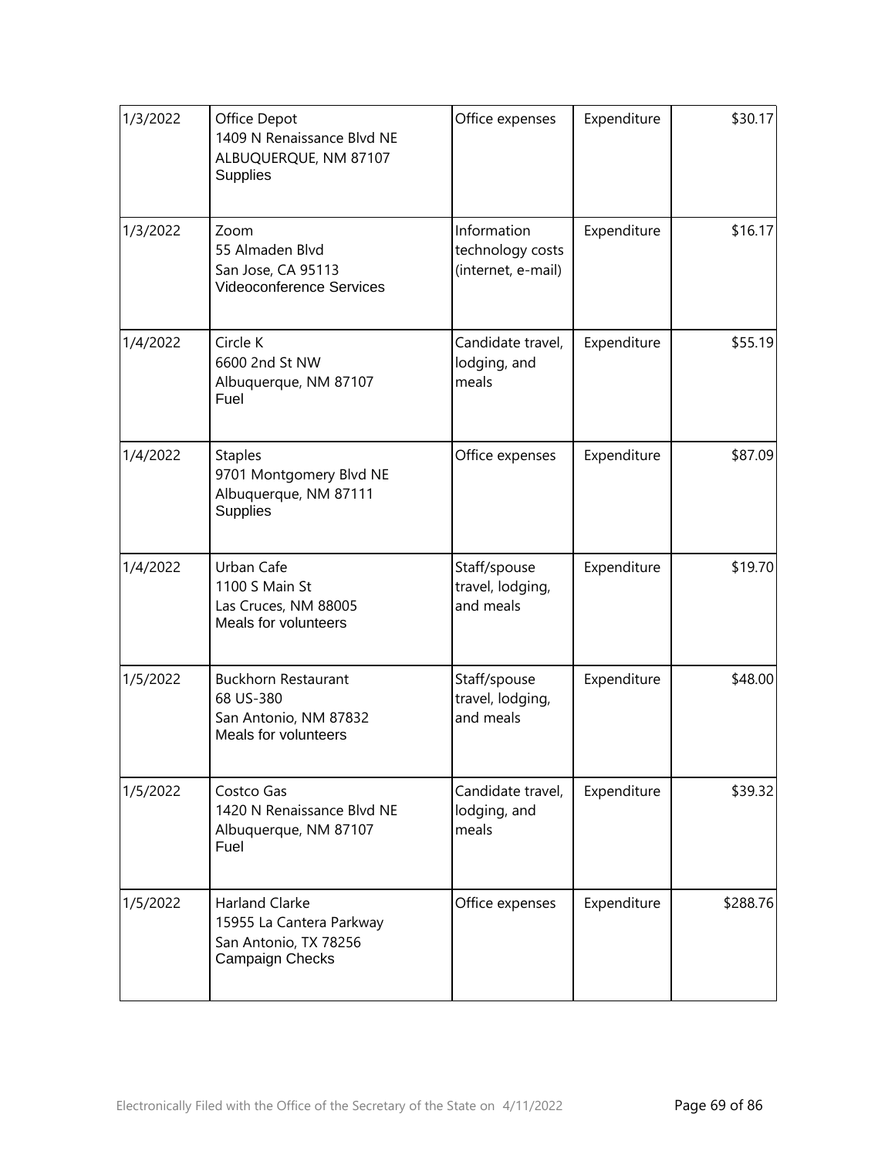| 1/3/2022 | Office Depot<br>1409 N Renaissance Blvd NE<br>ALBUQUERQUE, NM 87107<br>Supplies               | Office expenses                                       | Expenditure | \$30.17  |
|----------|-----------------------------------------------------------------------------------------------|-------------------------------------------------------|-------------|----------|
| 1/3/2022 | Zoom<br>55 Almaden Blvd<br>San Jose, CA 95113<br>Videoconference Services                     | Information<br>technology costs<br>(internet, e-mail) | Expenditure | \$16.17  |
| 1/4/2022 | Circle K<br>6600 2nd St NW<br>Albuquerque, NM 87107<br>Fuel                                   | Candidate travel,<br>lodging, and<br>meals            | Expenditure | \$55.19  |
| 1/4/2022 | <b>Staples</b><br>9701 Montgomery Blvd NE<br>Albuquerque, NM 87111<br>Supplies                | Office expenses                                       | Expenditure | \$87.09  |
| 1/4/2022 | Urban Cafe<br>1100 S Main St<br>Las Cruces, NM 88005<br>Meals for volunteers                  | Staff/spouse<br>travel, lodging,<br>and meals         | Expenditure | \$19.70  |
| 1/5/2022 | <b>Buckhorn Restaurant</b><br>68 US-380<br>San Antonio, NM 87832<br>Meals for volunteers      | Staff/spouse<br>travel, lodging,<br>and meals         | Expenditure | \$48.00  |
| 1/5/2022 | Costco Gas<br>1420 N Renaissance Blvd NE<br>Albuquerque, NM 87107<br>Fuel                     | Candidate travel,<br>lodging, and<br>meals            | Expenditure | \$39.32  |
| 1/5/2022 | <b>Harland Clarke</b><br>15955 La Cantera Parkway<br>San Antonio, TX 78256<br>Campaign Checks | Office expenses                                       | Expenditure | \$288.76 |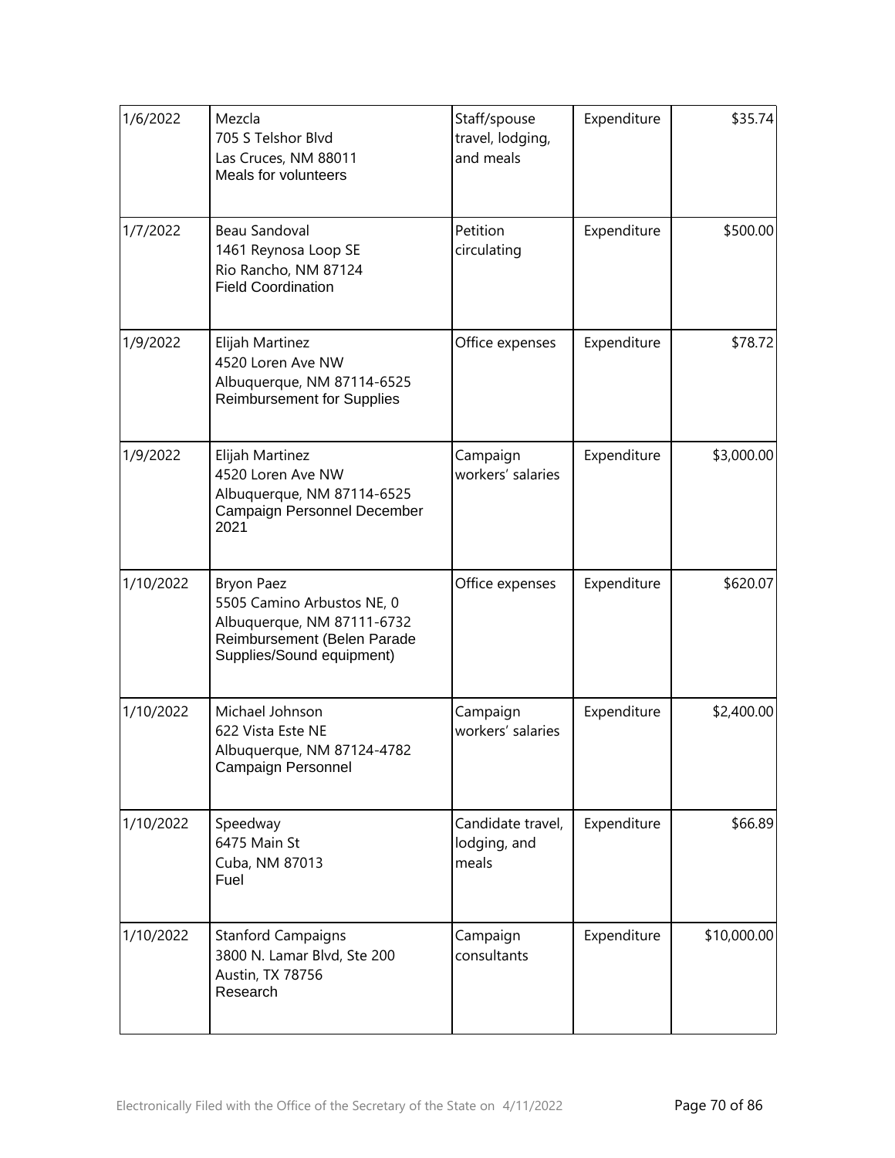| 1/6/2022  | Mezcla<br>705 S Telshor Blvd<br>Las Cruces, NM 88011<br>Meals for volunteers                                                              | Staff/spouse<br>travel, lodging,<br>and meals | Expenditure | \$35.74     |
|-----------|-------------------------------------------------------------------------------------------------------------------------------------------|-----------------------------------------------|-------------|-------------|
| 1/7/2022  | Beau Sandoval<br>1461 Reynosa Loop SE<br>Rio Rancho, NM 87124<br><b>Field Coordination</b>                                                | Petition<br>circulating                       | Expenditure | \$500.00    |
| 1/9/2022  | Elijah Martinez<br>4520 Loren Ave NW<br>Albuquerque, NM 87114-6525<br><b>Reimbursement for Supplies</b>                                   | Office expenses                               | Expenditure | \$78.72     |
| 1/9/2022  | Elijah Martinez<br>4520 Loren Ave NW<br>Albuquerque, NM 87114-6525<br>Campaign Personnel December<br>2021                                 | Campaign<br>workers' salaries                 | Expenditure | \$3,000.00  |
| 1/10/2022 | <b>Bryon Paez</b><br>5505 Camino Arbustos NE, 0<br>Albuquerque, NM 87111-6732<br>Reimbursement (Belen Parade<br>Supplies/Sound equipment) | Office expenses                               | Expenditure | \$620.07    |
| 1/10/2022 | Michael Johnson<br>622 Vista Este NE<br>Albuquerque, NM 87124-4782<br>Campaign Personnel                                                  | Campaign<br>workers' salaries                 | Expenditure | \$2,400.00  |
| 1/10/2022 | Speedway<br>6475 Main St<br>Cuba, NM 87013<br>Fuel                                                                                        | Candidate travel,<br>lodging, and<br>meals    | Expenditure | \$66.89     |
| 1/10/2022 | <b>Stanford Campaigns</b><br>3800 N. Lamar Blvd, Ste 200<br>Austin, TX 78756<br>Research                                                  | Campaign<br>consultants                       | Expenditure | \$10,000.00 |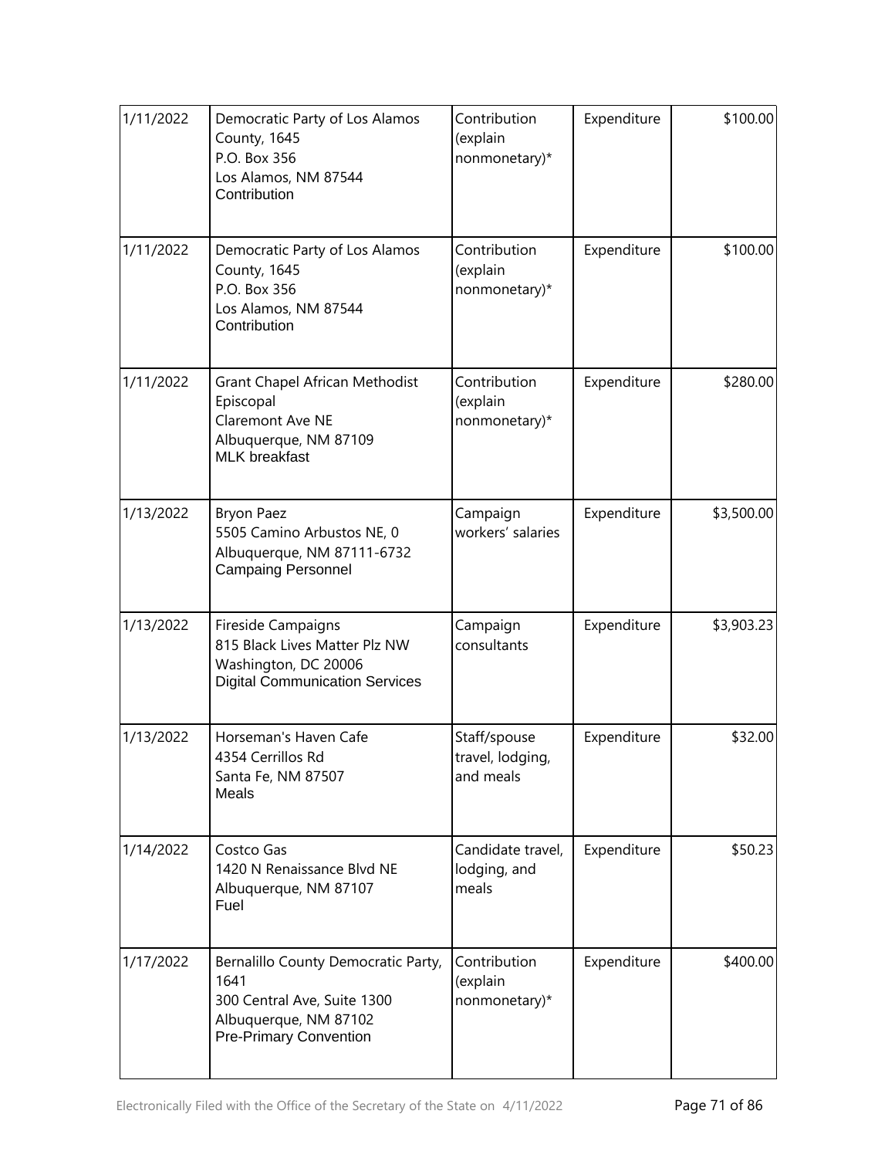| 1/11/2022 | Democratic Party of Los Alamos<br>County, 1645<br>P.O. Box 356<br>Los Alamos, NM 87544<br>Contribution                               | Contribution<br>(explain<br>nonmonetary)*     | Expenditure | \$100.00   |
|-----------|--------------------------------------------------------------------------------------------------------------------------------------|-----------------------------------------------|-------------|------------|
| 1/11/2022 | Democratic Party of Los Alamos<br>County, 1645<br>P.O. Box 356<br>Los Alamos, NM 87544<br>Contribution                               | Contribution<br>(explain<br>nonmonetary)*     | Expenditure | \$100.00   |
| 1/11/2022 | Grant Chapel African Methodist<br>Episcopal<br>Claremont Ave NE<br>Albuquerque, NM 87109<br><b>MLK</b> breakfast                     | Contribution<br>(explain<br>nonmonetary)*     | Expenditure | \$280.00   |
| 1/13/2022 | <b>Bryon Paez</b><br>5505 Camino Arbustos NE, 0<br>Albuquerque, NM 87111-6732<br><b>Campaing Personnel</b>                           | Campaign<br>workers' salaries                 | Expenditure | \$3,500.00 |
| 1/13/2022 | Fireside Campaigns<br>815 Black Lives Matter Plz NW<br>Washington, DC 20006<br><b>Digital Communication Services</b>                 | Campaign<br>consultants                       | Expenditure | \$3,903.23 |
| 1/13/2022 | Horseman's Haven Cafe<br>4354 Cerrillos Rd<br>Santa Fe, NM 87507<br>Meals                                                            | Staff/spouse<br>travel, lodging,<br>and meals | Expenditure | \$32.00    |
| 1/14/2022 | Costco Gas<br>1420 N Renaissance Blvd NE<br>Albuquerque, NM 87107<br>Fuel                                                            | Candidate travel,<br>lodging, and<br>meals    | Expenditure | \$50.23    |
| 1/17/2022 | Bernalillo County Democratic Party,<br>1641<br>300 Central Ave, Suite 1300<br>Albuquerque, NM 87102<br><b>Pre-Primary Convention</b> | Contribution<br>(explain<br>nonmonetary)*     | Expenditure | \$400.00   |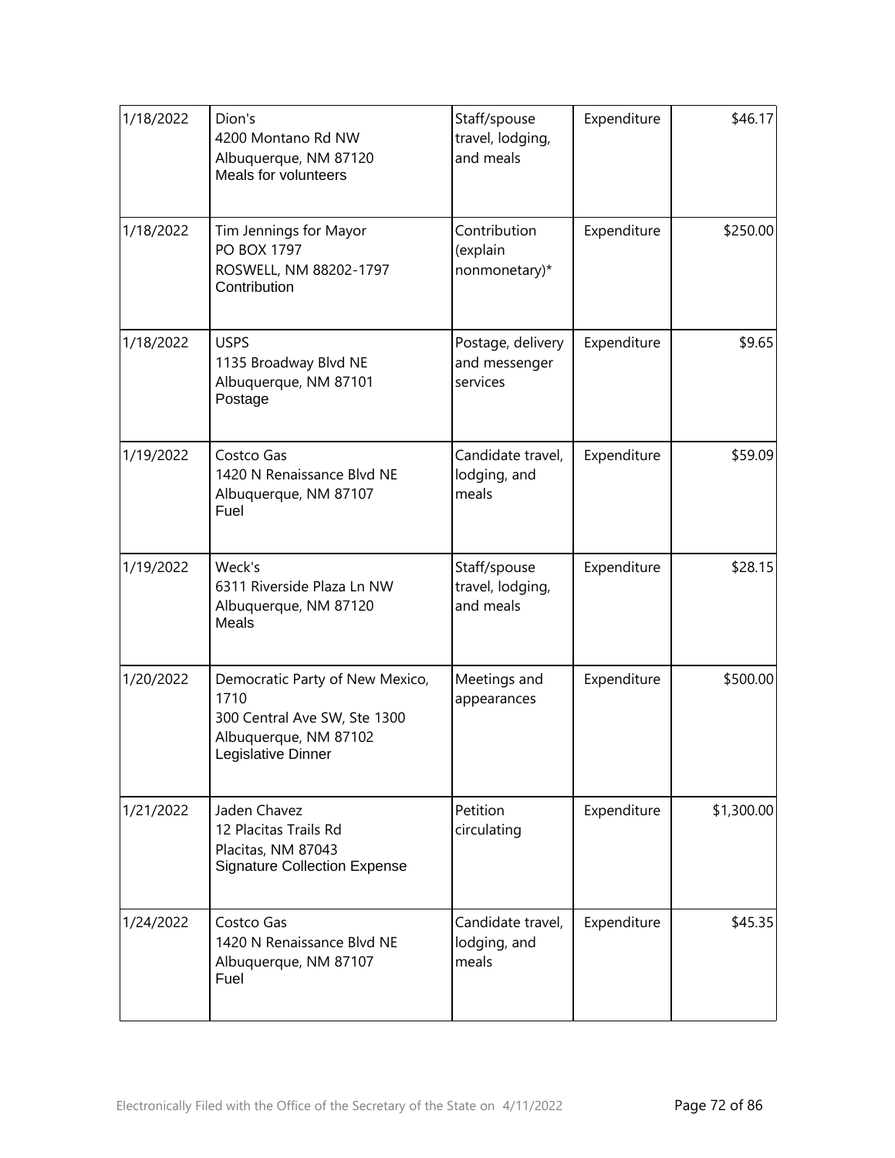| 1/18/2022 | Dion's<br>4200 Montano Rd NW<br>Albuquerque, NM 87120<br>Meals for volunteers                                          | Staff/spouse<br>travel, lodging,<br>and meals  | Expenditure | \$46.17    |
|-----------|------------------------------------------------------------------------------------------------------------------------|------------------------------------------------|-------------|------------|
| 1/18/2022 | Tim Jennings for Mayor<br><b>PO BOX 1797</b><br>ROSWELL, NM 88202-1797<br>Contribution                                 | Contribution<br>(explain<br>nonmonetary)*      | Expenditure | \$250.00   |
| 1/18/2022 | <b>USPS</b><br>1135 Broadway Blvd NE<br>Albuquerque, NM 87101<br>Postage                                               | Postage, delivery<br>and messenger<br>services | Expenditure | \$9.65     |
| 1/19/2022 | Costco Gas<br>1420 N Renaissance Blvd NE<br>Albuquerque, NM 87107<br>Fuel                                              | Candidate travel,<br>lodging, and<br>meals     | Expenditure | \$59.09    |
| 1/19/2022 | Weck's<br>6311 Riverside Plaza Ln NW<br>Albuquerque, NM 87120<br>Meals                                                 | Staff/spouse<br>travel, lodging,<br>and meals  | Expenditure | \$28.15    |
| 1/20/2022 | Democratic Party of New Mexico,<br>1710<br>300 Central Ave SW, Ste 1300<br>Albuquerque, NM 87102<br>Legislative Dinner | Meetings and<br>appearances                    | Expenditure | \$500.00   |
| 1/21/2022 | Jaden Chavez<br>12 Placitas Trails Rd<br>Placitas, NM 87043<br><b>Signature Collection Expense</b>                     | Petition<br>circulating                        | Expenditure | \$1,300.00 |
| 1/24/2022 | Costco Gas<br>1420 N Renaissance Blvd NE<br>Albuquerque, NM 87107<br>Fuel                                              | Candidate travel,<br>lodging, and<br>meals     | Expenditure | \$45.35    |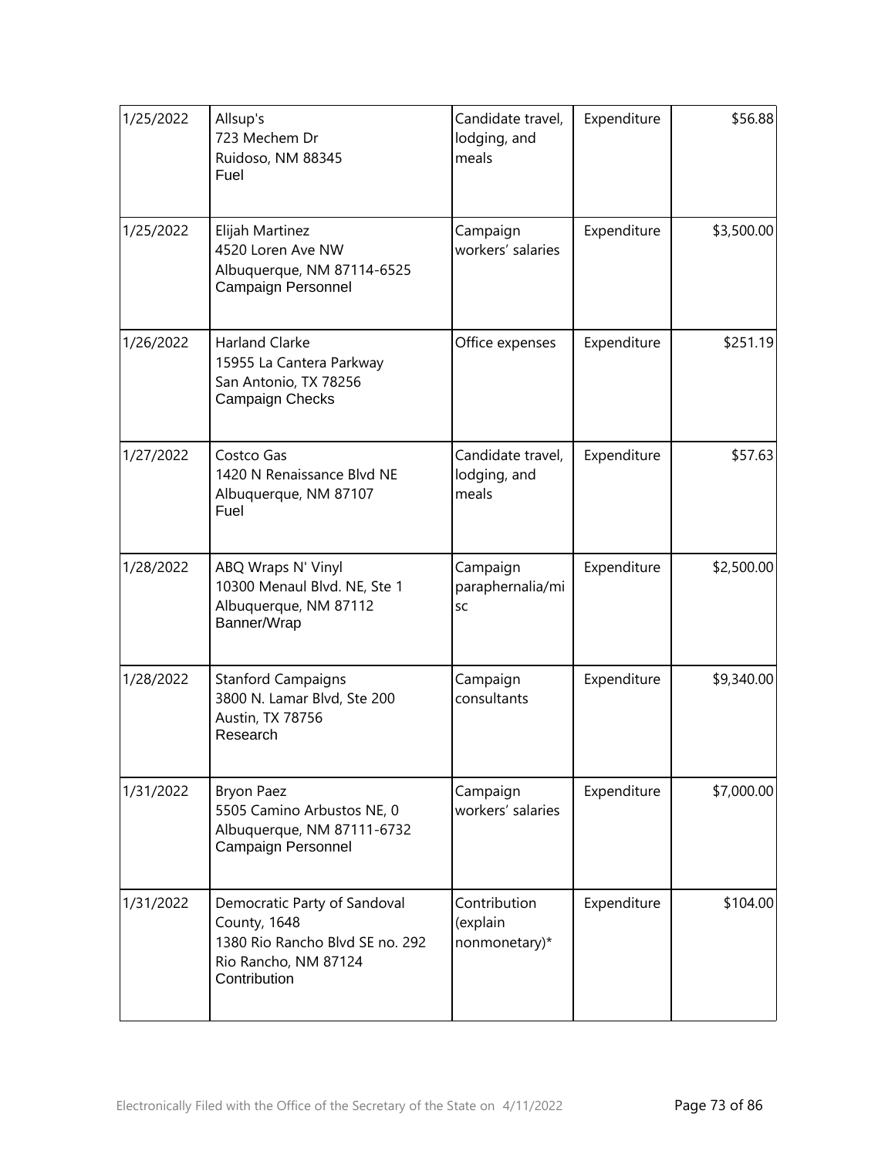| 1/25/2022 | Allsup's<br>723 Mechem Dr<br>Ruidoso, NM 88345<br>Fuel                                                                  | Candidate travel,<br>lodging, and<br>meals | Expenditure | \$56.88    |
|-----------|-------------------------------------------------------------------------------------------------------------------------|--------------------------------------------|-------------|------------|
| 1/25/2022 | Elijah Martinez<br>4520 Loren Ave NW<br>Albuquerque, NM 87114-6525<br>Campaign Personnel                                | Campaign<br>workers' salaries              | Expenditure | \$3,500.00 |
| 1/26/2022 | <b>Harland Clarke</b><br>15955 La Cantera Parkway<br>San Antonio, TX 78256<br>Campaign Checks                           | Office expenses                            | Expenditure | \$251.19   |
| 1/27/2022 | Costco Gas<br>1420 N Renaissance Blvd NE<br>Albuquerque, NM 87107<br>Fuel                                               | Candidate travel,<br>lodging, and<br>meals | Expenditure | \$57.63    |
| 1/28/2022 | ABQ Wraps N' Vinyl<br>10300 Menaul Blvd. NE, Ste 1<br>Albuquerque, NM 87112<br>Banner/Wrap                              | Campaign<br>paraphernalia/mi<br>SC         | Expenditure | \$2,500.00 |
| 1/28/2022 | <b>Stanford Campaigns</b><br>3800 N. Lamar Blvd, Ste 200<br>Austin, TX 78756<br>Research                                | Campaign<br>consultants                    | Expenditure | \$9,340.00 |
| 1/31/2022 | <b>Bryon Paez</b><br>5505 Camino Arbustos NE, 0<br>Albuquerque, NM 87111-6732<br>Campaign Personnel                     | Campaign<br>workers' salaries              | Expenditure | \$7,000.00 |
| 1/31/2022 | Democratic Party of Sandoval<br>County, 1648<br>1380 Rio Rancho Blvd SE no. 292<br>Rio Rancho, NM 87124<br>Contribution | Contribution<br>(explain<br>nonmonetary)*  | Expenditure | \$104.00   |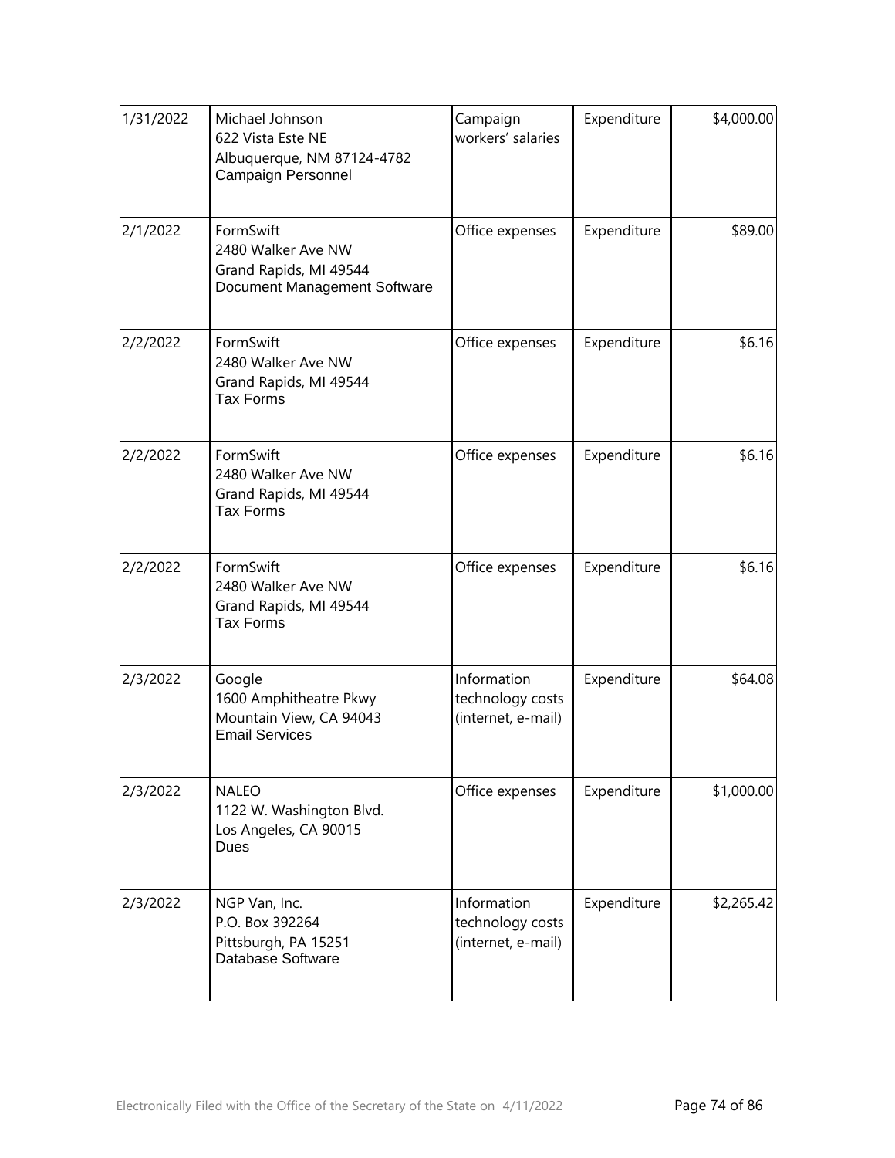| 1/31/2022 | Michael Johnson<br>622 Vista Este NE<br>Albuquerque, NM 87124-4782<br><b>Campaign Personnel</b> | Campaign<br>workers' salaries                         | Expenditure | \$4,000.00 |
|-----------|-------------------------------------------------------------------------------------------------|-------------------------------------------------------|-------------|------------|
| 2/1/2022  | FormSwift<br>2480 Walker Ave NW<br>Grand Rapids, MI 49544<br>Document Management Software       | Office expenses                                       | Expenditure | \$89.00    |
| 2/2/2022  | FormSwift<br>2480 Walker Ave NW<br>Grand Rapids, MI 49544<br><b>Tax Forms</b>                   | Office expenses                                       | Expenditure | \$6.16     |
| 2/2/2022  | FormSwift<br>2480 Walker Ave NW<br>Grand Rapids, MI 49544<br><b>Tax Forms</b>                   | Office expenses                                       | Expenditure | \$6.16     |
| 2/2/2022  | FormSwift<br>2480 Walker Ave NW<br>Grand Rapids, MI 49544<br><b>Tax Forms</b>                   | Office expenses                                       | Expenditure | \$6.16     |
| 2/3/2022  | Google<br>1600 Amphitheatre Pkwy<br>Mountain View, CA 94043<br><b>Email Services</b>            | Information<br>technology costs<br>(internet, e-mail) | Expenditure | \$64.08    |
| 2/3/2022  | <b>NALEO</b><br>1122 W. Washington Blvd.<br>Los Angeles, CA 90015<br>Dues                       | Office expenses                                       | Expenditure | \$1,000.00 |
| 2/3/2022  | NGP Van, Inc.<br>P.O. Box 392264<br>Pittsburgh, PA 15251<br>Database Software                   | Information<br>technology costs<br>(internet, e-mail) | Expenditure | \$2,265.42 |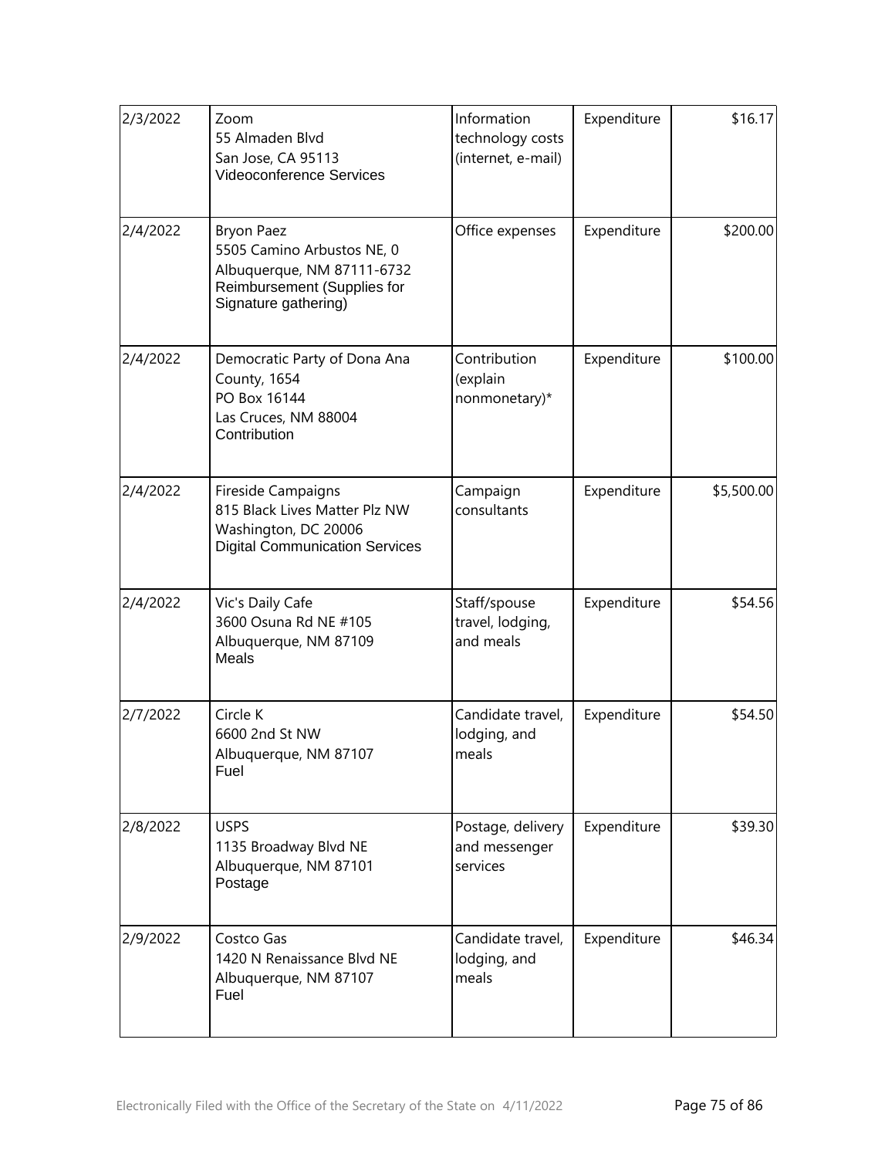| 2/3/2022 | Zoom<br>55 Almaden Blvd<br>San Jose, CA 95113<br><b>Videoconference Services</b>                                                     | Information<br>technology costs<br>(internet, e-mail) | Expenditure | \$16.17    |
|----------|--------------------------------------------------------------------------------------------------------------------------------------|-------------------------------------------------------|-------------|------------|
| 2/4/2022 | <b>Bryon Paez</b><br>5505 Camino Arbustos NE, 0<br>Albuquerque, NM 87111-6732<br>Reimbursement (Supplies for<br>Signature gathering) | Office expenses                                       | Expenditure | \$200.00   |
| 2/4/2022 | Democratic Party of Dona Ana<br>County, 1654<br>PO Box 16144<br>Las Cruces, NM 88004<br>Contribution                                 | Contribution<br>(explain<br>nonmonetary)*             | Expenditure | \$100.00   |
| 2/4/2022 | Fireside Campaigns<br>815 Black Lives Matter Plz NW<br>Washington, DC 20006<br><b>Digital Communication Services</b>                 | Campaign<br>consultants                               | Expenditure | \$5,500.00 |
| 2/4/2022 | Vic's Daily Cafe<br>3600 Osuna Rd NE #105<br>Albuquerque, NM 87109<br>Meals                                                          | Staff/spouse<br>travel, lodging,<br>and meals         | Expenditure | \$54.56    |
| 2/7/2022 | Circle K<br>6600 2nd St NW<br>Albuquerque, NM 87107<br>Fuel                                                                          | Candidate travel,<br>lodging, and<br>meals            | Expenditure | \$54.50    |
| 2/8/2022 | <b>USPS</b><br>1135 Broadway Blvd NE<br>Albuquerque, NM 87101<br>Postage                                                             | Postage, delivery<br>and messenger<br>services        | Expenditure | \$39.30    |
| 2/9/2022 | Costco Gas<br>1420 N Renaissance Blvd NE<br>Albuquerque, NM 87107<br>Fuel                                                            | Candidate travel,<br>lodging, and<br>meals            | Expenditure | \$46.34    |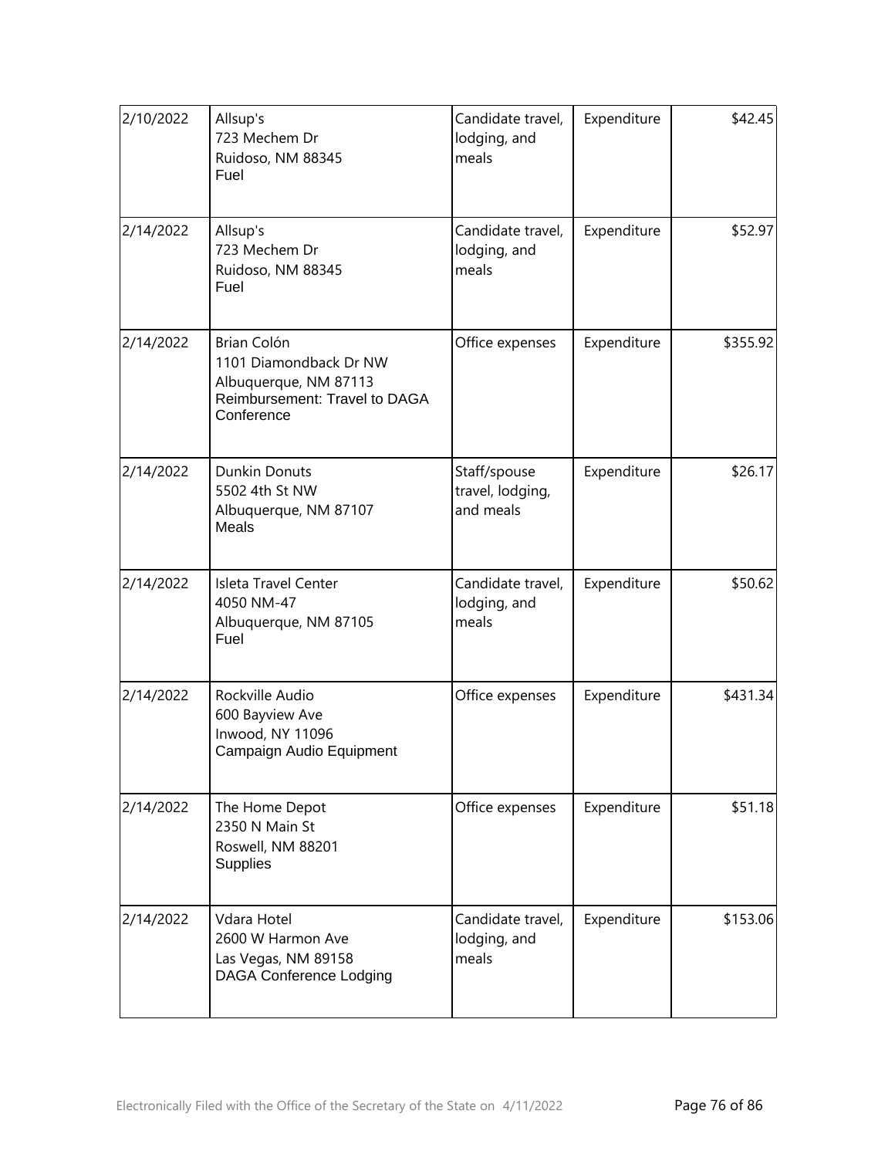| 2/10/2022 | Allsup's<br>723 Mechem Dr<br>Ruidoso, NM 88345<br>Fuel                                                        | Candidate travel,<br>lodging, and<br>meals    | Expenditure | \$42.45  |
|-----------|---------------------------------------------------------------------------------------------------------------|-----------------------------------------------|-------------|----------|
| 2/14/2022 | Allsup's<br>723 Mechem Dr<br>Ruidoso, NM 88345<br>Fuel                                                        | Candidate travel,<br>lodging, and<br>meals    | Expenditure | \$52.97  |
| 2/14/2022 | Brian Colón<br>1101 Diamondback Dr NW<br>Albuquerque, NM 87113<br>Reimbursement: Travel to DAGA<br>Conference | Office expenses                               | Expenditure | \$355.92 |
| 2/14/2022 | <b>Dunkin Donuts</b><br>5502 4th St NW<br>Albuquerque, NM 87107<br>Meals                                      | Staff/spouse<br>travel, lodging,<br>and meals | Expenditure | \$26.17  |
| 2/14/2022 | Isleta Travel Center<br>4050 NM-47<br>Albuquerque, NM 87105<br>Fuel                                           | Candidate travel,<br>lodging, and<br>meals    | Expenditure | \$50.62  |
| 2/14/2022 | Rockville Audio<br>600 Bayview Ave<br>Inwood, NY 11096<br>Campaign Audio Equipment                            | Office expenses                               | Expenditure | \$431.34 |
| 2/14/2022 | The Home Depot<br>2350 N Main St<br>Roswell, NM 88201<br><b>Supplies</b>                                      | Office expenses                               | Expenditure | \$51.18  |
| 2/14/2022 | Vdara Hotel<br>2600 W Harmon Ave<br>Las Vegas, NM 89158<br><b>DAGA Conference Lodging</b>                     | Candidate travel,<br>lodging, and<br>meals    | Expenditure | \$153.06 |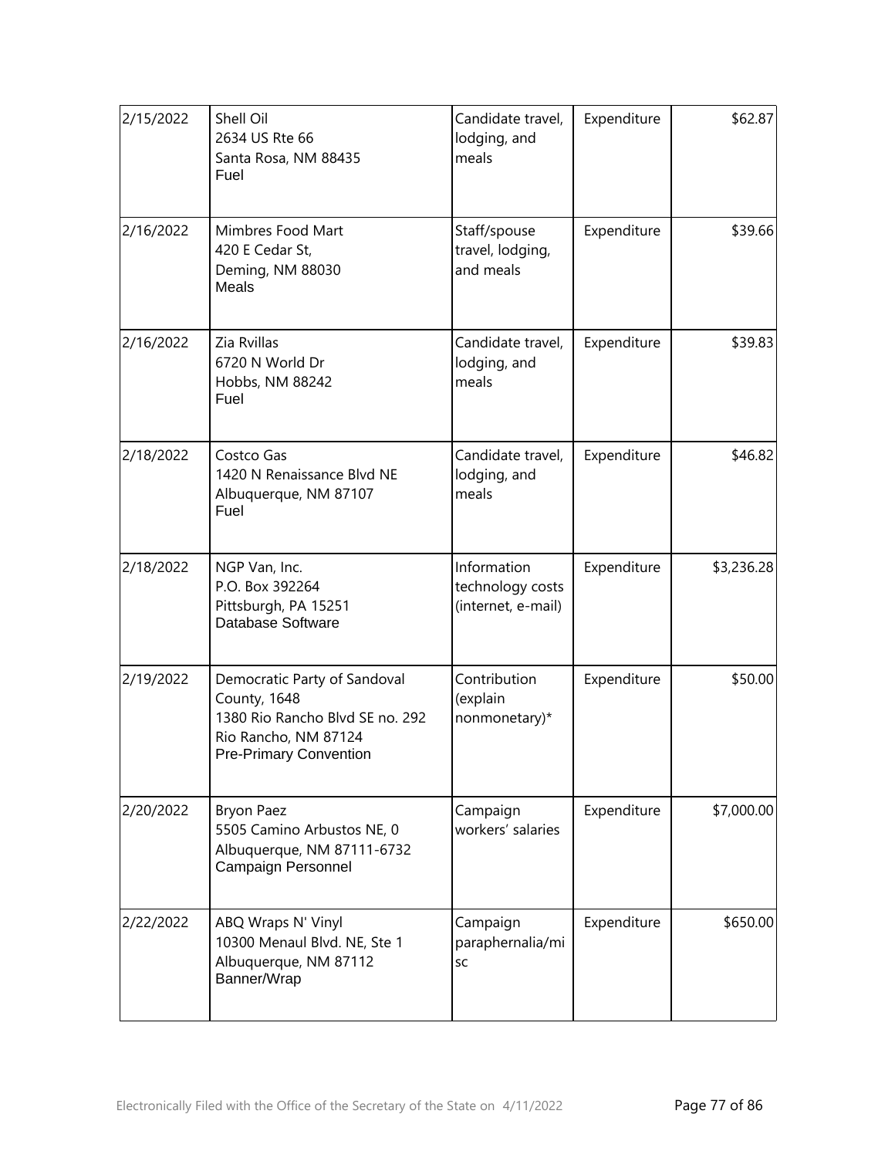| 2/15/2022 | Shell Oil<br>2634 US Rte 66<br>Santa Rosa, NM 88435<br>Fuel                                                                              | Candidate travel,<br>lodging, and<br>meals            | Expenditure | \$62.87    |
|-----------|------------------------------------------------------------------------------------------------------------------------------------------|-------------------------------------------------------|-------------|------------|
| 2/16/2022 | Mimbres Food Mart<br>420 E Cedar St,<br>Deming, NM 88030<br>Meals                                                                        | Staff/spouse<br>travel, lodging,<br>and meals         | Expenditure | \$39.66    |
| 2/16/2022 | Zia Rvillas<br>6720 N World Dr<br>Hobbs, NM 88242<br>Fuel                                                                                | Candidate travel,<br>lodging, and<br>meals            | Expenditure | \$39.83    |
| 2/18/2022 | Costco Gas<br>1420 N Renaissance Blvd NE<br>Albuquerque, NM 87107<br>Fuel                                                                | Candidate travel,<br>lodging, and<br>meals            | Expenditure | \$46.82    |
| 2/18/2022 | NGP Van, Inc.<br>P.O. Box 392264<br>Pittsburgh, PA 15251<br>Database Software                                                            | Information<br>technology costs<br>(internet, e-mail) | Expenditure | \$3,236.28 |
| 2/19/2022 | Democratic Party of Sandoval<br>County, 1648<br>1380 Rio Rancho Blvd SE no. 292<br>Rio Rancho, NM 87124<br><b>Pre-Primary Convention</b> | Contribution<br>(explain<br>nonmonetary)*             | Expenditure | \$50.00    |
| 2/20/2022 | <b>Bryon Paez</b><br>5505 Camino Arbustos NE, 0<br>Albuquerque, NM 87111-6732<br>Campaign Personnel                                      | Campaign<br>workers' salaries                         | Expenditure | \$7,000.00 |
| 2/22/2022 | ABQ Wraps N' Vinyl<br>10300 Menaul Blvd. NE, Ste 1<br>Albuquerque, NM 87112<br>Banner/Wrap                                               | Campaign<br>paraphernalia/mi<br>SC                    | Expenditure | \$650.00   |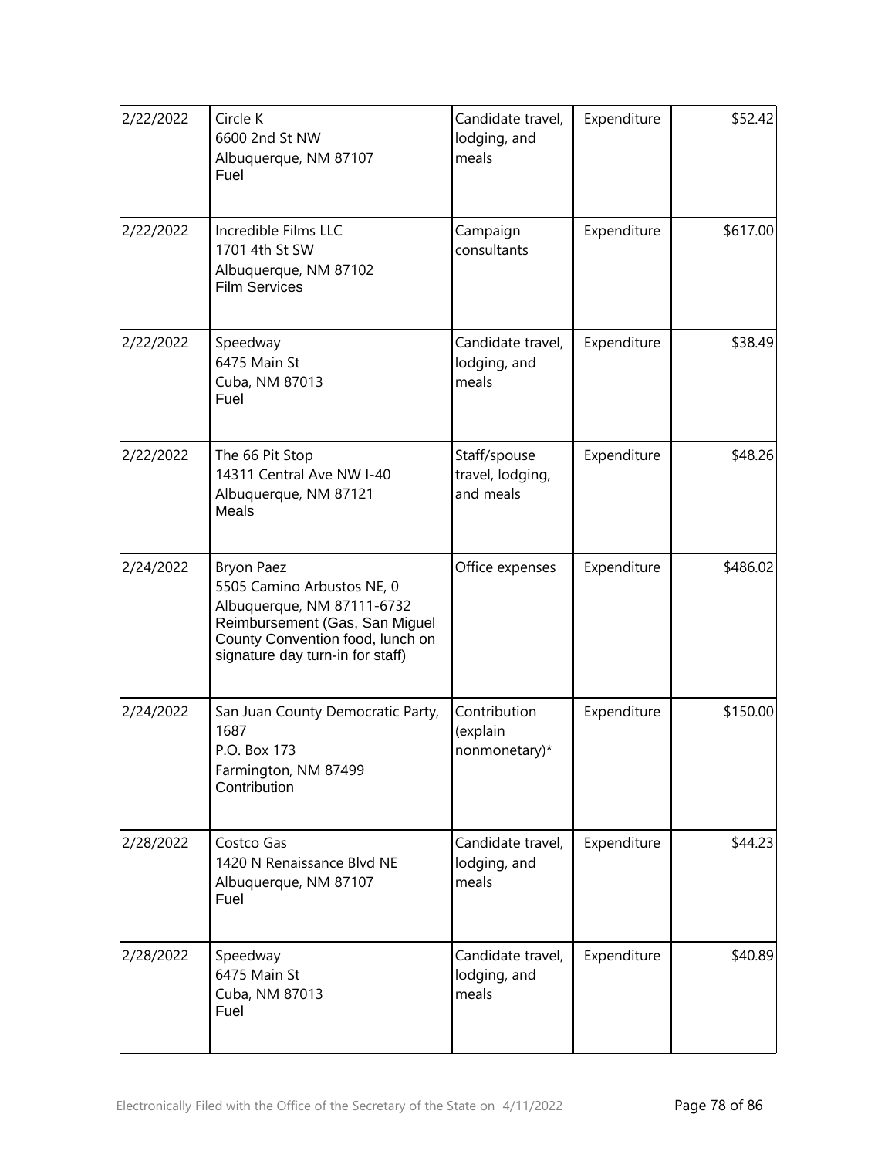| 2/22/2022 | Circle K<br>6600 2nd St NW<br>Albuquerque, NM 87107<br>Fuel                                                                                                                             | Candidate travel,<br>lodging, and<br>meals    | Expenditure | \$52.42  |
|-----------|-----------------------------------------------------------------------------------------------------------------------------------------------------------------------------------------|-----------------------------------------------|-------------|----------|
| 2/22/2022 | Incredible Films LLC<br>1701 4th St SW<br>Albuquerque, NM 87102<br><b>Film Services</b>                                                                                                 | Campaign<br>consultants                       | Expenditure | \$617.00 |
| 2/22/2022 | Speedway<br>6475 Main St<br>Cuba, NM 87013<br>Fuel                                                                                                                                      | Candidate travel,<br>lodging, and<br>meals    | Expenditure | \$38.49  |
| 2/22/2022 | The 66 Pit Stop<br>14311 Central Ave NW I-40<br>Albuquerque, NM 87121<br><b>Meals</b>                                                                                                   | Staff/spouse<br>travel, lodging,<br>and meals | Expenditure | \$48.26  |
| 2/24/2022 | <b>Bryon Paez</b><br>5505 Camino Arbustos NE, 0<br>Albuquerque, NM 87111-6732<br>Reimbursement (Gas, San Miguel<br>County Convention food, lunch on<br>signature day turn-in for staff) | Office expenses                               | Expenditure | \$486.02 |
| 2/24/2022 | San Juan County Democratic Party,<br>1687<br>P.O. Box 173<br>Farmington, NM 87499<br>Contribution                                                                                       | Contribution<br>(explain<br>nonmonetary)*     | Expenditure | \$150.00 |
| 2/28/2022 | Costco Gas<br>1420 N Renaissance Blvd NE<br>Albuquerque, NM 87107<br>Fuel                                                                                                               | Candidate travel,<br>lodging, and<br>meals    | Expenditure | \$44.23  |
| 2/28/2022 | Speedway<br>6475 Main St<br>Cuba, NM 87013<br>Fuel                                                                                                                                      | Candidate travel,<br>lodging, and<br>meals    | Expenditure | \$40.89  |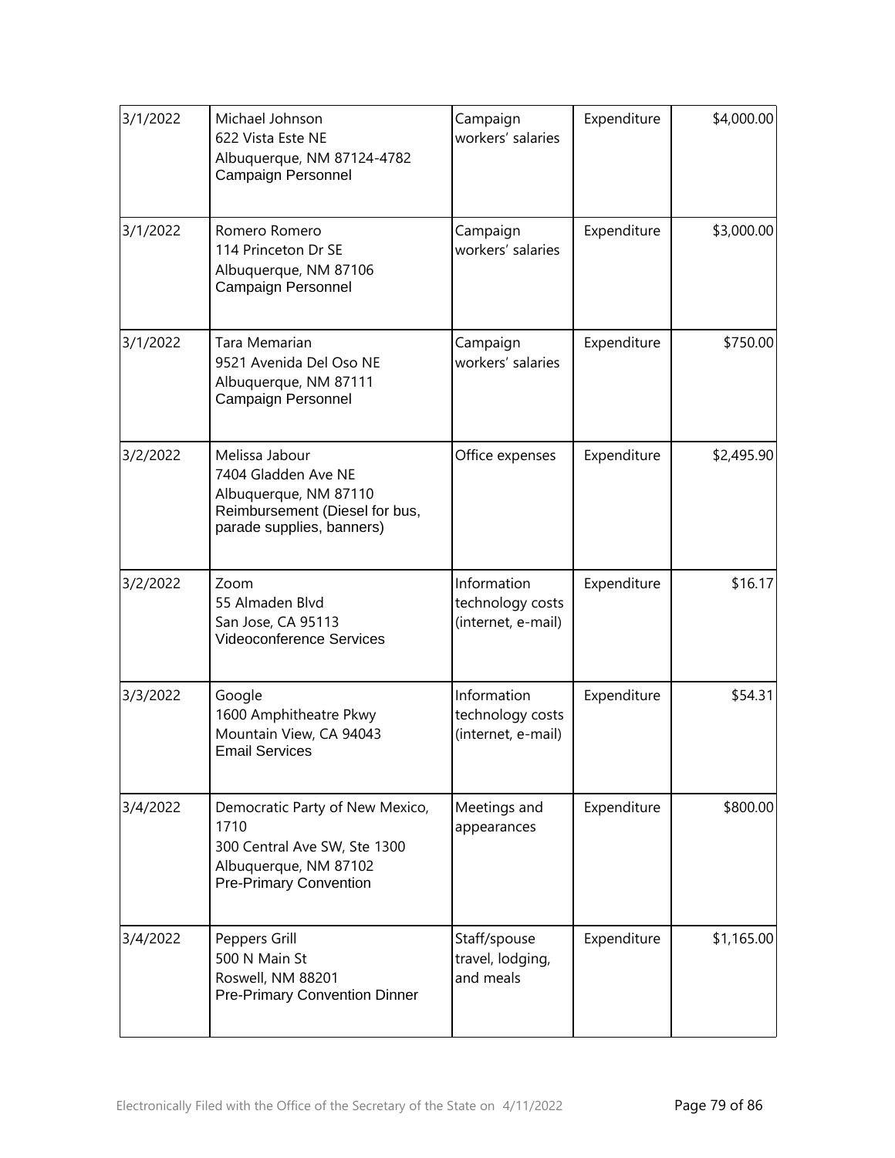| 3/1/2022 | Michael Johnson<br>622 Vista Este NE<br>Albuquerque, NM 87124-4782<br>Campaign Personnel                                          | Campaign<br>workers' salaries                         | Expenditure | \$4,000.00 |
|----------|-----------------------------------------------------------------------------------------------------------------------------------|-------------------------------------------------------|-------------|------------|
| 3/1/2022 | Romero Romero<br>114 Princeton Dr SE<br>Albuquerque, NM 87106<br>Campaign Personnel                                               | Campaign<br>workers' salaries                         | Expenditure | \$3,000.00 |
| 3/1/2022 | Tara Memarian<br>9521 Avenida Del Oso NE<br>Albuquerque, NM 87111<br><b>Campaign Personnel</b>                                    | Campaign<br>workers' salaries                         | Expenditure | \$750.00   |
| 3/2/2022 | Melissa Jabour<br>7404 Gladden Ave NE<br>Albuquerque, NM 87110<br>Reimbursement (Diesel for bus,<br>parade supplies, banners)     | Office expenses                                       | Expenditure | \$2,495.90 |
| 3/2/2022 | Zoom<br>55 Almaden Blvd<br>San Jose, CA 95113<br><b>Videoconference Services</b>                                                  | Information<br>technology costs<br>(internet, e-mail) | Expenditure | \$16.17    |
| 3/3/2022 | Google<br>1600 Amphitheatre Pkwy<br>Mountain View, CA 94043<br><b>Email Services</b>                                              | Information<br>technology costs<br>(internet, e-mail) | Expenditure | \$54.31    |
| 3/4/2022 | Democratic Party of New Mexico,<br>1710<br>300 Central Ave SW, Ste 1300<br>Albuquerque, NM 87102<br><b>Pre-Primary Convention</b> | Meetings and<br>appearances                           | Expenditure | \$800.00   |
| 3/4/2022 | Peppers Grill<br>500 N Main St<br>Roswell, NM 88201<br><b>Pre-Primary Convention Dinner</b>                                       | Staff/spouse<br>travel, lodging,<br>and meals         | Expenditure | \$1,165.00 |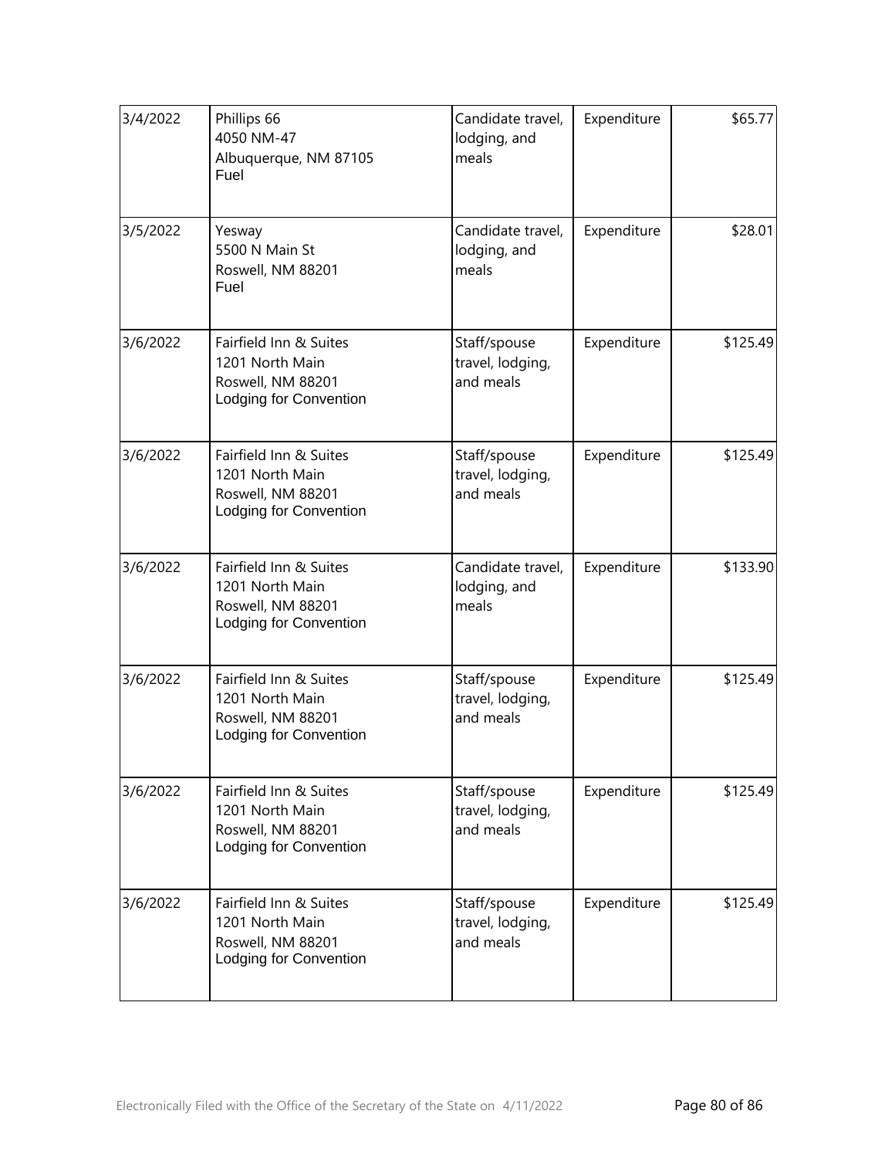| 3/4/2022 | Phillips 66<br>4050 NM-47<br>Albuquerque, NM 87105<br>Fuel                               | Candidate travel,<br>lodging, and<br>meals    | Expenditure | \$65.77  |
|----------|------------------------------------------------------------------------------------------|-----------------------------------------------|-------------|----------|
| 3/5/2022 | Yesway<br>5500 N Main St<br>Roswell, NM 88201<br>Fuel                                    | Candidate travel,<br>lodging, and<br>meals    | Expenditure | \$28.01  |
| 3/6/2022 | Fairfield Inn & Suites<br>1201 North Main<br>Roswell, NM 88201<br>Lodging for Convention | Staff/spouse<br>travel, lodging,<br>and meals | Expenditure | \$125.49 |
| 3/6/2022 | Fairfield Inn & Suites<br>1201 North Main<br>Roswell, NM 88201<br>Lodging for Convention | Staff/spouse<br>travel, lodging,<br>and meals | Expenditure | \$125.49 |
| 3/6/2022 | Fairfield Inn & Suites<br>1201 North Main<br>Roswell, NM 88201<br>Lodging for Convention | Candidate travel,<br>lodging, and<br>meals    | Expenditure | \$133.90 |
| 3/6/2022 | Fairfield Inn & Suites<br>1201 North Main<br>Roswell, NM 88201<br>Lodging for Convention | Staff/spouse<br>travel, lodging,<br>and meals | Expenditure | \$125.49 |
| 3/6/2022 | Fairfield Inn & Suites<br>1201 North Main<br>Roswell, NM 88201<br>Lodging for Convention | Staff/spouse<br>travel, lodging,<br>and meals | Expenditure | \$125.49 |
| 3/6/2022 | Fairfield Inn & Suites<br>1201 North Main<br>Roswell, NM 88201<br>Lodging for Convention | Staff/spouse<br>travel, lodging,<br>and meals | Expenditure | \$125.49 |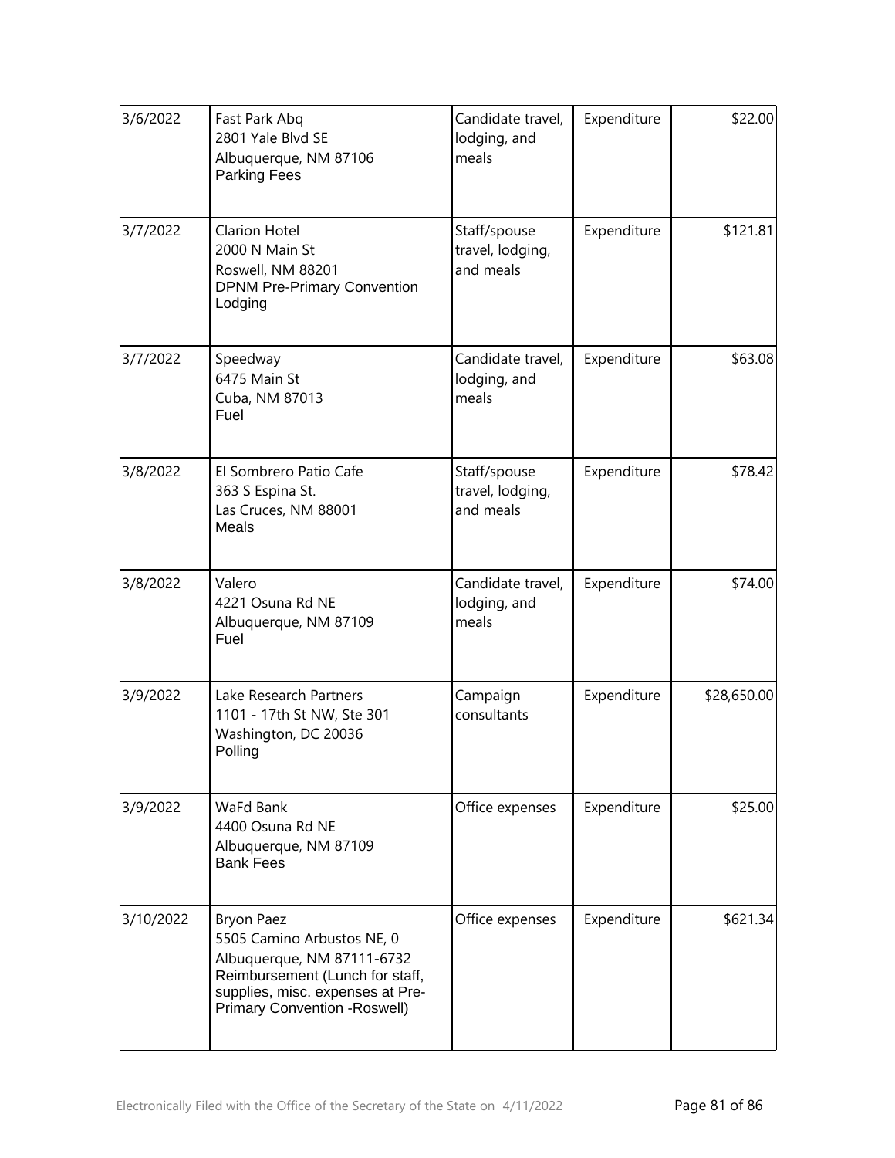| 3/6/2022  | Fast Park Abq<br>2801 Yale Blvd SE<br>Albuquerque, NM 87106<br>Parking Fees                                                                                                           | Candidate travel,<br>lodging, and<br>meals    | Expenditure | \$22.00     |
|-----------|---------------------------------------------------------------------------------------------------------------------------------------------------------------------------------------|-----------------------------------------------|-------------|-------------|
| 3/7/2022  | <b>Clarion Hotel</b><br>2000 N Main St<br>Roswell, NM 88201<br><b>DPNM Pre-Primary Convention</b><br>Lodging                                                                          | Staff/spouse<br>travel, lodging,<br>and meals | Expenditure | \$121.81    |
| 3/7/2022  | Speedway<br>6475 Main St<br>Cuba, NM 87013<br>Fuel                                                                                                                                    | Candidate travel,<br>lodging, and<br>meals    | Expenditure | \$63.08     |
| 3/8/2022  | El Sombrero Patio Cafe<br>363 S Espina St.<br>Las Cruces, NM 88001<br><b>Meals</b>                                                                                                    | Staff/spouse<br>travel, lodging,<br>and meals | Expenditure | \$78.42     |
| 3/8/2022  | Valero<br>4221 Osuna Rd NE<br>Albuquerque, NM 87109<br>Fuel                                                                                                                           | Candidate travel,<br>lodging, and<br>meals    | Expenditure | \$74.00     |
| 3/9/2022  | Lake Research Partners<br>1101 - 17th St NW, Ste 301<br>Washington, DC 20036<br>Polling                                                                                               | Campaign<br>consultants                       | Expenditure | \$28,650.00 |
| 3/9/2022  | WaFd Bank<br>4400 Osuna Rd NE<br>Albuquerque, NM 87109<br><b>Bank Fees</b>                                                                                                            | Office expenses                               | Expenditure | \$25.00     |
| 3/10/2022 | <b>Bryon Paez</b><br>5505 Camino Arbustos NE, 0<br>Albuquerque, NM 87111-6732<br>Reimbursement (Lunch for staff,<br>supplies, misc. expenses at Pre-<br>Primary Convention - Roswell) | Office expenses                               | Expenditure | \$621.34    |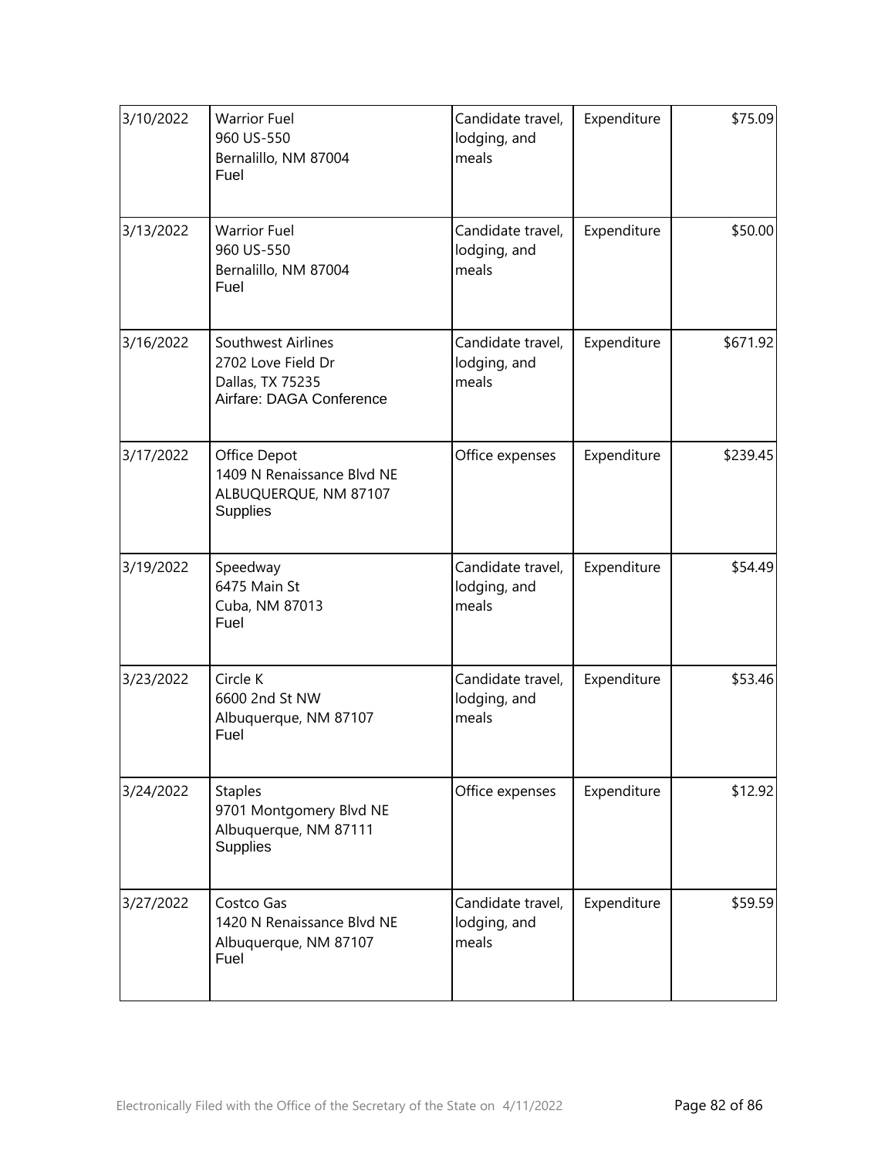| 3/10/2022 | <b>Warrior Fuel</b><br>960 US-550<br>Bernalillo, NM 87004<br>Fuel                        | Candidate travel,<br>lodging, and<br>meals | Expenditure | \$75.09  |
|-----------|------------------------------------------------------------------------------------------|--------------------------------------------|-------------|----------|
| 3/13/2022 | <b>Warrior Fuel</b><br>960 US-550<br>Bernalillo, NM 87004<br>Fuel                        | Candidate travel,<br>lodging, and<br>meals | Expenditure | \$50.00  |
| 3/16/2022 | Southwest Airlines<br>2702 Love Field Dr<br>Dallas, TX 75235<br>Airfare: DAGA Conference | Candidate travel,<br>lodging, and<br>meals | Expenditure | \$671.92 |
| 3/17/2022 | Office Depot<br>1409 N Renaissance Blvd NE<br>ALBUQUERQUE, NM 87107<br><b>Supplies</b>   | Office expenses                            | Expenditure | \$239.45 |
| 3/19/2022 | Speedway<br>6475 Main St<br>Cuba, NM 87013<br>Fuel                                       | Candidate travel,<br>lodging, and<br>meals | Expenditure | \$54.49  |
| 3/23/2022 | Circle K<br>6600 2nd St NW<br>Albuquerque, NM 87107<br>Fuel                              | Candidate travel,<br>lodging, and<br>meals | Expenditure | \$53.46  |
| 3/24/2022 | <b>Staples</b><br>9701 Montgomery Blvd NE<br>Albuquerque, NM 87111<br><b>Supplies</b>    | Office expenses                            | Expenditure | \$12.92  |
| 3/27/2022 | Costco Gas<br>1420 N Renaissance Blvd NE<br>Albuquerque, NM 87107<br>Fuel                | Candidate travel,<br>lodging, and<br>meals | Expenditure | \$59.59  |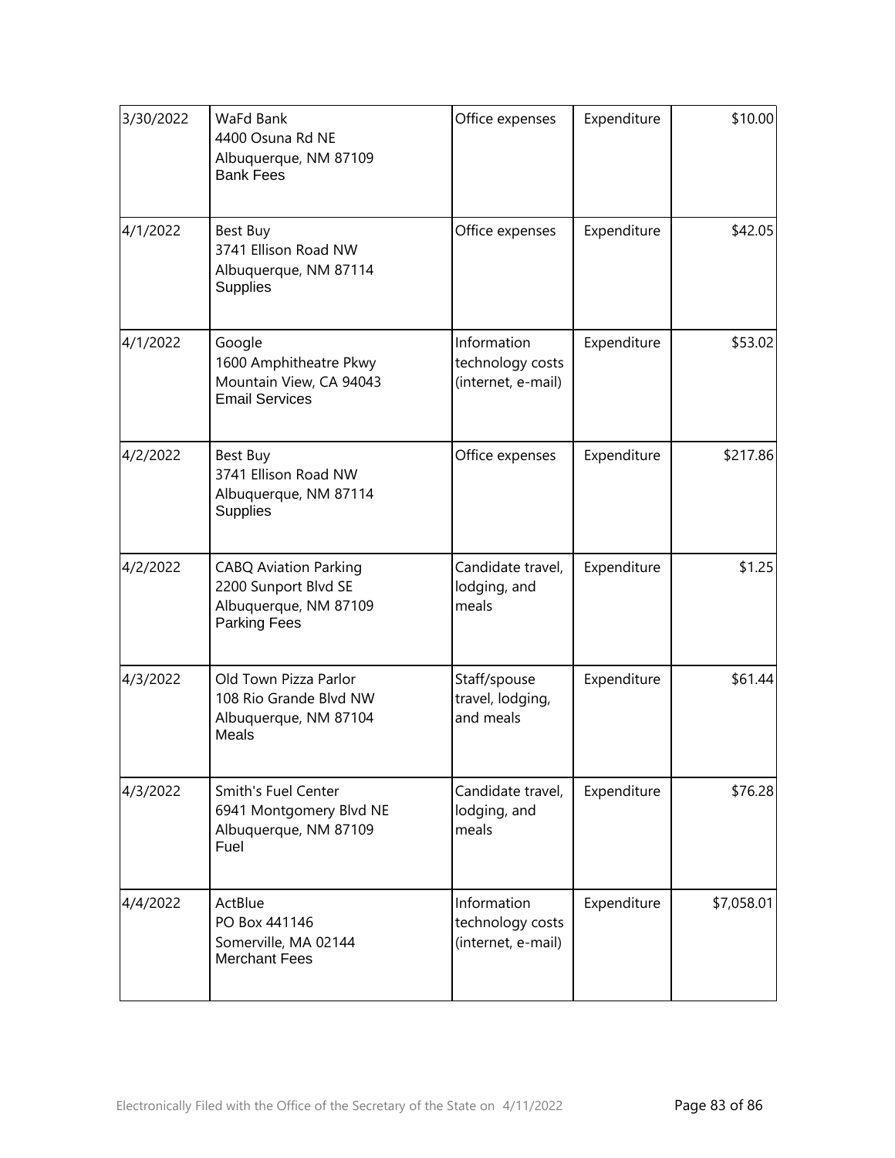| 3/30/2022 | WaFd Bank<br>4400 Osuna Rd NE<br>Albuquerque, NM 87109<br><b>Bank Fees</b>                           | Office expenses                                       | Expenditure | \$10.00    |
|-----------|------------------------------------------------------------------------------------------------------|-------------------------------------------------------|-------------|------------|
| 4/1/2022  | Best Buy<br>3741 Ellison Road NW<br>Albuquerque, NM 87114<br>Supplies                                | Office expenses                                       | Expenditure | \$42.05    |
| 4/1/2022  | Google<br>1600 Amphitheatre Pkwy<br>Mountain View, CA 94043<br><b>Email Services</b>                 | Information<br>technology costs<br>(internet, e-mail) | Expenditure | \$53.02    |
| 4/2/2022  | Best Buy<br>3741 Ellison Road NW<br>Albuquerque, NM 87114<br>Supplies                                | Office expenses                                       | Expenditure | \$217.86   |
| 4/2/2022  | <b>CABQ Aviation Parking</b><br>2200 Sunport Blvd SE<br>Albuquerque, NM 87109<br><b>Parking Fees</b> | Candidate travel,<br>lodging, and<br>meals            | Expenditure | \$1.25     |
| 4/3/2022  | Old Town Pizza Parlor<br>108 Rio Grande Blvd NW<br>Albuquerque, NM 87104<br>Meals                    | Staff/spouse<br>travel, lodging,<br>and meals         | Expenditure | \$61.44    |
| 4/3/2022  | <b>Smith's Fuel Center</b><br>6941 Montgomery Blvd NE<br>Albuquerque, NM 87109<br>Fuel               | Candidate travel,<br>lodging, and<br>meals            | Expenditure | \$76.28    |
| 4/4/2022  | ActBlue<br>PO Box 441146<br>Somerville, MA 02144<br><b>Merchant Fees</b>                             | Information<br>technology costs<br>(internet, e-mail) | Expenditure | \$7,058.01 |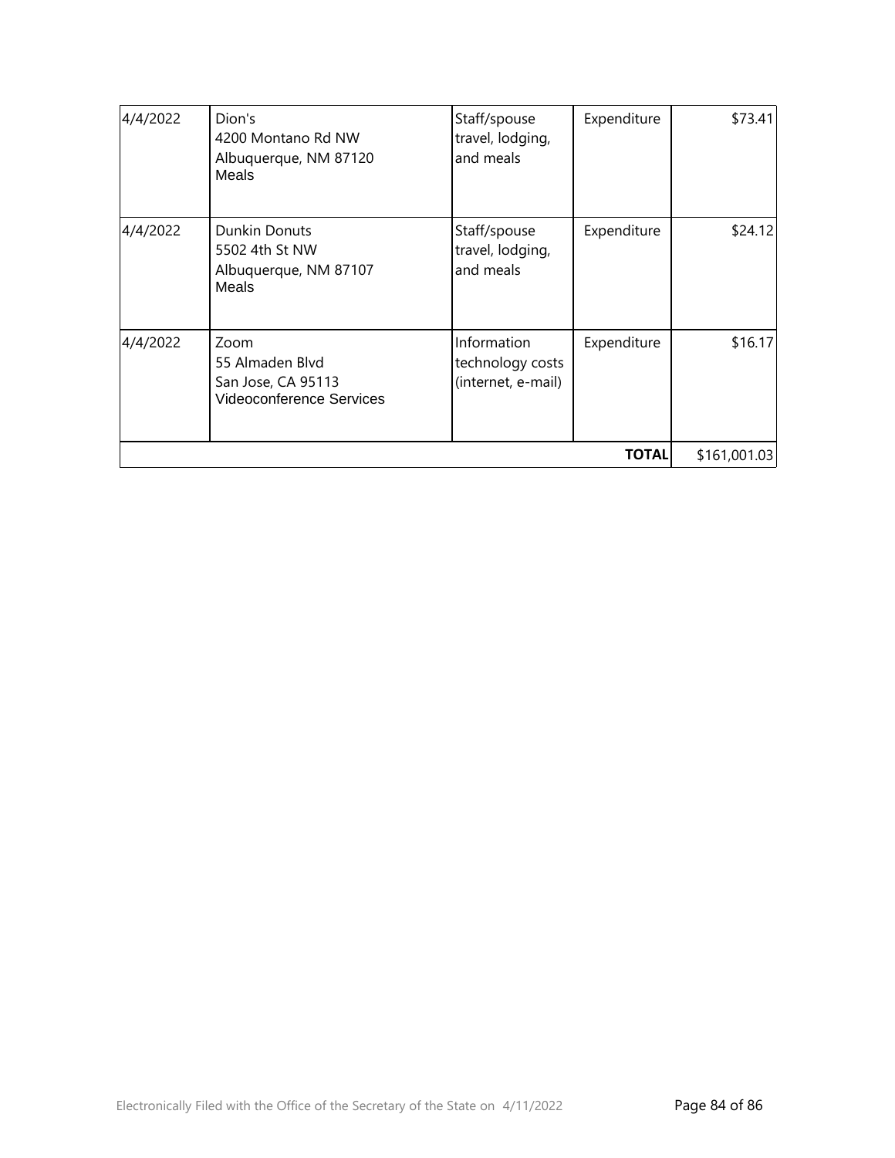| 4/4/2022 | Dion's<br>4200 Montano Rd NW<br>Albuquerque, NM 87120<br>Meals            | Staff/spouse<br>travel, lodging,<br>and meals         | Expenditure | \$73.41 |
|----------|---------------------------------------------------------------------------|-------------------------------------------------------|-------------|---------|
| 4/4/2022 | Dunkin Donuts<br>5502 4th St NW<br>Albuquerque, NM 87107<br><b>Meals</b>  | Staff/spouse<br>travel, lodging,<br>and meals         | Expenditure | \$24.12 |
| 4/4/2022 | Zoom<br>55 Almaden Blvd<br>San Jose, CA 95113<br>Videoconference Services | Information<br>technology costs<br>(internet, e-mail) | Expenditure | \$16.17 |
|          | \$161,001.03                                                              |                                                       |             |         |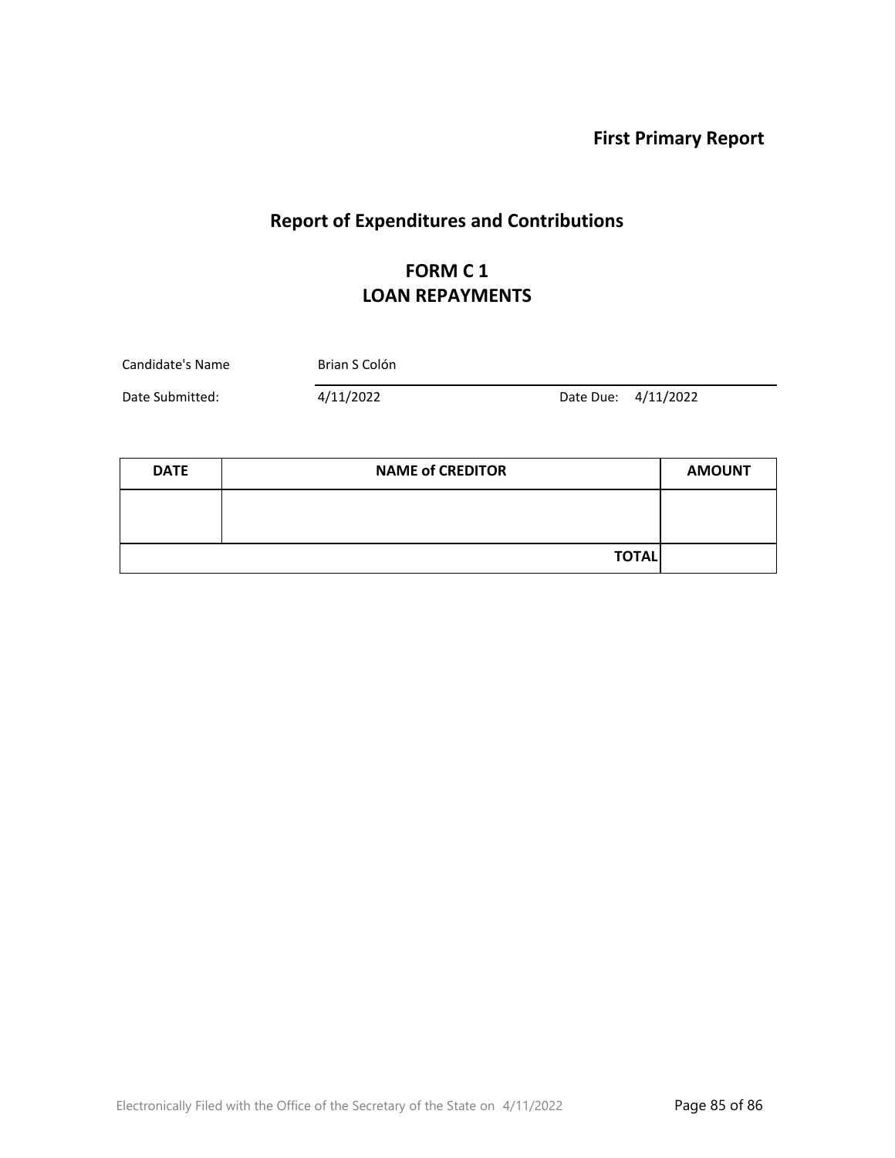**First Primary Report**

# **Report of Expenditures and Contributions**

### **FORM C 1 LOAN REPAYMENTS**

| Candidate's Name | Brian S Colón |                     |  |
|------------------|---------------|---------------------|--|
| Date Submitted:  | 4/11/2022     | Date Due: 4/11/2022 |  |

| <b>DATE</b> | <b>NAME of CREDITOR</b> | <b>AMOUNT</b> |
|-------------|-------------------------|---------------|
|             |                         |               |
|             |                         |               |
|             | <b>TOTAL</b>            |               |